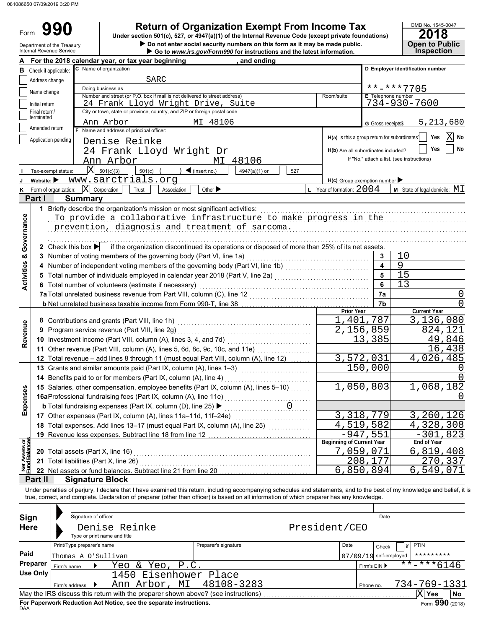Form

Department of the Treasury

# **990 2018 2018 2018 2018 2018 2018 2018 2018 2018 2018 2018 2018 2018 2018 2018 2018 2018 2018 2018 2018 2018 2018 2018 2018 2018 2018 2018 2018 2018 2018 2018**

 $\triangleright$  Do not enter social security numbers on this form as it may be made public. **Under section 501(c), 527, or 4947(a)(1) of the Internal Revenue Code (except private foundations)**

|                                | <b>Internal Revenue Service</b>        |                              |                                                                                                                                            |                   |                                   | Go to www.irs.gov/Form990 for instructions and the latest information. |        |  |                                               |                        | <b>Inspection</b>                                                                                                                                                         |
|--------------------------------|----------------------------------------|------------------------------|--------------------------------------------------------------------------------------------------------------------------------------------|-------------------|-----------------------------------|------------------------------------------------------------------------|--------|--|-----------------------------------------------|------------------------|---------------------------------------------------------------------------------------------------------------------------------------------------------------------------|
|                                |                                        |                              | For the 2018 calendar year, or tax year beginning                                                                                          |                   |                                   | and ending                                                             |        |  |                                               |                        |                                                                                                                                                                           |
| в                              | Check if applicable:                   | C Name of organization       |                                                                                                                                            |                   |                                   |                                                                        |        |  |                                               |                        | D Employer identification number                                                                                                                                          |
|                                | Address change                         |                              |                                                                                                                                            | <b>SARC</b>       |                                   |                                                                        |        |  |                                               |                        |                                                                                                                                                                           |
|                                |                                        | Doing business as            |                                                                                                                                            |                   |                                   |                                                                        |        |  |                                               |                        | $***$ -***7705                                                                                                                                                            |
|                                | Name change                            |                              | Number and street (or P.O. box if mail is not delivered to street address)                                                                 |                   |                                   |                                                                        |        |  | Room/suite                                    | E Telephone number     |                                                                                                                                                                           |
|                                | Initial return                         |                              | 24 Frank Lloyd Wright Drive, Suite                                                                                                         |                   |                                   |                                                                        |        |  |                                               |                        | 734-930-7600                                                                                                                                                              |
|                                | Final return/                          |                              | City or town, state or province, country, and ZIP or foreign postal code                                                                   |                   |                                   |                                                                        |        |  |                                               |                        |                                                                                                                                                                           |
|                                | terminated                             |                              | Ann Arbor                                                                                                                                  |                   | MI 48106                          |                                                                        |        |  |                                               |                        | 5,213,680                                                                                                                                                                 |
|                                | Amended return                         |                              | F Name and address of principal officer:                                                                                                   |                   |                                   |                                                                        |        |  |                                               | G Gross receipts\$     |                                                                                                                                                                           |
|                                | Application pending                    |                              |                                                                                                                                            |                   |                                   |                                                                        |        |  | H(a) Is this a group return for subordinates? |                        | ΙXΙ<br>Yes<br>No                                                                                                                                                          |
|                                |                                        |                              | Denise Reinke                                                                                                                              |                   |                                   |                                                                        |        |  |                                               |                        |                                                                                                                                                                           |
|                                |                                        |                              | 24 Frank Lloyd Wright Dr                                                                                                                   |                   |                                   |                                                                        |        |  | H(b) Are all subordinates included?           |                        | Yes<br>No                                                                                                                                                                 |
|                                |                                        |                              | Ann Arbor                                                                                                                                  |                   |                                   | MI 48106                                                               |        |  |                                               |                        | If "No," attach a list. (see instructions)                                                                                                                                |
|                                | Tax-exempt status:                     | $\overline{X}$ 501(c)(3)     | $501(c)$ (                                                                                                                                 |                   | $\blacktriangleleft$ (insert no.) | 4947(a)(1) or                                                          | 527    |  |                                               |                        |                                                                                                                                                                           |
|                                | Website: $\blacktriangleright$         |                              | www.sarctrials.org                                                                                                                         |                   |                                   |                                                                        |        |  | $H(c)$ Group exemption number                 |                        |                                                                                                                                                                           |
| κ                              | Form of organization:                  | $ \mathbf{X} $ Corporation   | Trust                                                                                                                                      | Association       | Other $\blacktriangleright$       |                                                                        |        |  | L Year of formation: $2004$                   |                        | <b>M</b> State of legal domicile: $MI$                                                                                                                                    |
|                                | Part I                                 | <b>Summary</b>               |                                                                                                                                            |                   |                                   |                                                                        |        |  |                                               |                        |                                                                                                                                                                           |
|                                |                                        |                              |                                                                                                                                            |                   |                                   |                                                                        |        |  |                                               |                        |                                                                                                                                                                           |
|                                |                                        |                              | 1 Briefly describe the organization's mission or most significant activities:                                                              |                   |                                   |                                                                        |        |  |                                               |                        |                                                                                                                                                                           |
| Governance                     |                                        |                              | To provide a collaborative infrastructure to make progress in the                                                                          |                   |                                   |                                                                        |        |  |                                               |                        |                                                                                                                                                                           |
|                                |                                        |                              | prevention, diagnosis and treatment of sarcoma.                                                                                            |                   |                                   |                                                                        |        |  |                                               |                        |                                                                                                                                                                           |
|                                |                                        |                              |                                                                                                                                            |                   |                                   |                                                                        |        |  |                                               |                        |                                                                                                                                                                           |
|                                |                                        |                              | 2 Check this box $\blacktriangleright$ if the organization discontinued its operations or disposed of more than 25% of its net assets.     |                   |                                   |                                                                        |        |  |                                               |                        |                                                                                                                                                                           |
| ×                              |                                        |                              | 3 Number of voting members of the governing body (Part VI, line 1a)                                                                        |                   |                                   |                                                                        |        |  |                                               | 3                      | 10                                                                                                                                                                        |
|                                |                                        |                              |                                                                                                                                            |                   |                                   |                                                                        |        |  |                                               | 4                      | 9                                                                                                                                                                         |
| Activities                     |                                        |                              |                                                                                                                                            |                   |                                   |                                                                        |        |  |                                               | 5                      | 15                                                                                                                                                                        |
|                                |                                        |                              |                                                                                                                                            |                   |                                   |                                                                        |        |  |                                               |                        |                                                                                                                                                                           |
|                                |                                        |                              | 6 Total number of volunteers (estimate if necessary)                                                                                       |                   |                                   |                                                                        |        |  |                                               | 6                      | 13                                                                                                                                                                        |
|                                |                                        |                              | 7a Total unrelated business revenue from Part VIII, column (C), line 12                                                                    |                   |                                   |                                                                        |        |  |                                               | 7a                     | 0                                                                                                                                                                         |
|                                |                                        |                              |                                                                                                                                            |                   |                                   |                                                                        |        |  |                                               | 7b                     | 0                                                                                                                                                                         |
|                                |                                        |                              |                                                                                                                                            | <b>Prior Year</b> |                                   | <b>Current Year</b>                                                    |        |  |                                               |                        |                                                                                                                                                                           |
|                                |                                        |                              | 8 Contributions and grants (Part VIII, line 1h)                                                                                            |                   |                                   |                                                                        |        |  |                                               | 1,401,787              | 3,136,080                                                                                                                                                                 |
| Revenue                        |                                        |                              | 9 Program service revenue (Part VIII, line 2g)                                                                                             |                   |                                   |                                                                        |        |  |                                               | 2,156,859              | 824,121                                                                                                                                                                   |
|                                |                                        |                              | 10 Investment income (Part VIII, column (A), lines 3, 4, and 7d)                                                                           |                   |                                   | 13,385                                                                 | 49,846 |  |                                               |                        |                                                                                                                                                                           |
|                                |                                        |                              | 11 Other revenue (Part VIII, column (A), lines 5, 6d, 8c, 9c, 10c, and 11e)                                                                |                   |                                   |                                                                        |        |  |                                               |                        | 16,438                                                                                                                                                                    |
|                                |                                        |                              | 12 Total revenue - add lines 8 through 11 (must equal Part VIII, column (A), line 12)                                                      |                   |                                   |                                                                        |        |  |                                               | 3,572,031              | 4,026,485                                                                                                                                                                 |
|                                |                                        |                              |                                                                                                                                            |                   |                                   |                                                                        |        |  |                                               | 150,000                |                                                                                                                                                                           |
|                                |                                        |                              | 13 Grants and similar amounts paid (Part IX, column (A), lines 1-3)                                                                        |                   |                                   |                                                                        |        |  |                                               |                        |                                                                                                                                                                           |
|                                |                                        |                              | 14 Benefits paid to or for members (Part IX, column (A), line 4)                                                                           |                   |                                   |                                                                        |        |  |                                               |                        |                                                                                                                                                                           |
|                                |                                        |                              | 15 Salaries, other compensation, employee benefits (Part IX, column (A), lines 5-10)                                                       |                   |                                   |                                                                        |        |  |                                               | 1,050,803              | 1,068,182                                                                                                                                                                 |
| enses                          |                                        |                              | 16aProfessional fundraising fees (Part IX, column (A), line 11e)                                                                           |                   |                                   |                                                                        |        |  |                                               |                        |                                                                                                                                                                           |
| Exp                            |                                        |                              | <b>b</b> Total fundraising expenses (Part IX, column (D), line 25) >                                                                       |                   |                                   |                                                                        |        |  |                                               |                        |                                                                                                                                                                           |
|                                |                                        |                              | 17 Other expenses (Part IX, column (A), lines 11a-11d, 11f-24e)                                                                            |                   |                                   |                                                                        |        |  |                                               | 3,318,779              | <u>3,260,126</u>                                                                                                                                                          |
|                                |                                        |                              | 18 Total expenses. Add lines 13-17 (must equal Part IX, column (A), line 25)                                                               |                   |                                   |                                                                        |        |  |                                               | 4,519,582              | 4, 328, 308                                                                                                                                                               |
|                                |                                        |                              | 19 Revenue less expenses. Subtract line 18 from line 12                                                                                    |                   |                                   |                                                                        |        |  |                                               | $-947,551$             | $-301, 823$                                                                                                                                                               |
|                                |                                        |                              |                                                                                                                                            |                   |                                   |                                                                        |        |  | <b>Beginning of Current Year</b>              |                        | End of Year                                                                                                                                                               |
| Net Assets or<br>Fund Balances | 20 Total assets (Part X, line 16)      |                              |                                                                                                                                            |                   |                                   |                                                                        |        |  | $\overline{7}$ ,059,071                       |                        | 6,819,408                                                                                                                                                                 |
|                                | 21 Total liabilities (Part X, line 26) |                              |                                                                                                                                            |                   |                                   |                                                                        |        |  |                                               | 208,177                | 270,337                                                                                                                                                                   |
|                                |                                        |                              |                                                                                                                                            |                   |                                   |                                                                        |        |  |                                               |                        |                                                                                                                                                                           |
|                                |                                        |                              | 22 Net assets or fund balances. Subtract line 21 from line 20                                                                              |                   |                                   |                                                                        |        |  |                                               | 6,850,894              | 6,549,071                                                                                                                                                                 |
|                                | Part II                                | <b>Signature Block</b>       |                                                                                                                                            |                   |                                   |                                                                        |        |  |                                               |                        |                                                                                                                                                                           |
|                                |                                        |                              |                                                                                                                                            |                   |                                   |                                                                        |        |  |                                               |                        | Under penalties of perjury, I declare that I have examined this return, including accompanying schedules and statements, and to the best of my knowledge and belief, it i |
|                                |                                        |                              | true, correct, and complete. Declaration of preparer (other than officer) is based on all information of which preparer has any knowledge. |                   |                                   |                                                                        |        |  |                                               |                        |                                                                                                                                                                           |
|                                |                                        |                              |                                                                                                                                            |                   |                                   |                                                                        |        |  |                                               |                        |                                                                                                                                                                           |
| Sign                           |                                        | Signature of officer         |                                                                                                                                            |                   |                                   |                                                                        |        |  |                                               | Date                   |                                                                                                                                                                           |
| <b>Here</b>                    |                                        |                              | Denise Reinke                                                                                                                              |                   |                                   |                                                                        |        |  | President/CEO                                 |                        |                                                                                                                                                                           |
|                                |                                        | Type or print name and title |                                                                                                                                            |                   |                                   |                                                                        |        |  |                                               |                        |                                                                                                                                                                           |
|                                |                                        | Print/Type preparer's name   |                                                                                                                                            |                   | Preparer's signature              |                                                                        |        |  | Date                                          |                        | <b>PTIN</b>                                                                                                                                                               |
| Paid                           |                                        |                              |                                                                                                                                            |                   |                                   |                                                                        |        |  |                                               | Check                  |                                                                                                                                                                           |
|                                |                                        | Thomas A O'Sullivan          |                                                                                                                                            |                   |                                   |                                                                        |        |  |                                               | 07/09/19 self-employed | *********                                                                                                                                                                 |
|                                | Preparer<br>Firm's name                |                              | Yeo                                                                                                                                        | & Yeo, P.C.       |                                   |                                                                        |        |  |                                               | Firm's EIN ▶           | $\frac{1}{11}$ * * - * * 6146                                                                                                                                             |
|                                | <b>Use Only</b>                        |                              | 1450 Eisenhower Place                                                                                                                      |                   |                                   |                                                                        |        |  |                                               |                        |                                                                                                                                                                           |
|                                | Firm's address                         | ▸                            | Ann Arbor, MI                                                                                                                              |                   |                                   | 48108-3283                                                             |        |  |                                               | Phone no.              | 734-769-1331                                                                                                                                                              |
|                                |                                        |                              |                                                                                                                                            |                   |                                   |                                                                        |        |  |                                               |                        | $\mathbf{X}$ Yes<br>No                                                                                                                                                    |

| Sign<br><b>Here</b> |                | Signature of officer<br>Type or print name and title | Denise Reinke                                                                     |                      | President/CEO |              | Date                         |                 |  |
|---------------------|----------------|------------------------------------------------------|-----------------------------------------------------------------------------------|----------------------|---------------|--------------|------------------------------|-----------------|--|
|                     |                | Print/Type preparer's name                           |                                                                                   | Preparer's signature |               | Date         | Check                        | <b>PTIN</b>     |  |
| Paid                |                | Thomas A O'Sullivan                                  |                                                                                   |                      |               |              | 07/09/19 self-employed       | *********       |  |
| Preparer            | Firm's name    |                                                      | Yeo & Yeo, P.C.                                                                   |                      |               | Firm's EIN ▶ | $***$ $***$ 6146             |                 |  |
| Use Only            |                |                                                      | 1450 Eisenhower Place                                                             |                      |               |              |                              |                 |  |
|                     | Firm's address |                                                      | Ann Arbor, MI 48108-3283                                                          | Phone no.            |               | 734-769-1331 |                              |                 |  |
|                     |                |                                                      | May the IRS discuss this return with the preparer shown above? (see instructions) |                      |               |              | Χ<br><b>No</b><br><b>Yes</b> |                 |  |
| DAA                 |                |                                                      | For Paperwork Reduction Act Notice, see the separate instructions.                |                      |               |              |                              | Form 990 (2018) |  |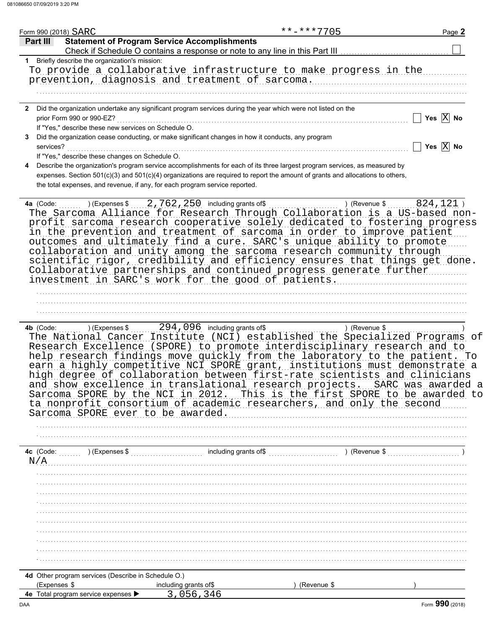| Form 990 (2018) SARC |                                                      |                                                                                                    | **-***7705                                                                                                                                                                                                                                                                                                                                                                                                                                                                                                                                            | Page 2                    |
|----------------------|------------------------------------------------------|----------------------------------------------------------------------------------------------------|-------------------------------------------------------------------------------------------------------------------------------------------------------------------------------------------------------------------------------------------------------------------------------------------------------------------------------------------------------------------------------------------------------------------------------------------------------------------------------------------------------------------------------------------------------|---------------------------|
| Part III             |                                                      | <b>Statement of Program Service Accomplishments</b>                                                |                                                                                                                                                                                                                                                                                                                                                                                                                                                                                                                                                       |                           |
|                      | 1 Briefly describe the organization's mission:       |                                                                                                    |                                                                                                                                                                                                                                                                                                                                                                                                                                                                                                                                                       |                           |
|                      |                                                      |                                                                                                    | To provide a collaborative infrastructure to make progress in the                                                                                                                                                                                                                                                                                                                                                                                                                                                                                     |                           |
|                      |                                                      | prevention, diagnosis and treatment of sarcoma.                                                    |                                                                                                                                                                                                                                                                                                                                                                                                                                                                                                                                                       |                           |
|                      |                                                      |                                                                                                    |                                                                                                                                                                                                                                                                                                                                                                                                                                                                                                                                                       |                           |
|                      |                                                      |                                                                                                    |                                                                                                                                                                                                                                                                                                                                                                                                                                                                                                                                                       |                           |
| $\mathbf{2}$         |                                                      |                                                                                                    | Did the organization undertake any significant program services during the year which were not listed on the                                                                                                                                                                                                                                                                                                                                                                                                                                          |                           |
|                      | prior Form 990 or 990-EZ?                            |                                                                                                    |                                                                                                                                                                                                                                                                                                                                                                                                                                                                                                                                                       | Yes $\overline{X}$ No     |
|                      | If "Yes," describe these new services on Schedule O. |                                                                                                    |                                                                                                                                                                                                                                                                                                                                                                                                                                                                                                                                                       |                           |
| 3                    |                                                      | Did the organization cease conducting, or make significant changes in how it conducts, any program |                                                                                                                                                                                                                                                                                                                                                                                                                                                                                                                                                       |                           |
| services?            |                                                      |                                                                                                    |                                                                                                                                                                                                                                                                                                                                                                                                                                                                                                                                                       | Yes $\overline{X}$ No     |
|                      | If "Yes," describe these changes on Schedule O.      |                                                                                                    |                                                                                                                                                                                                                                                                                                                                                                                                                                                                                                                                                       |                           |
| 4                    |                                                      |                                                                                                    | Describe the organization's program service accomplishments for each of its three largest program services, as measured by                                                                                                                                                                                                                                                                                                                                                                                                                            |                           |
|                      |                                                      |                                                                                                    | expenses. Section 501(c)(3) and 501(c)(4) organizations are required to report the amount of grants and allocations to others,                                                                                                                                                                                                                                                                                                                                                                                                                        |                           |
|                      |                                                      | the total expenses, and revenue, if any, for each program service reported.                        |                                                                                                                                                                                                                                                                                                                                                                                                                                                                                                                                                       |                           |
|                      |                                                      |                                                                                                    |                                                                                                                                                                                                                                                                                                                                                                                                                                                                                                                                                       |                           |
| 4a (Code:            |                                                      | ) (Expenses $$ 2, 762, 250$ including grants of \$                                                 | The Sarcoma Alliance for Research Through Collaboration is a US-based non-<br>profit sarcoma research cooperative solely dedicated to fostering progress<br>in the prevention and treatment of sarcoma in order to improve patient<br>outcomes and ultimately find a cure. SARC's unique ability to promote<br>collaboration and unity among the sarcoma research community through                                                                                                                                                                   | 824,121)<br>) (Revenue \$ |
|                      |                                                      | investment in SARC's work for the good of patients.                                                | scientific rigor, credibility and efficiency ensures that things get done.<br>Collaborative partnerships and continued progress generate further                                                                                                                                                                                                                                                                                                                                                                                                      |                           |
|                      |                                                      |                                                                                                    |                                                                                                                                                                                                                                                                                                                                                                                                                                                                                                                                                       |                           |
|                      |                                                      |                                                                                                    |                                                                                                                                                                                                                                                                                                                                                                                                                                                                                                                                                       |                           |
|                      |                                                      |                                                                                                    |                                                                                                                                                                                                                                                                                                                                                                                                                                                                                                                                                       |                           |
| 4b (Code:            |                                                      | ) (Expenses \$294, 096 including grants of \$                                                      |                                                                                                                                                                                                                                                                                                                                                                                                                                                                                                                                                       | ) (Revenue \$             |
|                      | Sarcoma SPORE ever to be awarded.                    |                                                                                                    | Research Excellence (SPORE) to promote interdisciplinary research and to<br>help research findings move quickly from the laboratory to the patient. To<br>earn a highly competitive NCI SPORE grant, institutions must demonstrate a<br>high degree of collaboration between first-rate scientists and clinicians<br>and show excellence in translational research projects. SARC was awarded a<br>Sarcoma SPORE by the NCI in 2012. This is the first SPORE to be awarded to<br>ta nonprofit consortium of academic researchers, and only the second |                           |
|                      |                                                      |                                                                                                    |                                                                                                                                                                                                                                                                                                                                                                                                                                                                                                                                                       |                           |
|                      |                                                      |                                                                                                    |                                                                                                                                                                                                                                                                                                                                                                                                                                                                                                                                                       |                           |
|                      |                                                      |                                                                                                    | 4c (Code: (a) (Expenses \$ (a) (Expenses \$ (a) including grants of \$ (a) (Revenue \$ (a) (Revenue \$ (a) (Revenue \$ (a) (Bevenue \$ (a) (Bevenue \$ (a) (Bevenue \$ (a) (Bevenue $\frac{1}{2}$ (Revenue \$ (a) (Bevenue $\frac{1}{2}$ (Revenu                                                                                                                                                                                                                                                                                                      |                           |
| N/A                  |                                                      |                                                                                                    |                                                                                                                                                                                                                                                                                                                                                                                                                                                                                                                                                       |                           |
|                      |                                                      |                                                                                                    |                                                                                                                                                                                                                                                                                                                                                                                                                                                                                                                                                       |                           |
|                      |                                                      |                                                                                                    |                                                                                                                                                                                                                                                                                                                                                                                                                                                                                                                                                       |                           |
|                      |                                                      |                                                                                                    |                                                                                                                                                                                                                                                                                                                                                                                                                                                                                                                                                       |                           |
|                      |                                                      |                                                                                                    |                                                                                                                                                                                                                                                                                                                                                                                                                                                                                                                                                       |                           |
|                      |                                                      |                                                                                                    |                                                                                                                                                                                                                                                                                                                                                                                                                                                                                                                                                       |                           |
|                      |                                                      |                                                                                                    |                                                                                                                                                                                                                                                                                                                                                                                                                                                                                                                                                       |                           |
|                      |                                                      |                                                                                                    |                                                                                                                                                                                                                                                                                                                                                                                                                                                                                                                                                       |                           |
|                      |                                                      |                                                                                                    |                                                                                                                                                                                                                                                                                                                                                                                                                                                                                                                                                       |                           |
|                      |                                                      |                                                                                                    |                                                                                                                                                                                                                                                                                                                                                                                                                                                                                                                                                       |                           |
|                      |                                                      |                                                                                                    |                                                                                                                                                                                                                                                                                                                                                                                                                                                                                                                                                       |                           |
|                      |                                                      |                                                                                                    |                                                                                                                                                                                                                                                                                                                                                                                                                                                                                                                                                       |                           |
|                      | 4d Other program services (Describe in Schedule O.)  |                                                                                                    |                                                                                                                                                                                                                                                                                                                                                                                                                                                                                                                                                       |                           |
| (Expenses \$         | 4e Total program service expenses >                  | including grants of\$<br>3,056,346                                                                 | (Revenue \$                                                                                                                                                                                                                                                                                                                                                                                                                                                                                                                                           |                           |
|                      |                                                      |                                                                                                    |                                                                                                                                                                                                                                                                                                                                                                                                                                                                                                                                                       |                           |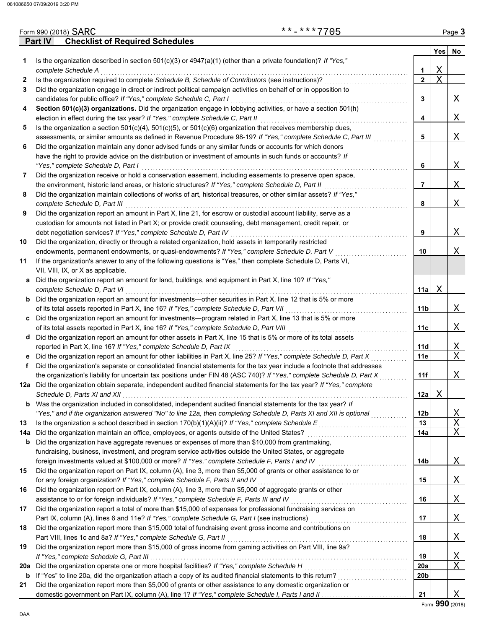|         | <b>Checklist of Required Schedules</b><br>Part IV                                                                       |                 |     |             |
|---------|-------------------------------------------------------------------------------------------------------------------------|-----------------|-----|-------------|
|         |                                                                                                                         |                 | Yes | <b>No</b>   |
| 1       | Is the organization described in section $501(c)(3)$ or $4947(a)(1)$ (other than a private foundation)? If "Yes,"       |                 |     |             |
|         | complete Schedule A                                                                                                     | $\mathbf 1$     | Χ   |             |
| 2       | Is the organization required to complete Schedule B, Schedule of Contributors (see instructions)?                       | $\mathbf{2}$    | X   |             |
| 3       | Did the organization engage in direct or indirect political campaign activities on behalf of or in opposition to        |                 |     |             |
|         | candidates for public office? If "Yes," complete Schedule C, Part I                                                     | 3               |     | X           |
| 4       | Section 501(c)(3) organizations. Did the organization engage in lobbying activities, or have a section 501(h)           |                 |     |             |
|         | election in effect during the tax year? If "Yes," complete Schedule C, Part II                                          | 4               |     | Χ           |
| 5       | Is the organization a section $501(c)(4)$ , $501(c)(5)$ , or $501(c)(6)$ organization that receives membership dues,    |                 |     |             |
|         | assessments, or similar amounts as defined in Revenue Procedure 98-19? If "Yes," complete Schedule C, Part III          | 5               |     | Χ           |
| 6       | Did the organization maintain any donor advised funds or any similar funds or accounts for which donors                 |                 |     |             |
|         | have the right to provide advice on the distribution or investment of amounts in such funds or accounts? If             |                 |     |             |
|         | "Yes," complete Schedule D, Part I                                                                                      | 6               |     | X           |
| 7       | Did the organization receive or hold a conservation easement, including easements to preserve open space,               |                 |     |             |
|         | the environment, historic land areas, or historic structures? If "Yes," complete Schedule D, Part II                    | 7               |     | Χ           |
| 8       | Did the organization maintain collections of works of art, historical treasures, or other similar assets? If "Yes,"     |                 |     |             |
|         | complete Schedule D, Part III                                                                                           | 8               |     | X           |
| 9       | Did the organization report an amount in Part X, line 21, for escrow or custodial account liability, serve as a         |                 |     |             |
|         | custodian for amounts not listed in Part X; or provide credit counseling, debt management, credit repair, or            |                 |     |             |
|         | debt negotiation services? If "Yes," complete Schedule D, Part IV                                                       | 9               |     | X           |
| 10      | Did the organization, directly or through a related organization, hold assets in temporarily restricted                 |                 |     |             |
|         | endowments, permanent endowments, or quasi-endowments? If "Yes," complete Schedule D, Part V                            | 10              |     | Χ           |
| 11      | If the organization's answer to any of the following questions is "Yes," then complete Schedule D, Parts VI,            |                 |     |             |
|         | VII, VIII, IX, or X as applicable.                                                                                      |                 |     |             |
| а       | Did the organization report an amount for land, buildings, and equipment in Part X, line 10? If "Yes,"                  |                 |     |             |
|         | complete Schedule D, Part VI                                                                                            | 11a             | Χ   |             |
| b       | Did the organization report an amount for investments—other securities in Part X, line 12 that is 5% or more            |                 |     |             |
|         | of its total assets reported in Part X, line 16? If "Yes," complete Schedule D, Part VII                                | 11b             |     | X           |
| C       | Did the organization report an amount for investments—program related in Part X, line 13 that is 5% or more             |                 |     |             |
|         |                                                                                                                         | 11c             |     | Χ           |
| d       | Did the organization report an amount for other assets in Part X, line 15 that is 5% or more of its total assets        |                 |     |             |
|         | reported in Part X, line 16? If "Yes," complete Schedule D, Part IX                                                     | 11d             |     | Χ           |
| е       | Did the organization report an amount for other liabilities in Part X, line 25? If "Yes," complete Schedule D, Part X   | 11e             |     | $\mathbf X$ |
| f       | Did the organization's separate or consolidated financial statements for the tax year include a footnote that addresses |                 |     |             |
|         | the organization's liability for uncertain tax positions under FIN 48 (ASC 740)? If "Yes," complete Schedule D, Part X  | 11f             |     | Χ           |
|         | 12a Did the organization obtain separate, independent audited financial statements for the tax year? If "Yes," complete |                 |     |             |
|         |                                                                                                                         | 12a             | Χ   |             |
| b       | Was the organization included in consolidated, independent audited financial statements for the tax year? If            |                 |     |             |
|         | "Yes," and if the organization answered "No" to line 12a, then completing Schedule D, Parts XI and XII is optional      | 12b             |     | Χ           |
| 13      | Is the organization a school described in section 170(b)(1)(A)(ii)? If "Yes," complete Schedule E                       | 13              |     | Χ           |
| 14a     |                                                                                                                         | 14a             |     | Χ           |
| b       | Did the organization have aggregate revenues or expenses of more than \$10,000 from grantmaking,                        |                 |     |             |
|         | fundraising, business, investment, and program service activities outside the United States, or aggregate               |                 |     |             |
|         | foreign investments valued at \$100,000 or more? If "Yes," complete Schedule F, Parts I and IV [[[[[[[[[[[[[[[          | 14b             |     | Χ           |
| 15      | Did the organization report on Part IX, column (A), line 3, more than \$5,000 of grants or other assistance to or       |                 |     |             |
|         | for any foreign organization? If "Yes," complete Schedule F, Parts II and IV                                            | 15              |     | Χ           |
| 16      | Did the organization report on Part IX, column (A), line 3, more than \$5,000 of aggregate grants or other              |                 |     |             |
|         | assistance to or for foreign individuals? If "Yes," complete Schedule F, Parts III and IV                               | 16              |     | Χ           |
| 17      | Did the organization report a total of more than \$15,000 of expenses for professional fundraising services on          |                 |     |             |
|         |                                                                                                                         | 17              |     | Χ           |
| 18      | Did the organization report more than \$15,000 total of fundraising event gross income and contributions on             |                 |     |             |
|         | Part VIII, lines 1c and 8a? If "Yes," complete Schedule G, Part II                                                      | 18              |     | Χ           |
| 19      | Did the organization report more than \$15,000 of gross income from gaming activities on Part VIII, line 9a?            |                 |     |             |
|         |                                                                                                                         | 19              |     | Χ           |
|         | Did the organization operate one or more hospital facilities? If "Yes," complete Schedule H                             | <b>20a</b>      |     | Χ           |
| 20a     |                                                                                                                         | 20 <sub>b</sub> |     |             |
| b<br>21 | Did the organization report more than \$5,000 of grants or other assistance to any domestic organization or             |                 |     |             |
|         |                                                                                                                         | 21              |     | X           |
|         |                                                                                                                         |                 |     |             |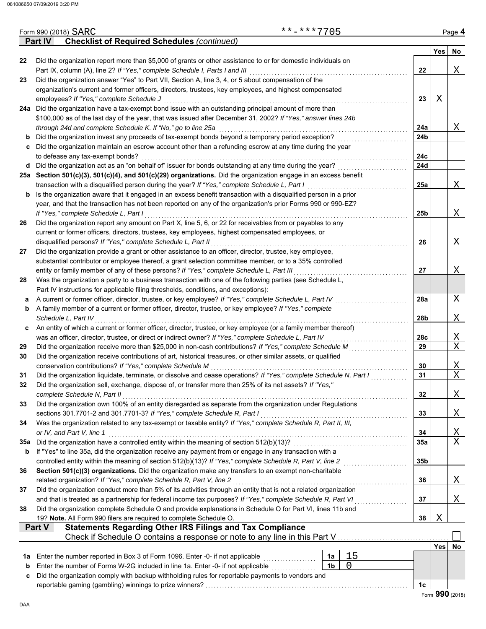| Form 990 (2018) SARC<br><b>Checklist of Required Schedules (continued)</b><br><b>Part IV</b><br>Did the organization report more than \$5,000 of grants or other assistance to or for domestic individuals on<br>22<br>Part IX, column (A), line 2? If "Yes," complete Schedule I, Parts I and III<br>22<br>Did the organization answer "Yes" to Part VII, Section A, line 3, 4, or 5 about compensation of the<br>23<br>organization's current and former officers, directors, trustees, key employees, and highest compensated<br>23<br>employees? If "Yes," complete Schedule J<br>24a Did the organization have a tax-exempt bond issue with an outstanding principal amount of more than<br>\$100,000 as of the last day of the year, that was issued after December 31, 2002? If "Yes," answer lines 24b<br>through 24d and complete Schedule K. If "No," go to line 25a<br>24a | <b>Yes</b><br>Χ | No.<br>Χ<br>X<br>X          |
|---------------------------------------------------------------------------------------------------------------------------------------------------------------------------------------------------------------------------------------------------------------------------------------------------------------------------------------------------------------------------------------------------------------------------------------------------------------------------------------------------------------------------------------------------------------------------------------------------------------------------------------------------------------------------------------------------------------------------------------------------------------------------------------------------------------------------------------------------------------------------------------|-----------------|-----------------------------|
|                                                                                                                                                                                                                                                                                                                                                                                                                                                                                                                                                                                                                                                                                                                                                                                                                                                                                       |                 |                             |
|                                                                                                                                                                                                                                                                                                                                                                                                                                                                                                                                                                                                                                                                                                                                                                                                                                                                                       |                 |                             |
|                                                                                                                                                                                                                                                                                                                                                                                                                                                                                                                                                                                                                                                                                                                                                                                                                                                                                       |                 |                             |
|                                                                                                                                                                                                                                                                                                                                                                                                                                                                                                                                                                                                                                                                                                                                                                                                                                                                                       |                 |                             |
|                                                                                                                                                                                                                                                                                                                                                                                                                                                                                                                                                                                                                                                                                                                                                                                                                                                                                       |                 |                             |
|                                                                                                                                                                                                                                                                                                                                                                                                                                                                                                                                                                                                                                                                                                                                                                                                                                                                                       |                 |                             |
|                                                                                                                                                                                                                                                                                                                                                                                                                                                                                                                                                                                                                                                                                                                                                                                                                                                                                       |                 |                             |
|                                                                                                                                                                                                                                                                                                                                                                                                                                                                                                                                                                                                                                                                                                                                                                                                                                                                                       |                 |                             |
|                                                                                                                                                                                                                                                                                                                                                                                                                                                                                                                                                                                                                                                                                                                                                                                                                                                                                       |                 |                             |
|                                                                                                                                                                                                                                                                                                                                                                                                                                                                                                                                                                                                                                                                                                                                                                                                                                                                                       |                 |                             |
| Did the organization invest any proceeds of tax-exempt bonds beyond a temporary period exception?<br>24 <sub>b</sub>                                                                                                                                                                                                                                                                                                                                                                                                                                                                                                                                                                                                                                                                                                                                                                  |                 |                             |
| Did the organization maintain an escrow account other than a refunding escrow at any time during the year<br>C                                                                                                                                                                                                                                                                                                                                                                                                                                                                                                                                                                                                                                                                                                                                                                        |                 |                             |
| 24c<br>to defease any tax-exempt bonds?<br>24d                                                                                                                                                                                                                                                                                                                                                                                                                                                                                                                                                                                                                                                                                                                                                                                                                                        |                 |                             |
| d Did the organization act as an "on behalf of" issuer for bonds outstanding at any time during the year?<br>25a Section 501(c)(3), 501(c)(4), and 501(c)(29) organizations. Did the organization engage in an excess benefit                                                                                                                                                                                                                                                                                                                                                                                                                                                                                                                                                                                                                                                         |                 |                             |
| transaction with a disqualified person during the year? If "Yes," complete Schedule L, Part I<br>25a                                                                                                                                                                                                                                                                                                                                                                                                                                                                                                                                                                                                                                                                                                                                                                                  |                 |                             |
| Is the organization aware that it engaged in an excess benefit transaction with a disqualified person in a prior<br>b                                                                                                                                                                                                                                                                                                                                                                                                                                                                                                                                                                                                                                                                                                                                                                 |                 |                             |
| year, and that the transaction has not been reported on any of the organization's prior Forms 990 or 990-EZ?                                                                                                                                                                                                                                                                                                                                                                                                                                                                                                                                                                                                                                                                                                                                                                          |                 |                             |
| If "Yes," complete Schedule L, Part I<br>25 <sub>b</sub>                                                                                                                                                                                                                                                                                                                                                                                                                                                                                                                                                                                                                                                                                                                                                                                                                              |                 | X                           |
| Did the organization report any amount on Part X, line 5, 6, or 22 for receivables from or payables to any<br>26                                                                                                                                                                                                                                                                                                                                                                                                                                                                                                                                                                                                                                                                                                                                                                      |                 |                             |
| current or former officers, directors, trustees, key employees, highest compensated employees, or                                                                                                                                                                                                                                                                                                                                                                                                                                                                                                                                                                                                                                                                                                                                                                                     |                 |                             |
| disqualified persons? If "Yes," complete Schedule L, Part II<br>26                                                                                                                                                                                                                                                                                                                                                                                                                                                                                                                                                                                                                                                                                                                                                                                                                    |                 | X                           |
| Did the organization provide a grant or other assistance to an officer, director, trustee, key employee,<br>27                                                                                                                                                                                                                                                                                                                                                                                                                                                                                                                                                                                                                                                                                                                                                                        |                 |                             |
| substantial contributor or employee thereof, a grant selection committee member, or to a 35% controlled                                                                                                                                                                                                                                                                                                                                                                                                                                                                                                                                                                                                                                                                                                                                                                               |                 |                             |
| entity or family member of any of these persons? If "Yes," complete Schedule L, Part III<br>27                                                                                                                                                                                                                                                                                                                                                                                                                                                                                                                                                                                                                                                                                                                                                                                        |                 | Χ                           |
| Was the organization a party to a business transaction with one of the following parties (see Schedule L,<br>28                                                                                                                                                                                                                                                                                                                                                                                                                                                                                                                                                                                                                                                                                                                                                                       |                 |                             |
| Part IV instructions for applicable filing thresholds, conditions, and exceptions):                                                                                                                                                                                                                                                                                                                                                                                                                                                                                                                                                                                                                                                                                                                                                                                                   |                 |                             |
| A current or former officer, director, trustee, or key employee? If "Yes," complete Schedule L, Part IV<br>28a<br>а                                                                                                                                                                                                                                                                                                                                                                                                                                                                                                                                                                                                                                                                                                                                                                   |                 | Χ                           |
| A family member of a current or former officer, director, trustee, or key employee? If "Yes," complete<br>b                                                                                                                                                                                                                                                                                                                                                                                                                                                                                                                                                                                                                                                                                                                                                                           |                 |                             |
| Schedule L, Part IV<br>28b<br>An entity of which a current or former officer, director, trustee, or key employee (or a family member thereof)                                                                                                                                                                                                                                                                                                                                                                                                                                                                                                                                                                                                                                                                                                                                         |                 | Χ                           |
| c<br>28c<br>was an officer, director, trustee, or direct or indirect owner? If "Yes," complete Schedule L, Part IV                                                                                                                                                                                                                                                                                                                                                                                                                                                                                                                                                                                                                                                                                                                                                                    |                 | Χ                           |
| 29<br>Did the organization receive more than \$25,000 in non-cash contributions? If "Yes," complete Schedule M<br>29                                                                                                                                                                                                                                                                                                                                                                                                                                                                                                                                                                                                                                                                                                                                                                  |                 | X                           |
| Did the organization receive contributions of art, historical treasures, or other similar assets, or qualified<br>30                                                                                                                                                                                                                                                                                                                                                                                                                                                                                                                                                                                                                                                                                                                                                                  |                 |                             |
| 30<br>conservation contributions? If "Yes," complete Schedule M                                                                                                                                                                                                                                                                                                                                                                                                                                                                                                                                                                                                                                                                                                                                                                                                                       |                 | Χ                           |
| Did the organization liquidate, terminate, or dissolve and cease operations? If "Yes," complete Schedule N, Part I<br>31<br>31                                                                                                                                                                                                                                                                                                                                                                                                                                                                                                                                                                                                                                                                                                                                                        |                 | $\mathbf X$                 |
| 32<br>Did the organization sell, exchange, dispose of, or transfer more than 25% of its net assets? If "Yes,"                                                                                                                                                                                                                                                                                                                                                                                                                                                                                                                                                                                                                                                                                                                                                                         |                 |                             |
| complete Schedule N, Part II<br>32                                                                                                                                                                                                                                                                                                                                                                                                                                                                                                                                                                                                                                                                                                                                                                                                                                                    |                 | Χ                           |
| Did the organization own 100% of an entity disregarded as separate from the organization under Regulations<br>33                                                                                                                                                                                                                                                                                                                                                                                                                                                                                                                                                                                                                                                                                                                                                                      |                 |                             |
| 33<br>sections 301.7701-2 and 301.7701-3? If "Yes," complete Schedule R, Part I                                                                                                                                                                                                                                                                                                                                                                                                                                                                                                                                                                                                                                                                                                                                                                                                       |                 | Χ                           |
| Was the organization related to any tax-exempt or taxable entity? If "Yes," complete Schedule R, Part II, III,<br>34                                                                                                                                                                                                                                                                                                                                                                                                                                                                                                                                                                                                                                                                                                                                                                  |                 |                             |
| or IV, and Part V, line 1<br>34                                                                                                                                                                                                                                                                                                                                                                                                                                                                                                                                                                                                                                                                                                                                                                                                                                                       |                 | <u>X</u>                    |
| Did the organization have a controlled entity within the meaning of section 512(b)(13)?<br>35a<br>35a                                                                                                                                                                                                                                                                                                                                                                                                                                                                                                                                                                                                                                                                                                                                                                                 |                 | X                           |
| If "Yes" to line 35a, did the organization receive any payment from or engage in any transaction with a<br>b                                                                                                                                                                                                                                                                                                                                                                                                                                                                                                                                                                                                                                                                                                                                                                          |                 |                             |
| 35b                                                                                                                                                                                                                                                                                                                                                                                                                                                                                                                                                                                                                                                                                                                                                                                                                                                                                   |                 |                             |
| Section 501(c)(3) organizations. Did the organization make any transfers to an exempt non-charitable<br>36                                                                                                                                                                                                                                                                                                                                                                                                                                                                                                                                                                                                                                                                                                                                                                            |                 |                             |
| related organization? If "Yes," complete Schedule R, Part V, line 2<br>36                                                                                                                                                                                                                                                                                                                                                                                                                                                                                                                                                                                                                                                                                                                                                                                                             |                 | Χ                           |
| Did the organization conduct more than 5% of its activities through an entity that is not a related organization<br>37<br>37<br>and that is treated as a partnership for federal income tax purposes? If "Yes," complete Schedule R, Part VI                                                                                                                                                                                                                                                                                                                                                                                                                                                                                                                                                                                                                                          |                 | Χ                           |
| Did the organization complete Schedule O and provide explanations in Schedule O for Part VI, lines 11b and<br>38                                                                                                                                                                                                                                                                                                                                                                                                                                                                                                                                                                                                                                                                                                                                                                      |                 |                             |
| 19? Note. All Form 990 filers are required to complete Schedule O.<br>38                                                                                                                                                                                                                                                                                                                                                                                                                                                                                                                                                                                                                                                                                                                                                                                                              | Χ               |                             |
| <b>Statements Regarding Other IRS Filings and Tax Compliance</b><br><b>Part V</b>                                                                                                                                                                                                                                                                                                                                                                                                                                                                                                                                                                                                                                                                                                                                                                                                     |                 |                             |
| Check if Schedule O contains a response or note to any line in this Part V                                                                                                                                                                                                                                                                                                                                                                                                                                                                                                                                                                                                                                                                                                                                                                                                            |                 |                             |
|                                                                                                                                                                                                                                                                                                                                                                                                                                                                                                                                                                                                                                                                                                                                                                                                                                                                                       | Yes             | No                          |
| 15<br>Enter the number reported in Box 3 of Form 1096. Enter -0- if not applicable<br>1a<br>1а                                                                                                                                                                                                                                                                                                                                                                                                                                                                                                                                                                                                                                                                                                                                                                                        |                 |                             |
| 1 <sub>b</sub><br>0<br>Enter the number of Forms W-2G included in line 1a. Enter -0- if not applicable<br>b                                                                                                                                                                                                                                                                                                                                                                                                                                                                                                                                                                                                                                                                                                                                                                           |                 |                             |
| Did the organization comply with backup withholding rules for reportable payments to vendors and<br>c                                                                                                                                                                                                                                                                                                                                                                                                                                                                                                                                                                                                                                                                                                                                                                                 |                 |                             |
| 1c                                                                                                                                                                                                                                                                                                                                                                                                                                                                                                                                                                                                                                                                                                                                                                                                                                                                                    |                 | $F_{\text{orm}}$ 990 (2018) |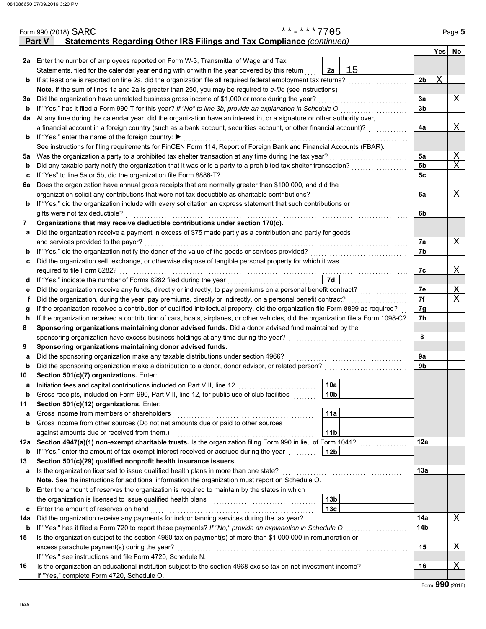|     | Form 990 (2018) SARC                                                                                                                                      |                                                                       |  | **-***7705 |                 |    |     |            | Page 5 |  |  |  |  |  |
|-----|-----------------------------------------------------------------------------------------------------------------------------------------------------------|-----------------------------------------------------------------------|--|------------|-----------------|----|-----|------------|--------|--|--|--|--|--|
|     | <b>Part V</b>                                                                                                                                             | Statements Regarding Other IRS Filings and Tax Compliance (continued) |  |            |                 |    |     |            |        |  |  |  |  |  |
|     |                                                                                                                                                           |                                                                       |  |            |                 |    |     | <b>Yes</b> | No     |  |  |  |  |  |
|     | 2a Enter the number of employees reported on Form W-3, Transmittal of Wage and Tax                                                                        |                                                                       |  |            |                 |    |     |            |        |  |  |  |  |  |
|     | Statements, filed for the calendar year ending with or within the year covered by this return                                                             |                                                                       |  |            | 2a              | 15 |     |            |        |  |  |  |  |  |
| b   | If at least one is reported on line 2a, did the organization file all required federal employment tax returns?                                            |                                                                       |  |            |                 |    | 2b  | Χ          |        |  |  |  |  |  |
|     | Note. If the sum of lines 1a and 2a is greater than 250, you may be required to e-file (see instructions)                                                 |                                                                       |  |            |                 |    |     |            |        |  |  |  |  |  |
| За  | Did the organization have unrelated business gross income of \$1,000 or more during the year?                                                             |                                                                       |  |            |                 |    | За  |            | Χ      |  |  |  |  |  |
| b   | If "Yes," has it filed a Form 990-T for this year? If "No" to line 3b, provide an explanation in Schedule O                                               |                                                                       |  |            |                 |    | 3b  |            |        |  |  |  |  |  |
| 4a  | At any time during the calendar year, did the organization have an interest in, or a signature or other authority over,                                   |                                                                       |  |            |                 |    |     |            |        |  |  |  |  |  |
|     | a financial account in a foreign country (such as a bank account, securities account, or other financial account)?                                        |                                                                       |  |            |                 |    | 4a  |            | Χ      |  |  |  |  |  |
| b   | If "Yes," enter the name of the foreign country: ▶                                                                                                        |                                                                       |  |            |                 |    |     |            |        |  |  |  |  |  |
|     | See instructions for filing requirements for FinCEN Form 114, Report of Foreign Bank and Financial Accounts (FBAR).                                       |                                                                       |  |            |                 |    |     |            |        |  |  |  |  |  |
| 5a  | Was the organization a party to a prohibited tax shelter transaction at any time during the tax year?                                                     |                                                                       |  |            |                 |    | 5a  |            | X      |  |  |  |  |  |
| b   |                                                                                                                                                           |                                                                       |  |            |                 |    | 5b  |            | X      |  |  |  |  |  |
| c   | If "Yes" to line 5a or 5b, did the organization file Form 8886-T?                                                                                         |                                                                       |  |            |                 |    | 5c  |            |        |  |  |  |  |  |
| 6a  | Does the organization have annual gross receipts that are normally greater than \$100,000, and did the                                                    |                                                                       |  |            |                 |    |     |            |        |  |  |  |  |  |
|     | organization solicit any contributions that were not tax deductible as charitable contributions?                                                          |                                                                       |  |            |                 |    | 6a  |            | Χ      |  |  |  |  |  |
| b   | If "Yes," did the organization include with every solicitation an express statement that such contributions or                                            |                                                                       |  |            |                 |    |     |            |        |  |  |  |  |  |
|     | gifts were not tax deductible?                                                                                                                            |                                                                       |  |            |                 |    | 6b  |            |        |  |  |  |  |  |
| 7   | Organizations that may receive deductible contributions under section 170(c).                                                                             |                                                                       |  |            |                 |    |     |            |        |  |  |  |  |  |
| а   | Did the organization receive a payment in excess of \$75 made partly as a contribution and partly for goods                                               |                                                                       |  |            |                 |    |     |            |        |  |  |  |  |  |
|     | and services provided to the payor?                                                                                                                       |                                                                       |  |            |                 |    | 7a  |            | Χ      |  |  |  |  |  |
| b   |                                                                                                                                                           |                                                                       |  |            |                 |    | 7b  |            |        |  |  |  |  |  |
| c   | Did the organization sell, exchange, or otherwise dispose of tangible personal property for which it was                                                  |                                                                       |  |            |                 |    |     |            |        |  |  |  |  |  |
|     | required to file Form 8282?                                                                                                                               |                                                                       |  |            |                 |    | 7c  |            | Χ      |  |  |  |  |  |
| d   | If "Yes," indicate the number of Forms 8282 filed during the year<br>[[[[[[[[[[[[[[]]]]]<br>7d                                                            |                                                                       |  |            |                 |    |     |            |        |  |  |  |  |  |
| е   | Did the organization receive any funds, directly or indirectly, to pay premiums on a personal benefit contract?                                           |                                                                       |  |            |                 |    |     |            |        |  |  |  |  |  |
| f   | Did the organization, during the year, pay premiums, directly or indirectly, on a personal benefit contract?                                              |                                                                       |  |            |                 |    |     |            |        |  |  |  |  |  |
| g   | If the organization received a contribution of qualified intellectual property, did the organization file Form 8899 as required?                          |                                                                       |  |            |                 |    |     |            |        |  |  |  |  |  |
| h.  | If the organization received a contribution of cars, boats, airplanes, or other vehicles, did the organization file a Form 1098-C?                        |                                                                       |  |            |                 |    |     |            |        |  |  |  |  |  |
| 8   | Sponsoring organizations maintaining donor advised funds. Did a donor advised fund maintained by the                                                      |                                                                       |  |            |                 |    |     |            |        |  |  |  |  |  |
|     |                                                                                                                                                           |                                                                       |  |            |                 |    | 8   |            |        |  |  |  |  |  |
| 9   | Sponsoring organizations maintaining donor advised funds.                                                                                                 |                                                                       |  |            |                 |    |     |            |        |  |  |  |  |  |
| а   | Did the sponsoring organization make any taxable distributions under section 4966?                                                                        |                                                                       |  |            |                 |    | 9a  |            |        |  |  |  |  |  |
| b   | Did the sponsoring organization make a distribution to a donor, donor advisor, or related person?                                                         |                                                                       |  |            |                 |    | 9b  |            |        |  |  |  |  |  |
| 10  | Section 501(c)(7) organizations. Enter:                                                                                                                   |                                                                       |  |            |                 |    |     |            |        |  |  |  |  |  |
| a   | Initiation fees and capital contributions included on Part VIII, line 12                                                                                  |                                                                       |  |            | 10a             |    |     |            |        |  |  |  |  |  |
| b   | Gross receipts, included on Form 990, Part VIII, line 12, for public use of club facilities                                                               |                                                                       |  |            | 10b             |    |     |            |        |  |  |  |  |  |
| 11  | Section 501(c)(12) organizations. Enter:                                                                                                                  |                                                                       |  |            |                 |    |     |            |        |  |  |  |  |  |
| a   | Gross income from members or shareholders                                                                                                                 |                                                                       |  |            | 11a             |    |     |            |        |  |  |  |  |  |
| b   | Gross income from other sources (Do not net amounts due or paid to other sources                                                                          |                                                                       |  |            |                 |    |     |            |        |  |  |  |  |  |
|     | against amounts due or received from them.)<br>Section 4947(a)(1) non-exempt charitable trusts. Is the organization filing Form 990 in lieu of Form 1041? |                                                                       |  |            | 11 <sub>b</sub> |    |     |            |        |  |  |  |  |  |
| 12a |                                                                                                                                                           |                                                                       |  |            |                 |    | 12a |            |        |  |  |  |  |  |
| b   | If "Yes," enter the amount of tax-exempt interest received or accrued during the year                                                                     |                                                                       |  |            | 12 <sub>b</sub> |    |     |            |        |  |  |  |  |  |
| 13  | Section 501(c)(29) qualified nonprofit health insurance issuers.                                                                                          |                                                                       |  |            |                 |    |     |            |        |  |  |  |  |  |
| а   | Is the organization licensed to issue qualified health plans in more than one state?                                                                      |                                                                       |  |            |                 |    | 13а |            |        |  |  |  |  |  |
|     | Note. See the instructions for additional information the organization must report on Schedule O.                                                         |                                                                       |  |            |                 |    |     |            |        |  |  |  |  |  |
| b   | Enter the amount of reserves the organization is required to maintain by the states in which                                                              |                                                                       |  |            |                 |    |     |            |        |  |  |  |  |  |
|     |                                                                                                                                                           |                                                                       |  |            | 13 <sub>b</sub> |    |     |            |        |  |  |  |  |  |
| c   | Enter the amount of reserves on hand                                                                                                                      |                                                                       |  |            | 13 <sub>c</sub> |    |     |            |        |  |  |  |  |  |
| 14a | Did the organization receive any payments for indoor tanning services during the tax year?                                                                |                                                                       |  |            |                 |    | 14a |            | Χ      |  |  |  |  |  |
| b   |                                                                                                                                                           |                                                                       |  |            |                 |    | 14b |            |        |  |  |  |  |  |
| 15  | Is the organization subject to the section 4960 tax on payment(s) of more than \$1,000,000 in remuneration or                                             |                                                                       |  |            |                 |    |     |            |        |  |  |  |  |  |
|     | excess parachute payment(s) during the year?                                                                                                              |                                                                       |  |            |                 |    | 15  |            | Χ      |  |  |  |  |  |
|     | If "Yes," see instructions and file Form 4720, Schedule N.                                                                                                |                                                                       |  |            |                 |    | 16  |            | Χ      |  |  |  |  |  |
| 16  | Is the organization an educational institution subject to the section 4968 excise tax on net investment income?                                           |                                                                       |  |            |                 |    |     |            |        |  |  |  |  |  |
|     | If "Yes," complete Form 4720, Schedule O.                                                                                                                 |                                                                       |  |            |                 |    |     |            |        |  |  |  |  |  |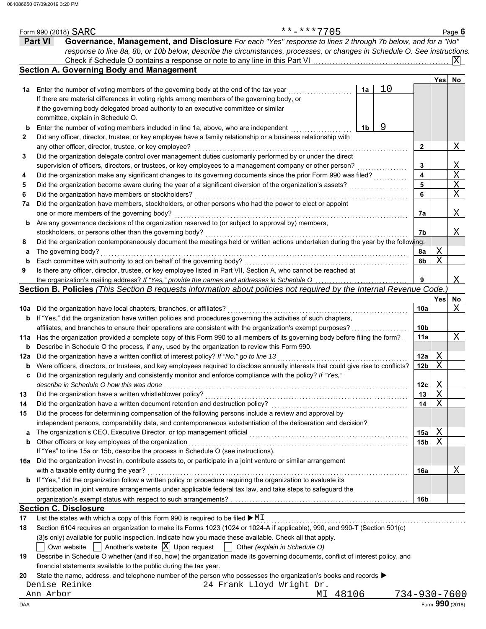|             |                | **-***7705<br>Form 990 (2018) SARC                                                                                                   |    |    |                 |             | Page 6                  |
|-------------|----------------|--------------------------------------------------------------------------------------------------------------------------------------|----|----|-----------------|-------------|-------------------------|
|             | <b>Part VI</b> | Governance, Management, and Disclosure For each "Yes" response to lines 2 through 7b below, and for a "No"                           |    |    |                 |             |                         |
|             |                | response to line 8a, 8b, or 10b below, describe the circumstances, processes, or changes in Schedule O. See instructions.            |    |    |                 |             |                         |
|             |                |                                                                                                                                      |    |    |                 |             | X                       |
|             |                | <b>Section A. Governing Body and Management</b>                                                                                      |    |    |                 |             |                         |
|             |                |                                                                                                                                      |    |    |                 | Yes         | No                      |
| 1а          |                | Enter the number of voting members of the governing body at the end of the tax year                                                  | 1a | 10 |                 |             |                         |
|             |                | If there are material differences in voting rights among members of the governing body, or                                           |    |    |                 |             |                         |
|             |                | if the governing body delegated broad authority to an executive committee or similar                                                 |    |    |                 |             |                         |
|             |                | committee, explain in Schedule O.                                                                                                    |    |    |                 |             |                         |
| b           |                | Enter the number of voting members included in line 1a, above, who are independent                                                   | 1b | 9  |                 |             |                         |
| 2           |                | Did any officer, director, trustee, or key employee have a family relationship or a business relationship with                       |    |    |                 |             |                         |
|             |                | any other officer, director, trustee, or key employee?                                                                               |    |    | 2               |             | Χ                       |
| 3           |                | Did the organization delegate control over management duties customarily performed by or under the direct                            |    |    |                 |             |                         |
|             |                | supervision of officers, directors, or trustees, or key employees to a management company or other person?                           |    |    | 3               |             | <u>X</u>                |
| 4           |                | Did the organization make any significant changes to its governing documents since the prior Form 990 was filed?                     |    |    | 4               |             | $\overline{\mathrm{X}}$ |
| 5           |                | Did the organization become aware during the year of a significant diversion of the organization's assets?                           |    |    | 5               |             | $\overline{\text{X}}$   |
| 6           |                | Did the organization have members or stockholders?                                                                                   |    |    | 6               |             | $\overline{X}$          |
| 7a          |                | Did the organization have members, stockholders, or other persons who had the power to elect or appoint                              |    |    |                 |             |                         |
|             |                | one or more members of the governing body?                                                                                           |    |    | 7a              |             | X                       |
|             |                | Are any governance decisions of the organization reserved to (or subject to approval by) members,                                    |    |    |                 |             |                         |
| b           |                |                                                                                                                                      |    |    |                 |             |                         |
|             |                | stockholders, or persons other than the governing body?                                                                              |    |    | 7b              |             | Χ                       |
| 8           |                | Did the organization contemporaneously document the meetings held or written actions undertaken during the year by the following:    |    |    |                 |             |                         |
| a           |                | The governing body?                                                                                                                  |    |    | 8а              | Χ<br>X      |                         |
| $\mathbf b$ |                | Each committee with authority to act on behalf of the governing body?                                                                |    |    | 8b              |             |                         |
| 9           |                | Is there any officer, director, trustee, or key employee listed in Part VII, Section A, who cannot be reached at                     |    |    |                 |             |                         |
|             |                | the organization's mailing address? If "Yes," provide the names and addresses in Schedule O                                          |    |    | 9               |             | Χ                       |
|             |                | Section B. Policies (This Section B requests information about policies not required by the Internal Revenue Code.                   |    |    |                 |             |                         |
|             |                |                                                                                                                                      |    |    |                 | Yes         | No                      |
| 10a         |                | Did the organization have local chapters, branches, or affiliates?                                                                   |    |    | 10a             |             | Χ                       |
| b           |                | If "Yes," did the organization have written policies and procedures governing the activities of such chapters,                       |    |    |                 |             |                         |
|             |                | affiliates, and branches to ensure their operations are consistent with the organization's exempt purposes?                          |    |    | 10 <sub>b</sub> |             |                         |
|             |                | 11a Has the organization provided a complete copy of this Form 990 to all members of its governing body before filing the form?      |    |    | 11a             |             | Χ                       |
| b           |                | Describe in Schedule O the process, if any, used by the organization to review this Form 990.                                        |    |    |                 |             |                         |
| 12a         |                | Did the organization have a written conflict of interest policy? If "No," go to line 13                                              |    |    | 12a             | Χ           |                         |
| b           |                | Were officers, directors, or trustees, and key employees required to disclose annually interests that could give rise to conflicts?  |    |    | 12 <sub>b</sub> | $\mathbf X$ |                         |
| с           |                | Did the organization regularly and consistently monitor and enforce compliance with the policy? If "Yes,"                            |    |    |                 |             |                         |
|             |                | describe in Schedule O how this was done                                                                                             |    |    | 12c             | <u>X</u>    |                         |
| 13          |                | Did the organization have a written whistleblower policy?                                                                            |    |    | 13              | Χ           |                         |
| 14          |                | Did the organization have a written document retention and destruction policy?                                                       |    |    | 14              | X           |                         |
| 15          |                | Did the process for determining compensation of the following persons include a review and approval by                               |    |    |                 |             |                         |
|             |                | independent persons, comparability data, and contemporaneous substantiation of the deliberation and decision?                        |    |    |                 |             |                         |
| a           |                | The organization's CEO, Executive Director, or top management official                                                               |    |    | 15a             | Χ           |                         |
| b           |                | Other officers or key employees of the organization                                                                                  |    |    | 15 <sub>b</sub> | Χ           |                         |
|             |                | If "Yes" to line 15a or 15b, describe the process in Schedule O (see instructions).                                                  |    |    |                 |             |                         |
| 16a         |                | Did the organization invest in, contribute assets to, or participate in a joint venture or similar arrangement                       |    |    |                 |             |                         |
|             |                | with a taxable entity during the year?                                                                                               |    |    | 16a             |             | Χ                       |
|             |                | <b>b</b> If "Yes," did the organization follow a written policy or procedure requiring the organization to evaluate its              |    |    |                 |             |                         |
|             |                | participation in joint venture arrangements under applicable federal tax law, and take steps to safeguard the                        |    |    |                 |             |                         |
|             |                |                                                                                                                                      |    |    | 16 <sub>b</sub> |             |                         |
|             |                | <b>Section C. Disclosure</b>                                                                                                         |    |    |                 |             |                         |
| 17          |                | List the states with which a copy of this Form 990 is required to be filed $\blacktriangleright$ MI                                  |    |    |                 |             |                         |
| 18          |                | Section 6104 requires an organization to make its Forms 1023 (1024 or 1024-A if applicable), 990, and 990-T (Section 501(c)          |    |    |                 |             |                         |
|             |                | (3)s only) available for public inspection. Indicate how you made these available. Check all that apply.                             |    |    |                 |             |                         |
|             |                | Another's website $ X $ Upon request<br>Other (explain in Schedule O)<br>Own website                                                 |    |    |                 |             |                         |
| 19          |                | Describe in Schedule O whether (and if so, how) the organization made its governing documents, conflict of interest policy, and      |    |    |                 |             |                         |
|             |                | financial statements available to the public during the tax year.                                                                    |    |    |                 |             |                         |
| 20          |                | State the name, address, and telephone number of the person who possesses the organization's books and records $\blacktriangleright$ |    |    |                 |             |                         |
|             | Denise Reinke  | 24 Frank Lloyd Wright Dr.                                                                                                            |    |    |                 |             |                         |
|             | Ann Arbor      | MI 48106                                                                                                                             |    |    | 734-930-7600    |             |                         |
| DAA         |                |                                                                                                                                      |    |    |                 |             | Form 990 (2018)         |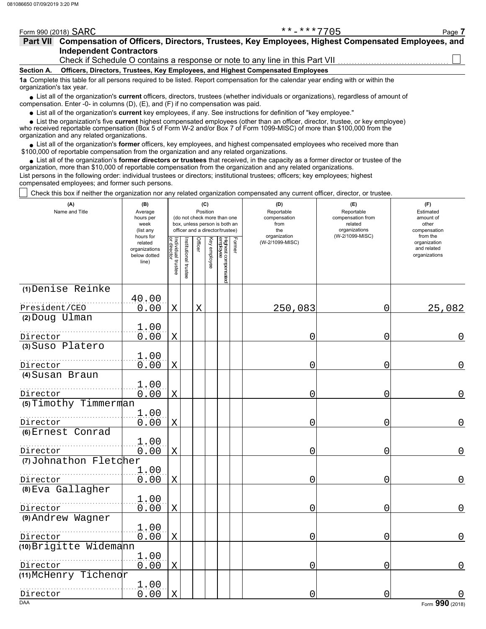|                          | **_***7705<br>Form 990 (2018) SARC<br>Page 7                                                                                          |  |
|--------------------------|---------------------------------------------------------------------------------------------------------------------------------------|--|
|                          | Part VII Compensation of Officers, Directors, Trustees, Key Employees, Highest Compensated Employees, and                             |  |
|                          | <b>Independent Contractors</b>                                                                                                        |  |
|                          | Check if Schedule O contains a response or note to any line in this Part VII                                                          |  |
| <b>Section A.</b>        | Officers, Directors, Trustees, Key Employees, and Highest Compensated Employees                                                       |  |
| organization's tax year. | 1a Complete this table for all persons required to be listed. Report compensation for the calendar year ending with or within the     |  |
|                          | J ist all of the organization's current officers, directors, trustees (whether individuals or organizations), regardless of amount of |  |

■ List all of the organization's **current** officers, directors, trustees (whether individuals or organizations), regardless of amount of compensation. Enter -0- in columns (D), (E), and (F) if no compensation was paid.

List all of the organization's **current** key employees, if any. See instructions for definition of "key employee."

who received reportable compensation (Box 5 of Form W-2 and/or Box 7 of Form 1099-MISC) of more than \$100,000 from the organization and any related organizations. ■ List all of the organization's **current** key employees, if any. See instructions for definition of "key employee."<br>■ List the organization's five **current** highest compensated employees (other than an officer, director,

List all of the organization's **former** officers, key employees, and highest compensated employees who received more than • List all of the organization's **former** officers, key employees, and highest compensate \$100,000 of reportable compensation from the organization and any related organizations.

• List all of the organization's **former directors or trustees** that received, in the capacity as a former director or trustee of the precision more than \$10,000 of reportable compensation from the organization and any rel organization, more than \$10,000 of reportable compensation from the organization and any related organizations. List persons in the following order: individual trustees or directors; institutional trustees; officers; key employees; highest compensated employees; and former such persons.

Check this box if neither the organization nor any related organization compensated any current officer, director, or trustee.

| (A)<br>Name and Title  | (B)<br>Average<br>hours per<br>week<br>(list any               |                                   |                      | (C)         | Position     | (do not check more than one<br>box, unless person is both an<br>officer and a director/trustee) |        | (D)<br>Reportable<br>compensation<br>from<br>the | (E)<br>Reportable<br>compensation from<br>related<br>organizations | (F)<br>Estimated<br>amount of<br>other<br>compensation   |
|------------------------|----------------------------------------------------------------|-----------------------------------|----------------------|-------------|--------------|-------------------------------------------------------------------------------------------------|--------|--------------------------------------------------|--------------------------------------------------------------------|----------------------------------------------------------|
|                        | hours for<br>related<br>organizations<br>below dotted<br>line) | Individual trustee<br>or director | nstitutional trustee | Officer     | Key employee | Highest compensated<br>employee                                                                 | Former | organization<br>(W-2/1099-MISC)                  | (W-2/1099-MISC)                                                    | from the<br>organization<br>and related<br>organizations |
| (1) Denise Reinke      |                                                                |                                   |                      |             |              |                                                                                                 |        |                                                  |                                                                    |                                                          |
| President/CEO          | 40.00<br>0.00                                                  | $\mathbf X$                       |                      | $\mathbf X$ |              |                                                                                                 |        | 250,083                                          | 0                                                                  | 25,082                                                   |
| (2) Doug Ulman         |                                                                |                                   |                      |             |              |                                                                                                 |        |                                                  |                                                                    |                                                          |
| Director               | 1.00<br>0.00                                                   | X                                 |                      |             |              |                                                                                                 |        | 0                                                | 0                                                                  | 0                                                        |
| (3) Suso Platero       |                                                                |                                   |                      |             |              |                                                                                                 |        |                                                  |                                                                    |                                                          |
| Director               | 1.00<br>0.00                                                   | X                                 |                      |             |              |                                                                                                 |        | 0                                                | 0                                                                  | 0                                                        |
| (4) Susan Braun        |                                                                |                                   |                      |             |              |                                                                                                 |        |                                                  |                                                                    |                                                          |
| Director               | 1.00<br>0.00                                                   | X                                 |                      |             |              |                                                                                                 |        | 0                                                | 0                                                                  | 0                                                        |
| (5) Timothy Timmerman  |                                                                |                                   |                      |             |              |                                                                                                 |        |                                                  |                                                                    |                                                          |
| Director               | 1.00<br>0.00                                                   | X                                 |                      |             |              |                                                                                                 |        | 0                                                | 0                                                                  | 0                                                        |
| (6) Ernest Conrad      |                                                                |                                   |                      |             |              |                                                                                                 |        |                                                  |                                                                    |                                                          |
| Director               | 1.00<br>0.00                                                   | $\mathbf X$                       |                      |             |              |                                                                                                 |        | 0                                                | $\overline{0}$                                                     | 0                                                        |
| (7) Johnathon Fletcher |                                                                |                                   |                      |             |              |                                                                                                 |        |                                                  |                                                                    |                                                          |
| Director               | 1.00<br>0.00                                                   | X                                 |                      |             |              |                                                                                                 |        | 0                                                | 0                                                                  | 0                                                        |
| (8) Eva Gallagher      |                                                                |                                   |                      |             |              |                                                                                                 |        |                                                  |                                                                    |                                                          |
| Director               | 1.00<br>0.00                                                   | $\mathbf X$                       |                      |             |              |                                                                                                 |        | 0                                                | $\overline{0}$                                                     | 0                                                        |
| (9) Andrew Wagner      |                                                                |                                   |                      |             |              |                                                                                                 |        |                                                  |                                                                    |                                                          |
| Director               | 1.00<br>0.00                                                   | $\mathbf X$                       |                      |             |              |                                                                                                 |        | 0                                                | 0                                                                  | 0                                                        |
| (10) Brigitte Widemann |                                                                |                                   |                      |             |              |                                                                                                 |        |                                                  |                                                                    |                                                          |
| Director               | 1.00<br>0.00                                                   | X                                 |                      |             |              |                                                                                                 |        | 0                                                | 0                                                                  | 0                                                        |
| (11) McHenry Tichenor  |                                                                |                                   |                      |             |              |                                                                                                 |        |                                                  |                                                                    |                                                          |
|                        | 1.00<br>0.00                                                   | X                                 |                      |             |              |                                                                                                 |        |                                                  |                                                                    |                                                          |
| Director<br><b>DAA</b> |                                                                |                                   |                      |             |              |                                                                                                 |        | 0                                                | 0                                                                  | Form 990 (2018)                                          |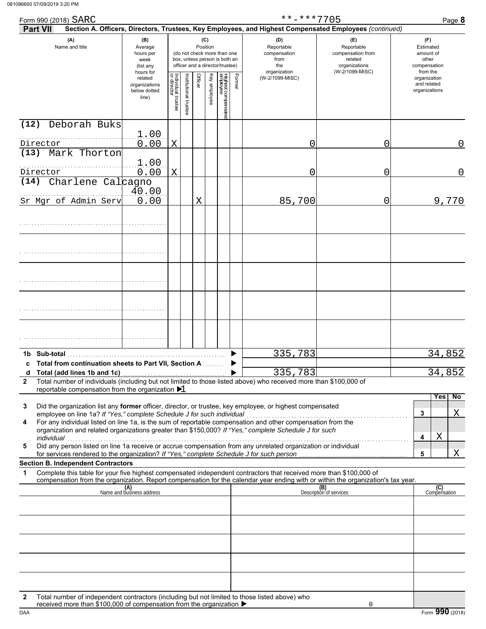| Form 990 (2018) SARC |                                                                                                        |                                                                |                                   |                       |                 |              |                                                                                                 |        | **-***7705                                                                                                                                                                                                                                             |                                                                    | Page 8                                                   |
|----------------------|--------------------------------------------------------------------------------------------------------|----------------------------------------------------------------|-----------------------------------|-----------------------|-----------------|--------------|-------------------------------------------------------------------------------------------------|--------|--------------------------------------------------------------------------------------------------------------------------------------------------------------------------------------------------------------------------------------------------------|--------------------------------------------------------------------|----------------------------------------------------------|
| Part VII             |                                                                                                        |                                                                |                                   |                       |                 |              |                                                                                                 |        | Section A. Officers, Directors, Trustees, Key Employees, and Highest Compensated Employees (continued)                                                                                                                                                 |                                                                    |                                                          |
|                      | (A)<br>Name and title                                                                                  | (B)<br>Average<br>hours per<br>week<br>(list any               |                                   |                       | (C)<br>Position |              | (do not check more than one<br>box, unless person is both an<br>officer and a director/trustee) |        | (D)<br>Reportable<br>compensation<br>from<br>the                                                                                                                                                                                                       | (E)<br>Reportable<br>compensation from<br>related<br>organizations | (F)<br>Estimated<br>amount of<br>other<br>compensation   |
|                      |                                                                                                        | hours for<br>related<br>organizations<br>below dotted<br>line) | Individual trustee<br>or director | Institutional trustee | Officer         | Key employee | Highest compensatec<br>employee                                                                 | Former | organization<br>(W-2/1099-MISC)                                                                                                                                                                                                                        | (W-2/1099-MISC)                                                    | from the<br>organization<br>and related<br>organizations |
| (12)                 | Deborah Buks                                                                                           |                                                                |                                   |                       |                 |              |                                                                                                 |        |                                                                                                                                                                                                                                                        |                                                                    |                                                          |
| Director             |                                                                                                        | 1.00<br>0.00                                                   | X                                 |                       |                 |              |                                                                                                 |        | 0                                                                                                                                                                                                                                                      | 0                                                                  |                                                          |
| (13)                 | Mark Thorton                                                                                           | 1.00                                                           |                                   |                       |                 |              |                                                                                                 |        |                                                                                                                                                                                                                                                        |                                                                    |                                                          |
| Director             |                                                                                                        | 0.00                                                           | X                                 |                       |                 |              |                                                                                                 |        | 0                                                                                                                                                                                                                                                      | 0                                                                  | 0                                                        |
| (14)                 | Charlene Calcagno                                                                                      | 40.00                                                          |                                   |                       |                 |              |                                                                                                 |        |                                                                                                                                                                                                                                                        |                                                                    |                                                          |
|                      | Sr Mgr of Admin Serv                                                                                   | 0.00                                                           |                                   |                       | X               |              |                                                                                                 |        | 85,700                                                                                                                                                                                                                                                 | 0                                                                  | 9,770                                                    |
|                      |                                                                                                        |                                                                |                                   |                       |                 |              |                                                                                                 |        |                                                                                                                                                                                                                                                        |                                                                    |                                                          |
|                      |                                                                                                        |                                                                |                                   |                       |                 |              |                                                                                                 |        |                                                                                                                                                                                                                                                        |                                                                    |                                                          |
|                      |                                                                                                        |                                                                |                                   |                       |                 |              |                                                                                                 |        |                                                                                                                                                                                                                                                        |                                                                    |                                                          |
|                      |                                                                                                        |                                                                |                                   |                       |                 |              |                                                                                                 |        |                                                                                                                                                                                                                                                        |                                                                    |                                                          |
|                      |                                                                                                        |                                                                |                                   |                       |                 |              |                                                                                                 |        |                                                                                                                                                                                                                                                        |                                                                    |                                                          |
| 1b Sub-total         |                                                                                                        |                                                                |                                   |                       |                 |              |                                                                                                 |        | 335,783                                                                                                                                                                                                                                                |                                                                    | 34,852                                                   |
|                      | c Total from continuation sheets to Part VII, Section A                                                |                                                                |                                   |                       |                 |              |                                                                                                 |        |                                                                                                                                                                                                                                                        |                                                                    |                                                          |
| $\mathbf{2}$         | d Total (add lines 1b and 1c)<br>reportable compensation from the organization $\blacktriangleright$ 1 |                                                                |                                   |                       |                 |              |                                                                                                 |        | 335,783<br>Total number of individuals (including but not limited to those listed above) who received more than \$100,000 of                                                                                                                           |                                                                    | 34,852                                                   |
| 3                    |                                                                                                        |                                                                |                                   |                       |                 |              |                                                                                                 |        | Did the organization list any former officer, director, or trustee, key employee, or highest compensated                                                                                                                                               |                                                                    | No<br>Yes<br>$\mathbf{3}$<br>Χ                           |
| 4<br>individual      |                                                                                                        |                                                                |                                   |                       |                 |              |                                                                                                 |        | For any individual listed on line 1a, is the sum of reportable compensation and other compensation from the<br>organization and related organizations greater than \$150,000? If "Yes," complete Schedule J for such                                   |                                                                    | X<br>4                                                   |
| 5                    |                                                                                                        |                                                                |                                   |                       |                 |              |                                                                                                 |        | Did any person listed on line 1a receive or accrue compensation from any unrelated organization or individual                                                                                                                                          |                                                                    | Χ<br>5                                                   |
|                      | <b>Section B. Independent Contractors</b>                                                              |                                                                |                                   |                       |                 |              |                                                                                                 |        |                                                                                                                                                                                                                                                        |                                                                    |                                                          |
| $\mathbf{1}$         |                                                                                                        |                                                                |                                   |                       |                 |              |                                                                                                 |        | Complete this table for your five highest compensated independent contractors that received more than \$100,000 of<br>compensation from the organization. Report compensation for the calendar year ending with or within the organization's tax year. |                                                                    |                                                          |
|                      |                                                                                                        | (A)<br>Name and business address                               |                                   |                       |                 |              |                                                                                                 |        |                                                                                                                                                                                                                                                        | (B)<br>Description of services                                     | (C)<br>Compensation                                      |
|                      |                                                                                                        |                                                                |                                   |                       |                 |              |                                                                                                 |        |                                                                                                                                                                                                                                                        |                                                                    |                                                          |

| 2 Total number of individuals (including but not limited to those listed above) who received more than \$100,000 of<br>reportable compensation from the organization $\blacktriangleright$ 1 |  |  |  |  |  |  |  |  |
|----------------------------------------------------------------------------------------------------------------------------------------------------------------------------------------------|--|--|--|--|--|--|--|--|
| $\sim$ $\sim$ $\sim$ $\sim$                                                                                                                                                                  |  |  |  |  |  |  |  |  |

| 3 | Did the organization list any former officer, director, or trustee, key employee, or highest compensated      |  |  |
|---|---------------------------------------------------------------------------------------------------------------|--|--|
|   | employee on line 1a? If "Yes," complete Schedule J for such individual                                        |  |  |
| 4 | For any individual listed on line 1a, is the sum of reportable compensation and other compensation from the   |  |  |
|   | organization and related organizations greater than \$150,000? If "Yes," complete Schedule J for such         |  |  |
|   | individual                                                                                                    |  |  |
| 5 | Did any person listed on line 1a receive or accrue compensation from any unrelated organization or individual |  |  |
|   | for services rendered to the organization? If "Yes," complete Schedule J for such person                      |  |  |

### **Section B. Independent Contractors**

|                                                                                                                                                                                    | (A)<br>Name and business address | (B)<br>Description of services |  | (C)<br>Compensation |  |  |
|------------------------------------------------------------------------------------------------------------------------------------------------------------------------------------|----------------------------------|--------------------------------|--|---------------------|--|--|
|                                                                                                                                                                                    |                                  |                                |  |                     |  |  |
|                                                                                                                                                                                    |                                  |                                |  |                     |  |  |
|                                                                                                                                                                                    |                                  |                                |  |                     |  |  |
|                                                                                                                                                                                    |                                  |                                |  |                     |  |  |
|                                                                                                                                                                                    |                                  |                                |  |                     |  |  |
| Total number of independent contractors (including but not limited to those listed above) who received more than \$100,000 of compensation from the organization ▶<br>$\mathbf{2}$ |                                  |                                |  |                     |  |  |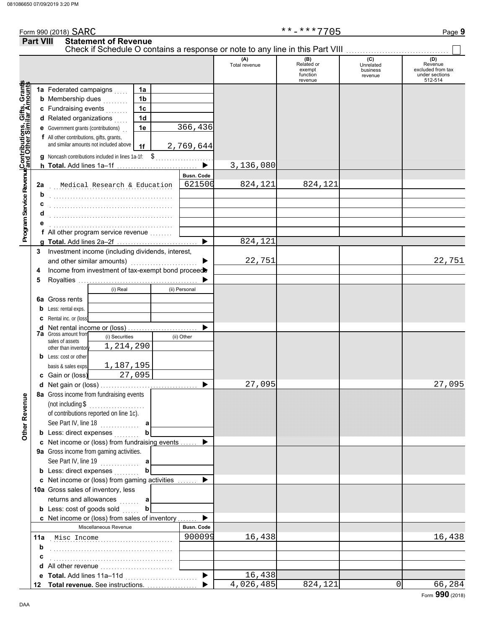| Form 990 (2018) SARC |                                                                                                              |                      | **_***7705                  |                              | Page <b>9</b>                       |
|----------------------|--------------------------------------------------------------------------------------------------------------|----------------------|-----------------------------|------------------------------|-------------------------------------|
| <b>Part VIII</b>     | <b>Statement of Revenue</b><br>Check if Schedule O contains a response or note to any line in this Part VIII |                      |                             |                              |                                     |
|                      |                                                                                                              | (A)<br>Total revenue | (B)<br>Related or<br>exempt | (C)<br>Unrelated<br>business | (D)<br>Revenue<br>excluded from tax |

|                                                                                                                      |                                                                                     |                                  |                       | Total revenue | Related or<br>exempt<br>function | Unrelated<br>business<br>revenue | Revenue<br>excluded from tax<br>under sections |
|----------------------------------------------------------------------------------------------------------------------|-------------------------------------------------------------------------------------|----------------------------------|-----------------------|---------------|----------------------------------|----------------------------------|------------------------------------------------|
|                                                                                                                      |                                                                                     |                                  |                       |               | revenue                          |                                  | 512-514                                        |
|                                                                                                                      | 1a Federated campaigns                                                              | 1a                               |                       |               |                                  |                                  |                                                |
|                                                                                                                      | <b>b</b> Membership dues <i></i> .                                                  | 1 <sub>b</sub>                   |                       |               |                                  |                                  |                                                |
|                                                                                                                      | c Fundraising events                                                                | 1 <sub>c</sub><br>1 <sub>d</sub> |                       |               |                                  |                                  |                                                |
|                                                                                                                      | d Related organizations                                                             |                                  | 366,436               |               |                                  |                                  |                                                |
|                                                                                                                      | <b>e</b> Government grants (contributions)                                          | 1e                               |                       |               |                                  |                                  |                                                |
| Program Service Revenu <mark>¢Contributions, Gifts, Grant</mark><br>Program Service Revenu∲and Other Similar Amounts | f All other contributions, gifts, grants,<br>and similar amounts not included above | 1f                               | 2,769,644             |               |                                  |                                  |                                                |
|                                                                                                                      |                                                                                     |                                  |                       |               |                                  |                                  |                                                |
|                                                                                                                      |                                                                                     |                                  |                       | 3,136,080     |                                  |                                  |                                                |
|                                                                                                                      |                                                                                     |                                  | <b>Busn. Code</b>     |               |                                  |                                  |                                                |
|                                                                                                                      | Medical Research & Education<br>2a                                                  |                                  | 621500                | 824,121       | 824,121                          |                                  |                                                |
|                                                                                                                      | b                                                                                   |                                  |                       |               |                                  |                                  |                                                |
|                                                                                                                      | c                                                                                   |                                  |                       |               |                                  |                                  |                                                |
|                                                                                                                      | d                                                                                   |                                  |                       |               |                                  |                                  |                                                |
|                                                                                                                      | е                                                                                   |                                  |                       |               |                                  |                                  |                                                |
|                                                                                                                      | f All other program service revenue                                                 |                                  |                       |               |                                  |                                  |                                                |
|                                                                                                                      |                                                                                     |                                  | $\blacktriangleright$ | 824,121       |                                  |                                  |                                                |
| 3                                                                                                                    | Investment income (including dividends, interest,                                   |                                  |                       |               |                                  |                                  |                                                |
|                                                                                                                      | and other similar amounts)                                                          |                                  | ▶                     | 22,751        |                                  |                                  | 22,751                                         |
| 4                                                                                                                    | Income from investment of tax-exempt bond proceed                                   |                                  |                       |               |                                  |                                  |                                                |
| 5                                                                                                                    |                                                                                     |                                  | ▶                     |               |                                  |                                  |                                                |
|                                                                                                                      | (i) Real                                                                            |                                  | (ii) Personal         |               |                                  |                                  |                                                |
|                                                                                                                      | 6a Gross rents                                                                      |                                  |                       |               |                                  |                                  |                                                |
|                                                                                                                      | <b>b</b> Less: rental exps.                                                         |                                  |                       |               |                                  |                                  |                                                |
|                                                                                                                      | C Rental inc. or (loss)                                                             |                                  |                       |               |                                  |                                  |                                                |
|                                                                                                                      | d Net rental income or (loss)                                                       |                                  |                       |               |                                  |                                  |                                                |
|                                                                                                                      | 7a Gross amount from<br>(i) Securities                                              |                                  | (ii) Other            |               |                                  |                                  |                                                |
|                                                                                                                      | sales of assets<br>1,214,290                                                        |                                  |                       |               |                                  |                                  |                                                |
|                                                                                                                      | other than inventory<br><b>b</b> Less: cost or other                                |                                  |                       |               |                                  |                                  |                                                |
|                                                                                                                      | 1,187,195<br>basis & sales exps.                                                    |                                  |                       |               |                                  |                                  |                                                |
|                                                                                                                      | c Gain or (loss)                                                                    | 27,095                           |                       |               |                                  |                                  |                                                |
|                                                                                                                      |                                                                                     |                                  | $\blacktriangleright$ | 27,095        |                                  |                                  | 27,095                                         |
|                                                                                                                      | 8a Gross income from fundraising events                                             |                                  |                       |               |                                  |                                  |                                                |
| Revenue                                                                                                              | (not including \$<br>.                                                              |                                  |                       |               |                                  |                                  |                                                |
|                                                                                                                      | of contributions reported on line 1c).                                              |                                  |                       |               |                                  |                                  |                                                |
|                                                                                                                      | See Part IV, line $18$                                                              |                                  |                       |               |                                  |                                  |                                                |
| <b>Other</b>                                                                                                         | <b>b</b> Less: direct expenses                                                      |                                  |                       |               |                                  |                                  |                                                |
|                                                                                                                      | c Net income or (loss) from fundraising events                                      |                                  | ▶                     |               |                                  |                                  |                                                |
|                                                                                                                      | 9a Gross income from gaming activities.                                             |                                  |                       |               |                                  |                                  |                                                |
|                                                                                                                      | See Part IV, line 19                                                                | a                                |                       |               |                                  |                                  |                                                |
|                                                                                                                      | <b>b</b> Less: direct expenses                                                      | $\mathbf b$                      |                       |               |                                  |                                  |                                                |
|                                                                                                                      | c Net income or (loss) from gaming activities                                       |                                  | ▶                     |               |                                  |                                  |                                                |
|                                                                                                                      | 10a Gross sales of inventory, less                                                  |                                  |                       |               |                                  |                                  |                                                |
|                                                                                                                      | returns and allowances                                                              | a                                |                       |               |                                  |                                  |                                                |
|                                                                                                                      | <b>b</b> Less: cost of goods sold                                                   | b                                |                       |               |                                  |                                  |                                                |
|                                                                                                                      | c Net income or (loss) from sales of inventory                                      |                                  | ▶                     |               |                                  |                                  |                                                |
|                                                                                                                      | Miscellaneous Revenue                                                               |                                  | <b>Busn. Code</b>     |               |                                  |                                  |                                                |
|                                                                                                                      | 11a Misc Income                                                                     |                                  | 900099                | 16,438        |                                  |                                  | 16,438                                         |
|                                                                                                                      | b                                                                                   |                                  |                       |               |                                  |                                  |                                                |
|                                                                                                                      | c                                                                                   |                                  |                       |               |                                  |                                  |                                                |
|                                                                                                                      |                                                                                     |                                  |                       |               |                                  |                                  |                                                |
|                                                                                                                      |                                                                                     |                                  | ▶                     | 16,438        |                                  |                                  |                                                |
|                                                                                                                      |                                                                                     |                                  |                       | 4,026,485     | 824,121                          |                                  | 0<br>66,284                                    |
|                                                                                                                      |                                                                                     |                                  |                       |               |                                  |                                  | $F_{\text{c}}$ 990 (2019)                      |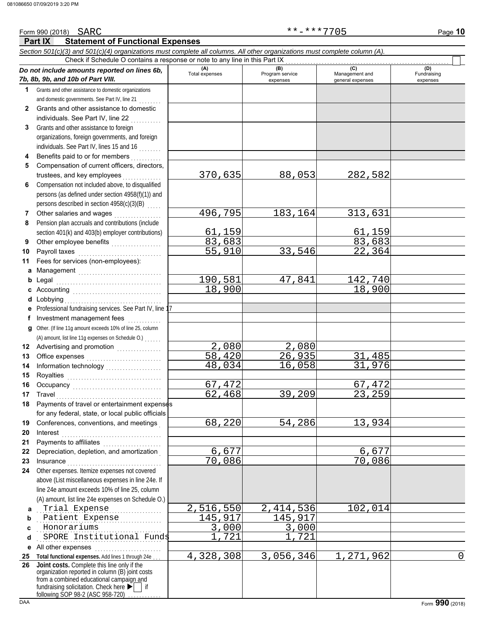| Form 990 (2018) SARC                                                                                                                                                           | **-***7705<br>Page 10                       |  |  |  |  |  |  |  |  |  |  |
|--------------------------------------------------------------------------------------------------------------------------------------------------------------------------------|---------------------------------------------|--|--|--|--|--|--|--|--|--|--|
| <b>Statement of Functional Expenses</b><br>Part IX                                                                                                                             |                                             |  |  |  |  |  |  |  |  |  |  |
| Section 501(c)(3) and 501(c)(4) organizations must complete all columns. All other organizations must complete column (A).                                                     |                                             |  |  |  |  |  |  |  |  |  |  |
| Check if Schedule O contains a response or note to any line in this Part IX                                                                                                    |                                             |  |  |  |  |  |  |  |  |  |  |
| (A)<br>(B)<br>Do not include amounts reported on lines 6b,<br>Total expenses<br>Program service                                                                                | (D)<br>(C)<br>Management and<br>Fundraising |  |  |  |  |  |  |  |  |  |  |
| 7b, 8b, 9b, and 10b of Part VIII.<br>expenses                                                                                                                                  | general expenses<br>expenses                |  |  |  |  |  |  |  |  |  |  |
| Grants and other assistance to domestic organizations<br>1                                                                                                                     |                                             |  |  |  |  |  |  |  |  |  |  |
| and domestic governments. See Part IV, line 21                                                                                                                                 |                                             |  |  |  |  |  |  |  |  |  |  |
| Grants and other assistance to domestic<br>$\mathbf{2}$                                                                                                                        |                                             |  |  |  |  |  |  |  |  |  |  |
| individuals. See Part IV, line 22                                                                                                                                              |                                             |  |  |  |  |  |  |  |  |  |  |
| Grants and other assistance to foreign<br>3                                                                                                                                    |                                             |  |  |  |  |  |  |  |  |  |  |
| organizations, foreign governments, and foreign                                                                                                                                |                                             |  |  |  |  |  |  |  |  |  |  |
| individuals. See Part IV, lines 15 and 16                                                                                                                                      |                                             |  |  |  |  |  |  |  |  |  |  |
| Benefits paid to or for members<br>4                                                                                                                                           |                                             |  |  |  |  |  |  |  |  |  |  |
| Compensation of current officers, directors,<br>5                                                                                                                              |                                             |  |  |  |  |  |  |  |  |  |  |
| 370,635<br>trustees, and key employees<br>Compensation not included above, to disqualified                                                                                     | 88,053<br>282,582                           |  |  |  |  |  |  |  |  |  |  |
| 6<br>persons (as defined under section 4958(f)(1)) and                                                                                                                         |                                             |  |  |  |  |  |  |  |  |  |  |
| persons described in section 4958(c)(3)(B)                                                                                                                                     |                                             |  |  |  |  |  |  |  |  |  |  |
| 496,795<br>Other salaries and wages<br>7                                                                                                                                       | 183,164<br>313,631                          |  |  |  |  |  |  |  |  |  |  |
| <u> 1999 - Johann Stoff, Amerikaansk kanton om de beskriuwer om de beskriuwer om de beskriuwer om de beskriuwer o</u><br>Pension plan accruals and contributions (include<br>8 |                                             |  |  |  |  |  |  |  |  |  |  |
| section 401(k) and 403(b) employer contributions)<br>61,159                                                                                                                    | 61,159                                      |  |  |  |  |  |  |  |  |  |  |
| 83,683<br>9                                                                                                                                                                    | 83,683                                      |  |  |  |  |  |  |  |  |  |  |
| 55,910<br>Payroll taxes<br>10                                                                                                                                                  | 33,546<br>22,364                            |  |  |  |  |  |  |  |  |  |  |
| Fees for services (non-employees):<br>11                                                                                                                                       |                                             |  |  |  |  |  |  |  |  |  |  |
| Management<br>a                                                                                                                                                                |                                             |  |  |  |  |  |  |  |  |  |  |
| 190,581<br>b                                                                                                                                                                   | 47,841<br>142,740                           |  |  |  |  |  |  |  |  |  |  |
| 18,900<br>c                                                                                                                                                                    | 18,900                                      |  |  |  |  |  |  |  |  |  |  |
| d Lobbying                                                                                                                                                                     |                                             |  |  |  |  |  |  |  |  |  |  |
| Professional fundraising services. See Part IV, line 1<br>е                                                                                                                    |                                             |  |  |  |  |  |  |  |  |  |  |
| Investment management fees<br>f<br><u>.</u><br>.                                                                                                                               |                                             |  |  |  |  |  |  |  |  |  |  |
| Other. (If line 11g amount exceeds 10% of line 25, column<br>g                                                                                                                 |                                             |  |  |  |  |  |  |  |  |  |  |
| (A) amount, list line 11g expenses on Schedule O.)                                                                                                                             |                                             |  |  |  |  |  |  |  |  |  |  |
| $\overline{2}$ , 080<br>Advertising and promotion<br><br>12                                                                                                                    | 2,080                                       |  |  |  |  |  |  |  |  |  |  |
| 58,420<br>13                                                                                                                                                                   | 26,935<br>31,485                            |  |  |  |  |  |  |  |  |  |  |
| 48,034<br>Information technology<br><br>14                                                                                                                                     | 16,058<br>31,976                            |  |  |  |  |  |  |  |  |  |  |
| Royalties<br>15                                                                                                                                                                |                                             |  |  |  |  |  |  |  |  |  |  |
| 67,472<br>16                                                                                                                                                                   | 67,472                                      |  |  |  |  |  |  |  |  |  |  |
| 62,468<br>17<br>Travel                                                                                                                                                         | 23,259<br>39,209                            |  |  |  |  |  |  |  |  |  |  |
| Payments of travel or entertainment expenses<br>18                                                                                                                             |                                             |  |  |  |  |  |  |  |  |  |  |
| for any federal, state, or local public officials<br>68,220<br>Conferences, conventions, and meetings                                                                          | 54,286<br>13,934                            |  |  |  |  |  |  |  |  |  |  |
| 19<br>Interest<br>20                                                                                                                                                           |                                             |  |  |  |  |  |  |  |  |  |  |
| Payments to affiliates<br>21                                                                                                                                                   |                                             |  |  |  |  |  |  |  |  |  |  |
| .<br>6,677<br>Depreciation, depletion, and amortization<br>22                                                                                                                  | 6,677                                       |  |  |  |  |  |  |  |  |  |  |
| 70,086<br>23<br>Insurance                                                                                                                                                      | 70,086                                      |  |  |  |  |  |  |  |  |  |  |
| Other expenses. Itemize expenses not covered<br>24                                                                                                                             |                                             |  |  |  |  |  |  |  |  |  |  |
| above (List miscellaneous expenses in line 24e. If                                                                                                                             |                                             |  |  |  |  |  |  |  |  |  |  |
| line 24e amount exceeds 10% of line 25, column                                                                                                                                 |                                             |  |  |  |  |  |  |  |  |  |  |
| (A) amount, list line 24e expenses on Schedule O.)                                                                                                                             |                                             |  |  |  |  |  |  |  |  |  |  |
| 2,516,550<br>Trial Expense<br>a                                                                                                                                                | 2, 414, 536<br>102,014                      |  |  |  |  |  |  |  |  |  |  |
| 145,917<br>Patient Expense<br>b                                                                                                                                                | 145,917                                     |  |  |  |  |  |  |  |  |  |  |
| 3,000<br>Honorariums<br>C                                                                                                                                                      | 3,000                                       |  |  |  |  |  |  |  |  |  |  |
| 1,721<br>SPORE Institutional Funds<br>d                                                                                                                                        | 1,721                                       |  |  |  |  |  |  |  |  |  |  |
| All other expenses<br>е                                                                                                                                                        |                                             |  |  |  |  |  |  |  |  |  |  |
| 4,328,308<br>Total functional expenses. Add lines 1 through 24e.<br>25                                                                                                         | 3,056,346<br>1,271,962<br>$\mathbf 0$       |  |  |  |  |  |  |  |  |  |  |
| Joint costs. Complete this line only if the<br>26<br>organization reported in column (B) joint costs                                                                           |                                             |  |  |  |  |  |  |  |  |  |  |
| from a combined educational campaign and                                                                                                                                       |                                             |  |  |  |  |  |  |  |  |  |  |
| fundraising solicitation. Check here ▶<br>following SOP 98-2 (ASC 958-720)                                                                                                     |                                             |  |  |  |  |  |  |  |  |  |  |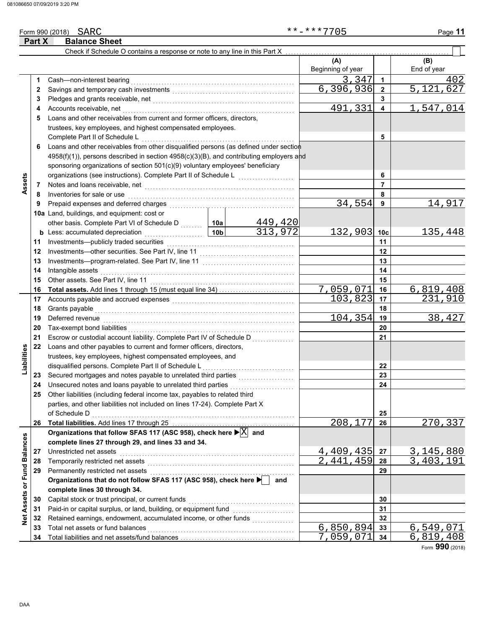|                             | Part X | <b>Balance Sheet</b>                                                                                |                 |             |                           |                 |                    |
|-----------------------------|--------|-----------------------------------------------------------------------------------------------------|-----------------|-------------|---------------------------|-----------------|--------------------|
|                             |        | Check if Schedule O contains a response or note to any line in this Part X                          |                 |             |                           |                 |                    |
|                             |        |                                                                                                     |                 |             | (A)<br>Beginning of year  |                 | (B)<br>End of year |
|                             | 1.     | Cash-non-interest bearing                                                                           |                 |             | 3,347                     | 1               | 402                |
|                             | 2      |                                                                                                     |                 | 6, 396, 936 | $\overline{2}$            | 5,121,<br>627   |                    |
|                             | 3      |                                                                                                     |                 |             |                           | 3               |                    |
|                             | 4      | Accounts receivable, net                                                                            |                 |             | 491,331                   | 4               | 1,547,014          |
|                             | 5      | Loans and other receivables from current and former officers, directors,                            |                 |             |                           |                 |                    |
|                             |        | trustees, key employees, and highest compensated employees.                                         |                 |             |                           |                 |                    |
|                             |        | Complete Part II of Schedule L                                                                      |                 |             |                           | 5               |                    |
|                             | 6      | Loans and other receivables from other disqualified persons (as defined under section               |                 |             |                           |                 |                    |
|                             |        | 4958(f)(1)), persons described in section 4958(c)(3)(B), and contributing employers and             |                 |             |                           |                 |                    |
|                             |        | sponsoring organizations of section 501(c)(9) voluntary employees' beneficiary                      |                 |             |                           |                 |                    |
|                             |        | organizations (see instructions). Complete Part II of Schedule L                                    |                 |             |                           | 6               |                    |
| Assets                      | 7      |                                                                                                     |                 |             |                           | $\overline{7}$  |                    |
|                             | 8      | Inventories for sale or use                                                                         |                 |             |                           | 8               |                    |
|                             | 9      | Prepaid expenses and deferred charges                                                               |                 |             | 34,554                    | 9               | 14,917             |
|                             |        | 10a Land, buildings, and equipment: cost or                                                         |                 |             |                           |                 |                    |
|                             |        | other basis. Complete Part VI of Schedule D  10a                                                    |                 | 449,420     |                           |                 |                    |
|                             |        | <b>b</b> Less: accumulated depreciation<br>.                                                        | 10 <sub>b</sub> | 313,972     | 132,903                   | 10 <sub>c</sub> | 135, 448           |
|                             | 11     | Investments-publicly traded securities                                                              |                 |             |                           | 11              |                    |
|                             | 12     |                                                                                                     |                 |             |                           | 12              |                    |
|                             | 13     |                                                                                                     |                 |             |                           | 13              |                    |
|                             | 14     | Intangible assets                                                                                   |                 |             | 14                        |                 |                    |
|                             | 15     | Other assets. See Part IV, line 11                                                                  |                 |             |                           | 15              |                    |
|                             | 16     |                                                                                                     |                 |             | $\overline{7}$ , 059, 071 | 16              | 6,819,408          |
|                             | 17     |                                                                                                     |                 |             | 103,823                   | 17              | 231,910            |
|                             | 18     | Grants payable                                                                                      |                 |             | 18                        |                 |                    |
|                             | 19     | Deferred revenue                                                                                    | 104,354         | 19          | 38,427                    |                 |                    |
|                             | 20     | Tax-exempt bond liabilities                                                                         |                 | 20          |                           |                 |                    |
|                             | 21     | Escrow or custodial account liability. Complete Part IV of Schedule D                               |                 |             |                           | 21              |                    |
|                             | 22     | Loans and other payables to current and former officers, directors,                                 |                 |             |                           |                 |                    |
| Liabilities                 |        | trustees, key employees, highest compensated employees, and                                         |                 |             |                           |                 |                    |
|                             |        | disqualified persons. Complete Part II of Schedule L                                                |                 |             |                           | 22              |                    |
|                             | 23     | Secured mortgages and notes payable to unrelated third parties                                      |                 |             |                           | 23              |                    |
|                             | 24     | Unsecured notes and loans payable to unrelated third parties                                        |                 |             |                           | 24              |                    |
|                             | 25     | Other liabilities (including federal income tax, payables to related third                          |                 |             |                           |                 |                    |
|                             |        | parties, and other liabilities not included on lines 17-24). Complete Part X                        |                 |             |                           |                 |                    |
|                             |        | of Schedule D                                                                                       |                 |             |                           | 25              |                    |
|                             | 26     |                                                                                                     |                 |             | 208, 177                  | 26              | 270,337            |
|                             |        | Organizations that follow SFAS 117 (ASC 958), check here $\blacktriangleright \boxed{\text{X}}$ and |                 |             |                           |                 |                    |
|                             |        | complete lines 27 through 29, and lines 33 and 34.                                                  |                 |             |                           |                 |                    |
|                             | 27     | Unrestricted net assets                                                                             |                 |             | 4,409,435                 | 27              | 3, 145, 880        |
|                             | 28     | Temporarily restricted net assets                                                                   |                 |             | 2,441,459                 | 28              | 3,403,191          |
|                             | 29     | Permanently restricted net assets                                                                   |                 |             |                           | 29              |                    |
|                             |        | Organizations that do not follow SFAS 117 (ASC 958), check here $\blacktriangleright$ and           |                 |             |                           |                 |                    |
|                             |        | complete lines 30 through 34.                                                                       |                 |             |                           |                 |                    |
|                             | 30     | Capital stock or trust principal, or current funds                                                  |                 |             |                           | 30              |                    |
|                             | 31     | Paid-in or capital surplus, or land, building, or equipment fund                                    |                 |             |                           | 31              |                    |
| Net Assets or Fund Balances | 32     |                                                                                                     |                 |             |                           | 32              |                    |
|                             | 33     | Total net assets or fund balances                                                                   |                 |             | $\overline{6}$ , 850, 894 | 33              | 6,549,071          |
|                             | 34     |                                                                                                     |                 |             | 7,059,071                 | 34              | 6,819,408          |

Form **990** (2018)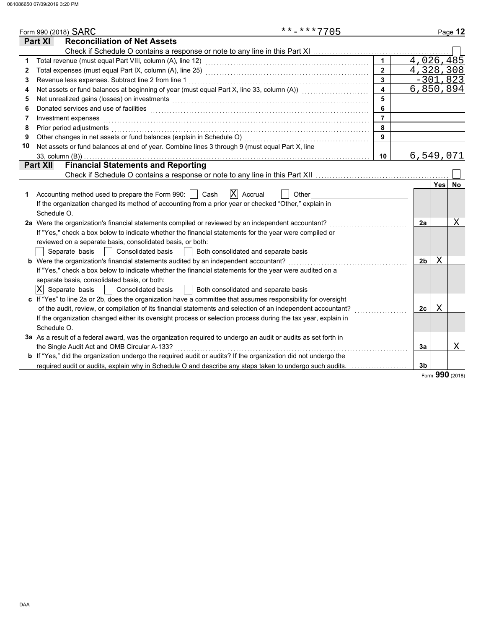|    | **-***7705<br>Form 990 (2018) SARC                                                                                                                                                                                             |                         |                |                  | Page 12    |
|----|--------------------------------------------------------------------------------------------------------------------------------------------------------------------------------------------------------------------------------|-------------------------|----------------|------------------|------------|
|    | <b>Reconciliation of Net Assets</b><br>Part XI                                                                                                                                                                                 |                         |                |                  |            |
|    |                                                                                                                                                                                                                                |                         |                |                  |            |
| 1  |                                                                                                                                                                                                                                | $\mathbf{1}$            |                |                  | 4,026,485  |
| 2  |                                                                                                                                                                                                                                | $\mathbf{2}$            |                |                  | 4,328,308  |
| 3  | Revenue less expenses. Subtract line 2 from line 1                                                                                                                                                                             | $\overline{3}$          |                |                  | $-301,823$ |
| 4  | Net assets or fund balances at beginning of year (must equal Part X, line 33, column (A)) [[[[[[[[[[[[[[[[[[[                                                                                                                  | $\overline{\mathbf{4}}$ |                |                  | 6,850,894  |
| 5  | Net unrealized gains (losses) on investments [11] with an intervention of the state of the state of the state of the state of the state of the state of the state of the state of the state of the state of the state of the s | 5                       |                |                  |            |
| 6  | Donated services and use of facilities <b>constructs</b> and a service of the service of the services and use of facilities                                                                                                    | 6                       |                |                  |            |
| 7  | Investment expenses                                                                                                                                                                                                            | $\overline{7}$          |                |                  |            |
| 8  | Prior period adjustments entertainment and the control of the control of the control of the control of the control of the control of the control of the control of the control of the control of the control of the control of | 8                       |                |                  |            |
| 9  |                                                                                                                                                                                                                                | 9                       |                |                  |            |
| 10 | Net assets or fund balances at end of year. Combine lines 3 through 9 (must equal Part X, line                                                                                                                                 |                         |                |                  |            |
|    | $33$ , column $(B)$ )                                                                                                                                                                                                          | 10                      |                |                  | 6,549,071  |
|    | <b>Financial Statements and Reporting</b><br><b>Part XII</b>                                                                                                                                                                   |                         |                |                  |            |
|    |                                                                                                                                                                                                                                |                         |                |                  |            |
|    |                                                                                                                                                                                                                                |                         |                | Yes <sup> </sup> | <b>No</b>  |
| 1  | $ X $ Accrual<br>Accounting method used to prepare the Form 990:<br>Cash<br>Other<br>$\mathcal{L}$                                                                                                                             |                         |                |                  |            |
|    | If the organization changed its method of accounting from a prior year or checked "Other," explain in                                                                                                                          |                         |                |                  |            |
|    | Schedule O.                                                                                                                                                                                                                    |                         |                |                  |            |
|    | 2a Were the organization's financial statements compiled or reviewed by an independent accountant?                                                                                                                             |                         | 2a             |                  | Χ          |
|    | If "Yes," check a box below to indicate whether the financial statements for the year were compiled or                                                                                                                         |                         |                |                  |            |
|    | reviewed on a separate basis, consolidated basis, or both:                                                                                                                                                                     |                         |                |                  |            |
|    | Separate basis<br><b>Consolidated basis</b><br>Both consolidated and separate basis                                                                                                                                            |                         |                |                  |            |
|    | b Were the organization's financial statements audited by an independent accountant?                                                                                                                                           |                         | 2 <sub>b</sub> | Χ                |            |
|    | If "Yes," check a box below to indicate whether the financial statements for the year were audited on a                                                                                                                        |                         |                |                  |            |
|    | separate basis, consolidated basis, or both:                                                                                                                                                                                   |                         |                |                  |            |
|    | $ X $ Separate basis<br><b>Consolidated basis</b><br>Both consolidated and separate basis                                                                                                                                      |                         |                |                  |            |
|    | c If "Yes" to line 2a or 2b, does the organization have a committee that assumes responsibility for oversight                                                                                                                  |                         |                |                  |            |
|    | of the audit, review, or compilation of its financial statements and selection of an independent accountant?                                                                                                                   |                         | 2c             | X                |            |
|    | If the organization changed either its oversight process or selection process during the tax year, explain in                                                                                                                  |                         |                |                  |            |
|    | Schedule O.                                                                                                                                                                                                                    |                         |                |                  |            |
|    | 3a As a result of a federal award, was the organization required to undergo an audit or audits as set forth in                                                                                                                 |                         |                |                  |            |
|    | the Single Audit Act and OMB Circular A-133?                                                                                                                                                                                   |                         | 3a             |                  | Χ          |
|    | <b>b</b> If "Yes," did the organization undergo the required audit or audits? If the organization did not undergo the                                                                                                          |                         |                |                  |            |
|    | required audit or audits, explain why in Schedule O and describe any steps taken to undergo such audits.                                                                                                                       |                         | 3b             |                  |            |
|    |                                                                                                                                                                                                                                |                         |                |                  | 000        |

Form **990** (2018)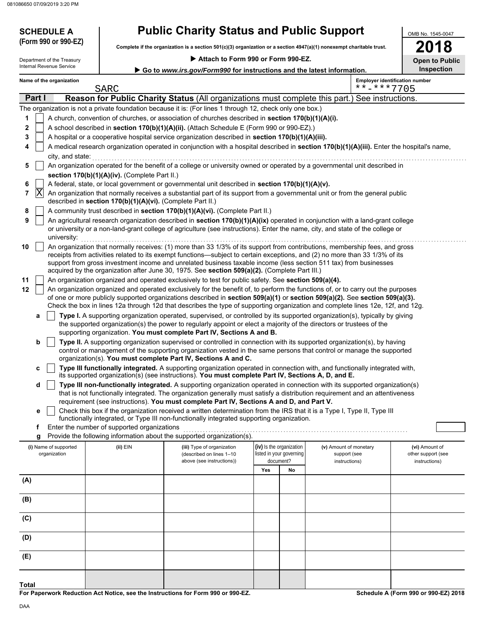| <b>SCHEDULE A</b>                                                                                  | <b>Public Charity Status and Public Support</b>                                                                                                   | OMB No. 1545-0047                                                                                                    |                       |  |  |  |  |
|----------------------------------------------------------------------------------------------------|---------------------------------------------------------------------------------------------------------------------------------------------------|----------------------------------------------------------------------------------------------------------------------|-----------------------|--|--|--|--|
| (Form 990 or 990-EZ)                                                                               |                                                                                                                                                   | Complete if the organization is a section 501(c)(3) organization or a section 4947(a)(1) nonexempt charitable trust. |                       |  |  |  |  |
| Department of the Treasury                                                                         | Attach to Form 990 or Form 990-EZ.                                                                                                                |                                                                                                                      | <b>Open to Public</b> |  |  |  |  |
| Internal Revenue Service                                                                           | ► Go to www.irs.gov/Form990 for instructions and the latest information.                                                                          |                                                                                                                      | <b>Inspection</b>     |  |  |  |  |
| Name of the organization                                                                           |                                                                                                                                                   | <b>Employer identification number</b>                                                                                |                       |  |  |  |  |
|                                                                                                    | <b>SARC</b>                                                                                                                                       | $***$ $***$ 7705                                                                                                     |                       |  |  |  |  |
| Part I                                                                                             | Reason for Public Charity Status (All organizations must complete this part.) See instructions.                                                   |                                                                                                                      |                       |  |  |  |  |
|                                                                                                    | The organization is not a private foundation because it is: (For lines 1 through 12, check only one box.)                                         |                                                                                                                      |                       |  |  |  |  |
| A church, convention of churches, or association of churches described in section 170(b)(1)(A)(i). |                                                                                                                                                   |                                                                                                                      |                       |  |  |  |  |
|                                                                                                    | A school described in section 170(b)(1)(A)(ii). (Attach Schedule E (Form 990 or 990-EZ).)                                                         |                                                                                                                      |                       |  |  |  |  |
|                                                                                                    | A hospital or a cooperative hospital service organization described in <b>section 170(b)(1)(A)(iii).</b>                                          |                                                                                                                      |                       |  |  |  |  |
| 4                                                                                                  | A medical research organization operated in conjunction with a hospital described in <b>section 170(b)(1)(A)(iii).</b> Enter the hospital's name, |                                                                                                                      |                       |  |  |  |  |

|  | city, and state:                                                                                                          |
|--|---------------------------------------------------------------------------------------------------------------------------|
|  | An organization operated for the benefit of a college or university owned or operated by a governmental unit described in |
|  | section 170(b)(1)(A)(iv). (Complete Part II.)                                                                             |

- **6** A federal, state, or local government or governmental unit described in **section 170(b)(1)(A)(v).**
- **7** An organization that normally receives a substantial part of its support from a governmental unit or from the general public described in **section 170(b)(1)(A)(vi).** (Complete Part II.)  $|\mathrm{X}|$
- **8** A community trust described in **section 170(b)(1)(A)(vi).** (Complete Part II.)

|  | An agricultural research organization described in section 170(b)(1)(A)(ix) operated in conjunction with a land-grant college  |
|--|--------------------------------------------------------------------------------------------------------------------------------|
|  | or university or a non-land-grant college of agriculture (see instructions). Enter the name, city, and state of the college or |
|  | university:                                                                                                                    |

- **10** | An organization that normally receives: (1) more than 33 1/3% of its support from contributions, membership fees, and gross receipts from activities related to its exempt functions—subject to certain exceptions, and (2) no more than 33 1/3% of its support from gross investment income and unrelated business taxable income (less section 511 tax) from businesses acquired by the organization after June 30, 1975. See **section 509(a)(2).** (Complete Part III.)
- **11** An organization organized and operated exclusively to test for public safety. See **section 509(a)(4).**

**12** An organization organized and operated exclusively for the benefit of, to perform the functions of, or to carry out the purposes of one or more publicly supported organizations described in **section 509(a)(1)** or **section 509(a)(2).** See **section 509(a)(3).**  Check the box in lines 12a through 12d that describes the type of supporting organization and complete lines 12e, 12f, and 12g.

**a** the supported organization(s) the power to regularly appoint or elect a majority of the directors or trustees of the **Type I.** A supporting organization operated, supervised, or controlled by its supported organization(s), typically by giving supporting organization. **You must complete Part IV, Sections A and B.**

**b** organization(s). **You must complete Part IV, Sections A and C. Type II.** A supporting organization supervised or controlled in connection with its supported organization(s), by having control or management of the supporting organization vested in the same persons that control or manage the supported

**c** its supported organization(s) (see instructions). **You must complete Part IV, Sections A, D, and E. Type III functionally integrated.** A supporting organization operated in connection with, and functionally integrated with,

that is not functionally integrated. The organization generally must satisfy a distribution requirement and an attentiveness **Type III non-functionally integrated.** A supporting organization operated in connection with its supported organization(s) requirement (see instructions). **You must complete Part IV, Sections A and D, and Part V.**

Check this box if the organization received a written determination from the IRS that it is a Type I, Type II, Type III functionally integrated, or Type III non-functionally integrated supporting organization.

**f** Enter the number of supported organizations **q** Provide the following information about the sum

Provide the following information about the supported organization(s).

| (i) Name of supported<br>organization | (ii) EIN<br>(iii) Type of organization<br>(described on lines 1-10<br>above (see instructions)) |  | (iv) Is the organization<br>listed in your governing<br>document? |    | (v) Amount of monetary<br>support (see<br>instructions) | (vi) Amount of<br>other support (see<br>instructions) |
|---------------------------------------|-------------------------------------------------------------------------------------------------|--|-------------------------------------------------------------------|----|---------------------------------------------------------|-------------------------------------------------------|
|                                       |                                                                                                 |  | Yes                                                               | No |                                                         |                                                       |
| (A)                                   |                                                                                                 |  |                                                                   |    |                                                         |                                                       |
| (B)                                   |                                                                                                 |  |                                                                   |    |                                                         |                                                       |
| (C)                                   |                                                                                                 |  |                                                                   |    |                                                         |                                                       |
| (D)                                   |                                                                                                 |  |                                                                   |    |                                                         |                                                       |
| (E)                                   |                                                                                                 |  |                                                                   |    |                                                         |                                                       |
| <b>Total</b>                          |                                                                                                 |  |                                                                   |    |                                                         |                                                       |

**For Paperwork Reduction Act Notice, see the Instructions for Form 990 or 990-EZ.**

**Schedule A (Form 990 or 990-EZ) 2018**

**d**

**e**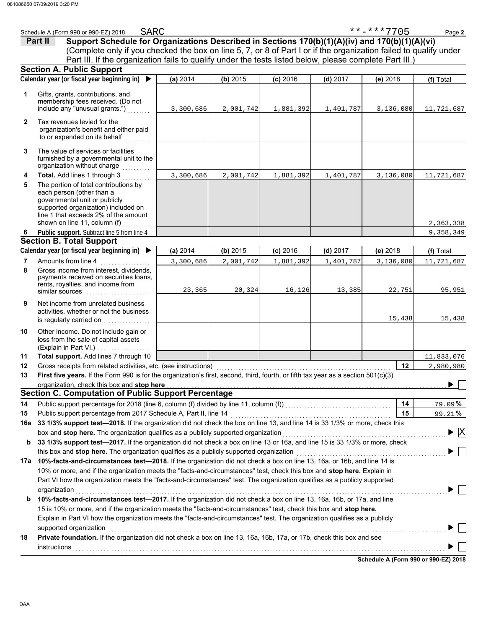|     | SARC<br>Schedule A (Form 990 or 990-EZ) 2018                                                                                                                                                                                                      |           |           |            |            | **-***7705 | Page 2                          |  |  |  |
|-----|---------------------------------------------------------------------------------------------------------------------------------------------------------------------------------------------------------------------------------------------------|-----------|-----------|------------|------------|------------|---------------------------------|--|--|--|
|     | Support Schedule for Organizations Described in Sections 170(b)(1)(A)(iv) and 170(b)(1)(A)(vi)<br>Part II                                                                                                                                         |           |           |            |            |            |                                 |  |  |  |
|     | (Complete only if you checked the box on line 5, 7, or 8 of Part I or if the organization failed to qualify under                                                                                                                                 |           |           |            |            |            |                                 |  |  |  |
|     | Part III. If the organization fails to qualify under the tests listed below, please complete Part III.)                                                                                                                                           |           |           |            |            |            |                                 |  |  |  |
|     | <b>Section A. Public Support</b>                                                                                                                                                                                                                  |           |           |            |            |            |                                 |  |  |  |
|     | Calendar year (or fiscal year beginning in) $\blacktriangleright$                                                                                                                                                                                 | (a) 2014  | (b) 2015  | $(c)$ 2016 | $(d)$ 2017 | (e) 2018   | (f) Total                       |  |  |  |
| 1   | Gifts, grants, contributions, and<br>membership fees received. (Do not<br>include any "unusual grants.")                                                                                                                                          | 3,300,686 | 2,001,742 | 1,881,392  | 1,401,787  | 3,136,080  | 11,721,687                      |  |  |  |
| 2   | Tax revenues levied for the<br>organization's benefit and either paid<br>to or expended on its behalf<br>an Barbara                                                                                                                               |           |           |            |            |            |                                 |  |  |  |
| 3   | The value of services or facilities<br>furnished by a governmental unit to the<br>organization without charge<br>.                                                                                                                                |           |           |            |            |            |                                 |  |  |  |
| 4   | Total. Add lines 1 through 3                                                                                                                                                                                                                      | 3,300,686 | 2,001,742 | 1,881,392  | 1,401,787  | 3,136,080  | 11,721,687                      |  |  |  |
| 5   | The portion of total contributions by<br>each person (other than a<br>governmental unit or publicly<br>supported organization) included on<br>line 1 that exceeds 2% of the amount<br>shown on line 11, column (f)                                |           |           |            |            |            | 2,363,338                       |  |  |  |
| 6   | Public support. Subtract line 5 from line 4                                                                                                                                                                                                       |           |           |            |            |            | 9, 358, 349                     |  |  |  |
|     | <b>Section B. Total Support</b>                                                                                                                                                                                                                   |           |           |            |            |            |                                 |  |  |  |
|     | Calendar year (or fiscal year beginning in) ▶                                                                                                                                                                                                     | (a) 2014  | (b) 2015  | $(c)$ 2016 | $(d)$ 2017 | $(e)$ 2018 | (f) Total                       |  |  |  |
| 7   | Amounts from line 4                                                                                                                                                                                                                               | 3,300,686 | 2,001,742 | 1,881,392  | 1,401,787  | 3,136,080  | 11,721,687                      |  |  |  |
| 8   | Gross income from interest, dividends,<br>payments received on securities loans,<br>rents, royalties, and income from<br>similar sources                                                                                                          | 23,365    | 20,324    | 16,126     | 13,385     | 22,751     | 95,951                          |  |  |  |
| 9   | Net income from unrelated business<br>activities, whether or not the business<br>is regularly carried on                                                                                                                                          |           |           |            |            | 15,438     | 15,438                          |  |  |  |
| 10  | Other income. Do not include gain or<br>loss from the sale of capital assets<br>(Explain in Part VI.)                                                                                                                                             |           |           |            |            |            |                                 |  |  |  |
| 11  | Total support. Add lines 7 through 10                                                                                                                                                                                                             |           |           |            |            |            | 11,833,076                      |  |  |  |
| 12  | Gross receipts from related activities, etc. (see instructions)                                                                                                                                                                                   |           |           |            |            | 12         | 2,980,980                       |  |  |  |
| 13  | First five vears. If the Form 990 is for the organization's first, second, third, fourth, or fifth tax vear as a section 501(c)(3)                                                                                                                |           |           |            |            |            |                                 |  |  |  |
|     | organization, check this box and stop here with the content of the content of the content of the content of the content of the content of the content of the content of the content of the content of the content of the conte                    |           |           |            |            |            |                                 |  |  |  |
|     | <b>Section C. Computation of Public Support Percentage</b>                                                                                                                                                                                        |           |           |            |            |            |                                 |  |  |  |
| 14  |                                                                                                                                                                                                                                                   |           |           |            |            | 14         | 79.09%                          |  |  |  |
| 15  |                                                                                                                                                                                                                                                   |           |           |            |            | 15         | 99.21%                          |  |  |  |
| 16a | 33 1/3% support test-2018. If the organization did not check the box on line 13, and line 14 is 33 1/3% or more, check this                                                                                                                       |           |           |            |            |            |                                 |  |  |  |
|     | box and stop here. The organization qualifies as a publicly supported organization                                                                                                                                                                |           |           |            |            |            | $\blacktriangleright$ $\vert$ X |  |  |  |
| b   | 33 1/3% support test-2017. If the organization did not check a box on line 13 or 16a, and line 15 is 33 1/3% or more, check                                                                                                                       |           |           |            |            |            |                                 |  |  |  |
|     |                                                                                                                                                                                                                                                   |           |           |            |            |            |                                 |  |  |  |
| 17a | 10%-facts-and-circumstances test-2018. If the organization did not check a box on line 13, 16a, or 16b, and line 14 is<br>10% or more, and if the organization meets the "facts-and-circumstances" test, check this box and stop here. Explain in |           |           |            |            |            |                                 |  |  |  |
|     | Part VI how the organization meets the "facts-and-circumstances" test. The organization qualifies as a publicly supported                                                                                                                         |           |           |            |            |            |                                 |  |  |  |
|     |                                                                                                                                                                                                                                                   |           |           |            |            |            |                                 |  |  |  |
|     | organization                                                                                                                                                                                                                                      |           |           |            |            |            |                                 |  |  |  |
| b   | 10%-facts-and-circumstances test-2017. If the organization did not check a box on line 13, 16a, 16b, or 17a, and line                                                                                                                             |           |           |            |            |            |                                 |  |  |  |
|     | 15 is 10% or more, and if the organization meets the "facts-and-circumstances" test, check this box and stop here.                                                                                                                                |           |           |            |            |            |                                 |  |  |  |
|     | Explain in Part VI how the organization meets the "facts-and-circumstances" test. The organization qualifies as a publicly                                                                                                                        |           |           |            |            |            |                                 |  |  |  |
|     | supported organization<br>Private foundation. If the organization did not check a box on line 13, 16a, 16b, 17a, or 17b, check this box and see                                                                                                   |           |           |            |            |            |                                 |  |  |  |
| 18  | <b>instructions</b>                                                                                                                                                                                                                               |           |           |            |            |            |                                 |  |  |  |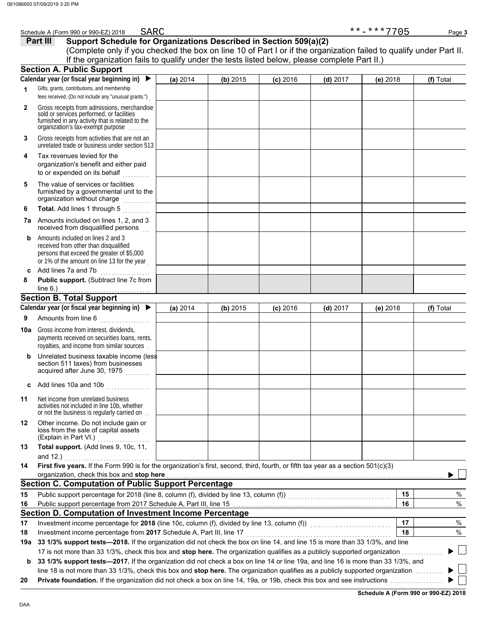|              | SARC<br>Schedule A (Form 990 or 990-EZ) 2018                                                                                                                                                                                                                |          |          |            |            | **-***7705 | Page 3    |  |  |
|--------------|-------------------------------------------------------------------------------------------------------------------------------------------------------------------------------------------------------------------------------------------------------------|----------|----------|------------|------------|------------|-----------|--|--|
|              | Support Schedule for Organizations Described in Section 509(a)(2)<br>Part III                                                                                                                                                                               |          |          |            |            |            |           |  |  |
|              | (Complete only if you checked the box on line 10 of Part I or if the organization failed to qualify under Part II.                                                                                                                                          |          |          |            |            |            |           |  |  |
|              | If the organization fails to qualify under the tests listed below, please complete Part II.)<br><b>Section A. Public Support</b>                                                                                                                            |          |          |            |            |            |           |  |  |
|              | Calendar year (or fiscal year beginning in) $\blacktriangleright$                                                                                                                                                                                           | (a) 2014 | (b) 2015 | $(c)$ 2016 | $(d)$ 2017 | (e) 2018   | (f) Total |  |  |
| 1            | Gifts, grants, contributions, and membership<br>fees received. (Do not include any "unusual grants.")                                                                                                                                                       |          |          |            |            |            |           |  |  |
| $\mathbf{2}$ | Gross receipts from admissions, merchandise<br>sold or services performed, or facilities<br>furnished in any activity that is related to the<br>organization's tax-exempt purpose                                                                           |          |          |            |            |            |           |  |  |
| 3            | Gross receipts from activities that are not an<br>unrelated trade or business under section 513                                                                                                                                                             |          |          |            |            |            |           |  |  |
| 4            | Tax revenues levied for the<br>organization's benefit and either paid<br>to or expended on its behalf                                                                                                                                                       |          |          |            |            |            |           |  |  |
| 5            | The value of services or facilities<br>furnished by a governmental unit to the<br>organization without charge                                                                                                                                               |          |          |            |            |            |           |  |  |
| 6            | Total. Add lines 1 through 5                                                                                                                                                                                                                                |          |          |            |            |            |           |  |  |
|              | <b>7a</b> Amounts included on lines 1, 2, and 3<br>received from disqualified persons                                                                                                                                                                       |          |          |            |            |            |           |  |  |
| b            | Amounts included on lines 2 and 3<br>received from other than disqualified<br>persons that exceed the greater of \$5,000<br>or 1% of the amount on line 13 for the year                                                                                     |          |          |            |            |            |           |  |  |
|              | c Add lines 7a and 7b<br>.                                                                                                                                                                                                                                  |          |          |            |            |            |           |  |  |
| 8            | Public support. (Subtract line 7c from<br>line $6.$ )                                                                                                                                                                                                       |          |          |            |            |            |           |  |  |
|              | <b>Section B. Total Support</b>                                                                                                                                                                                                                             |          |          |            |            |            |           |  |  |
|              | Calendar year (or fiscal year beginning in)                                                                                                                                                                                                                 | (a) 2014 | (b) 2015 | $(c)$ 2016 | $(d)$ 2017 | (e) 2018   | (f) Total |  |  |
| 9            | Amounts from line 6                                                                                                                                                                                                                                         |          |          |            |            |            |           |  |  |
|              | <b>10a</b> Gross income from interest, dividends,<br>payments received on securities loans, rents,<br>royalties, and income from similar sources                                                                                                            |          |          |            |            |            |           |  |  |
| b            | Unrelated business taxable income (less<br>section 511 taxes) from businesses<br>acquired after June 30, 1975                                                                                                                                               |          |          |            |            |            |           |  |  |
| c            | Add lines 10a and 10b                                                                                                                                                                                                                                       |          |          |            |            |            |           |  |  |
| 11           | Net income from unrelated business<br>activities not included in line 10b, whether<br>or not the business is regularly carried on                                                                                                                           |          |          |            |            |            |           |  |  |
| 12           | Other income. Do not include gain or<br>loss from the sale of capital assets<br>(Explain in Part VI.)                                                                                                                                                       |          |          |            |            |            |           |  |  |
| 13           | Total support. (Add lines 9, 10c, 11,<br>and 12.) $\qquad \qquad$                                                                                                                                                                                           |          |          |            |            |            |           |  |  |
| 14           | First five years. If the Form 990 is for the organization's first, second, third, fourth, or fifth tax year as a section 501(c)(3)<br>organization, check this box and stop here <b>contained and all and all and all and all and all and all and all a</b> |          |          |            |            |            |           |  |  |
|              | <b>Section C. Computation of Public Support Percentage</b>                                                                                                                                                                                                  |          |          |            |            |            |           |  |  |
| 15           |                                                                                                                                                                                                                                                             |          |          |            |            | 15         | $\%$      |  |  |
| 16           |                                                                                                                                                                                                                                                             |          |          |            |            | 16         | $\%$      |  |  |
|              | Section D. Computation of Investment Income Percentage                                                                                                                                                                                                      |          |          |            |            |            |           |  |  |
| 17           |                                                                                                                                                                                                                                                             |          |          |            |            | 17         | %         |  |  |
| 18           | Investment income percentage from 2017 Schedule A, Part III, line 17                                                                                                                                                                                        |          |          |            |            | 18         | $\%$      |  |  |
| 19a          | 33 1/3% support tests-2018. If the organization did not check the box on line 14, and line 15 is more than 33 1/3%, and line                                                                                                                                |          |          |            |            |            |           |  |  |
|              | 17 is not more than 33 1/3%, check this box and stop here. The organization qualifies as a publicly supported organization                                                                                                                                  |          |          |            |            |            |           |  |  |
| b            | 33 1/3% support tests-2017. If the organization did not check a box on line 14 or line 19a, and line 16 is more than 33 1/3%, and                                                                                                                           |          |          |            |            |            |           |  |  |
| 20           | line 18 is not more than 33 1/3%, check this box and stop here. The organization qualifies as a publicly supported organization                                                                                                                             |          |          |            |            |            |           |  |  |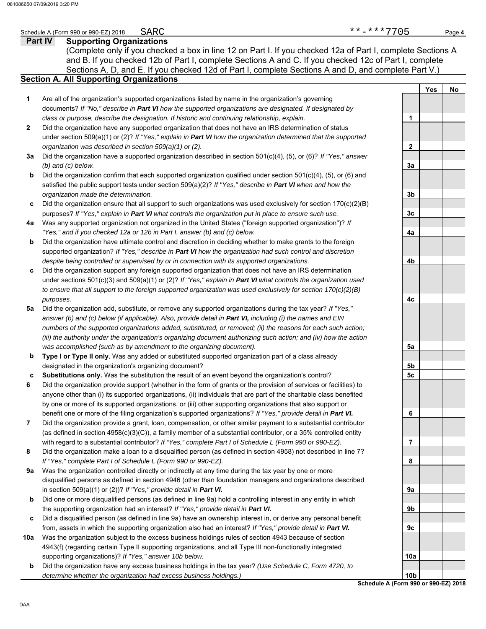### **Part IV Supporting Organizations** Sections A, D, and E. If you checked 12d of Part I, complete Sections A and D, and complete Part V.) Schedule A (Form 990 or 990-EZ) 2018 Page **4 Section A. All Supporting Organizations** (Complete only if you checked a box in line 12 on Part I. If you checked 12a of Part I, complete Sections A and B. If you checked 12b of Part I, complete Sections A and C. If you checked 12c of Part I, complete Are all of the organization's supported organizations listed by name in the organization's governing documents? *If "No," describe in Part VI how the supported organizations are designated. If designated by class or purpose, describe the designation. If historic and continuing relationship, explain.* Did the organization have any supported organization that does not have an IRS determination of status under section 509(a)(1) or (2)? *If "Yes," explain in Part VI how the organization determined that the supported organization was described in section 509(a)(1) or (2).* **1 2 3a** Did the organization have a supported organization described in section 501(c)(4), (5), or (6)? *If "Yes," answer* **b c 4a** Was any supported organization not organized in the United States ("foreign supported organization")? *If* **b c** Did the organization support any foreign supported organization that does not have an IRS determination **5a** Did the organization add, substitute, or remove any supported organizations during the tax year? *If "Yes,"* **b c 6 7 8 9a b c 10a b** *(b) and (c) below.* Did the organization confirm that each supported organization qualified under section 501(c)(4), (5), or (6) and satisfied the public support tests under section 509(a)(2)? *If "Yes," describe in Part VI when and how the organization made the determination.* Did the organization ensure that all support to such organizations was used exclusively for section  $170(c)(2)(B)$ purposes? *If "Yes," explain in Part VI what controls the organization put in place to ensure such use. "Yes," and if you checked 12a or 12b in Part I, answer (b) and (c) below.* Did the organization have ultimate control and discretion in deciding whether to make grants to the foreign supported organization? *If "Yes," describe in Part VI how the organization had such control and discretion despite being controlled or supervised by or in connection with its supported organizations.* under sections 501(c)(3) and 509(a)(1) or (2)? *If "Yes," explain in Part VI what controls the organization used to ensure that all support to the foreign supported organization was used exclusively for section 170(c)(2)(B) purposes.* answer (b) and (c) below (if applicable). Also, provide detail in **Part VI**, *including (i)* the names and EIN *numbers of the supported organizations added, substituted, or removed; (ii) the reasons for each such action; (iii) the authority under the organization's organizing document authorizing such action; and (iv) how the action was accomplished (such as by amendment to the organizing document).* **Type I or Type II only.** Was any added or substituted supported organization part of a class already designated in the organization's organizing document? **Substitutions only.** Was the substitution the result of an event beyond the organization's control? Did the organization provide support (whether in the form of grants or the provision of services or facilities) to anyone other than (i) its supported organizations, (ii) individuals that are part of the charitable class benefited by one or more of its supported organizations, or (iii) other supporting organizations that also support or benefit one or more of the filing organization's supported organizations? *If "Yes," provide detail in Part VI.* Did the organization provide a grant, loan, compensation, or other similar payment to a substantial contributor (as defined in section 4958(c)(3)(C)), a family member of a substantial contributor, or a 35% controlled entity with regard to a substantial contributor? *If "Yes," complete Part I of Schedule L (Form 990 or 990-EZ).* Did the organization make a loan to a disqualified person (as defined in section 4958) not described in line 7? *If "Yes," complete Part I of Schedule L (Form 990 or 990-EZ).* Was the organization controlled directly or indirectly at any time during the tax year by one or more disqualified persons as defined in section 4946 (other than foundation managers and organizations described in section 509(a)(1) or (2))? *If "Yes," provide detail in Part VI.* Did one or more disqualified persons (as defined in line 9a) hold a controlling interest in any entity in which the supporting organization had an interest? *If "Yes," provide detail in Part VI.* Did a disqualified person (as defined in line 9a) have an ownership interest in, or derive any personal benefit from, assets in which the supporting organization also had an interest? *If "Yes," provide detail in Part VI.* Was the organization subject to the excess business holdings rules of section 4943 because of section 4943(f) (regarding certain Type II supporting organizations, and all Type III non-functionally integrated supporting organizations)? *If "Yes," answer 10b below.* Did the organization have any excess business holdings in the tax year? *(Use Schedule C, Form 4720, to determine whether the organization had excess business holdings.)* **Yes No 1 2 3a 3b 3c 4a 4b 4c 5a 5b 5c 6 7 8 9a 9b 9c 10a 10b**  $***-***7705$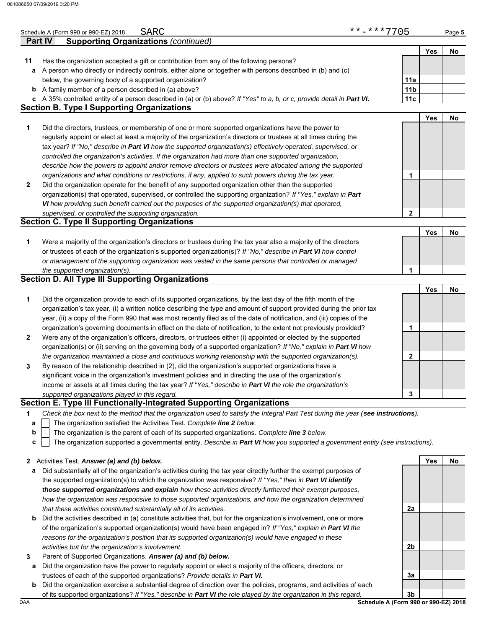|              | SARC<br>Schedule A (Form 990 or 990-EZ) 2018                                                                                      | **-***7705      |     | Page 5 |
|--------------|-----------------------------------------------------------------------------------------------------------------------------------|-----------------|-----|--------|
|              | <b>Part IV</b><br><b>Supporting Organizations (continued)</b>                                                                     |                 |     |        |
|              |                                                                                                                                   |                 | Yes | No     |
| 11           | Has the organization accepted a gift or contribution from any of the following persons?                                           |                 |     |        |
| а            | A person who directly or indirectly controls, either alone or together with persons described in (b) and (c)                      |                 |     |        |
|              | below, the governing body of a supported organization?                                                                            | 11a             |     |        |
|              | <b>b</b> A family member of a person described in (a) above?                                                                      | 11 <sub>b</sub> |     |        |
| c            | A 35% controlled entity of a person described in (a) or (b) above? If "Yes" to a, b, or c, provide detail in Part VI.             | 11c             |     |        |
|              | <b>Section B. Type I Supporting Organizations</b>                                                                                 |                 |     |        |
|              |                                                                                                                                   |                 | Yes | No     |
| 1            | Did the directors, trustees, or membership of one or more supported organizations have the power to                               |                 |     |        |
|              | regularly appoint or elect at least a majority of the organization's directors or trustees at all times during the                |                 |     |        |
|              | tax year? If "No," describe in Part VI how the supported organization(s) effectively operated, supervised, or                     |                 |     |        |
|              | controlled the organization's activities. If the organization had more than one supported organization,                           |                 |     |        |
|              | describe how the powers to appoint and/or remove directors or trustees were allocated among the supported                         |                 |     |        |
|              | organizations and what conditions or restrictions, if any, applied to such powers during the tax year.                            | 1               |     |        |
| $\mathbf{2}$ | Did the organization operate for the benefit of any supported organization other than the supported                               |                 |     |        |
|              | organization(s) that operated, supervised, or controlled the supporting organization? If "Yes," explain in Part                   |                 |     |        |
|              | VI how providing such benefit carried out the purposes of the supported organization(s) that operated,                            |                 |     |        |
|              | supervised, or controlled the supporting organization.                                                                            | $\mathbf{2}$    |     |        |
|              | <b>Section C. Type II Supporting Organizations</b>                                                                                |                 |     |        |
|              |                                                                                                                                   |                 | Yes | No     |
| 1            | Were a majority of the organization's directors or trustees during the tax year also a majority of the directors                  |                 |     |        |
|              | or trustees of each of the organization's supported organization(s)? If "No," describe in Part VI how control                     |                 |     |        |
|              | or management of the supporting organization was vested in the same persons that controlled or managed                            |                 |     |        |
|              | the supported organization(s).                                                                                                    | 1               |     |        |
|              | <b>Section D. All Type III Supporting Organizations</b>                                                                           |                 |     |        |
|              |                                                                                                                                   |                 | Yes | No     |
| 1            | Did the organization provide to each of its supported organizations, by the last day of the fifth month of the                    |                 |     |        |
|              | organization's tax year, (i) a written notice describing the type and amount of support provided during the prior tax             |                 |     |        |
|              | year, (ii) a copy of the Form 990 that was most recently filed as of the date of notification, and (iii) copies of the            |                 |     |        |
|              | organization's governing documents in effect on the date of notification, to the extent not previously provided?                  | 1               |     |        |
| $\mathbf{2}$ | Were any of the organization's officers, directors, or trustees either (i) appointed or elected by the supported                  |                 |     |        |
|              | organization(s) or (ii) serving on the governing body of a supported organization? If "No," explain in Part VI how                |                 |     |        |
|              | the organization maintained a close and continuous working relationship with the supported organization(s).                       | $\mathbf{2}$    |     |        |
| 3            | By reason of the relationship described in (2), did the organization's supported organizations have a                             |                 |     |        |
|              | significant voice in the organization's investment policies and in directing the use of the organization's                        |                 |     |        |
|              | income or assets at all times during the tax year? If "Yes," describe in Part VI the role the organization's                      |                 |     |        |
|              | supported organizations played in this regard.                                                                                    | 3               |     |        |
|              | Section E. Type III Functionally-Integrated Supporting Organizations                                                              |                 |     |        |
| 1            | Check the box next to the method that the organization used to satisfy the Integral Part Test during the year (see instructions). |                 |     |        |
| а            | The organization satisfied the Activities Test. Complete line 2 below.                                                            |                 |     |        |
| b            | The organization is the parent of each of its supported organizations. Complete line 3 below.                                     |                 |     |        |
| C            | The organization supported a governmental entity. Describe in Part VI how you supported a government entity (see instructions).   |                 |     |        |
|              |                                                                                                                                   |                 |     |        |
| 2            | Activities Test. Answer (a) and (b) below.                                                                                        |                 | Yes | No     |
| а            | Did substantially all of the organization's activities during the tax year directly further the exempt purposes of                |                 |     |        |
|              | the supported organization(s) to which the organization was responsive? If "Yes," then in Part VI identify                        |                 |     |        |
|              | those supported organizations and explain how these activities directly furthered their exempt purposes,                          |                 |     |        |
|              | how the organization was responsive to those supported organizations, and how the organization determined                         |                 |     |        |
|              | that these activities constituted substantially all of its activities.                                                            | 2a              |     |        |
| b            | Did the activities described in (a) constitute activities that, but for the organization's involvement, one or more               |                 |     |        |
|              | of the organization's supported organization(s) would have been engaged in? If "Yes," explain in Part VI the                      |                 |     |        |

- **3** *activities but for the organization's involvement.* Parent of Supported Organizations. *Answer (a) and (b) below.*
- **a** Did the organization have the power to regularly appoint or elect a majority of the officers, directors, or trustees of each of the supported organizations? *Provide details in Part VI.*

*reasons for the organization's position that its supported organization(s) would have engaged in these* 

**b** Did the organization exercise a substantial degree of direction over the policies, programs, and activities of each of its supported organizations? *If "Yes," describe in Part VI the role played by the organization in this regard.*

DAA **Schedule A (Form 990 or 990-EZ) 2018 3b**

**3a**

**2b**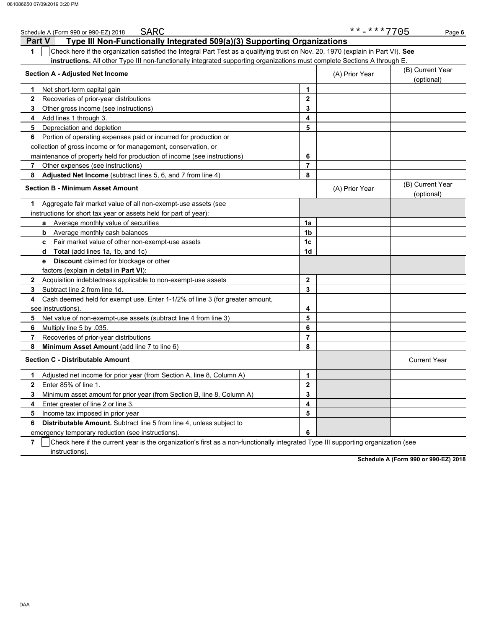| SARC<br>Schedule A (Form 990 or 990-EZ) 2018                                                                                          |                  | **-***7705     | Page 6                         |
|---------------------------------------------------------------------------------------------------------------------------------------|------------------|----------------|--------------------------------|
| Type III Non-Functionally Integrated 509(a)(3) Supporting Organizations<br><b>Part V</b>                                              |                  |                |                                |
| Check here if the organization satisfied the Integral Part Test as a qualifying trust on Nov. 20, 1970 (explain in Part VI). See<br>1 |                  |                |                                |
| instructions. All other Type III non-functionally integrated supporting organizations must complete Sections A through E.             |                  |                |                                |
| <b>Section A - Adjusted Net Income</b>                                                                                                | (B) Current Year |                |                                |
|                                                                                                                                       |                  | (A) Prior Year | (optional)                     |
| Net short-term capital gain<br>1.                                                                                                     | 1                |                |                                |
| $\mathbf{2}$<br>Recoveries of prior-year distributions                                                                                | $\mathbf 2$      |                |                                |
| 3<br>Other gross income (see instructions)                                                                                            | 3                |                |                                |
| 4<br>Add lines 1 through 3.                                                                                                           | 4                |                |                                |
| 5<br>Depreciation and depletion                                                                                                       | 5                |                |                                |
| Portion of operating expenses paid or incurred for production or<br>6                                                                 |                  |                |                                |
| collection of gross income or for management, conservation, or                                                                        |                  |                |                                |
| maintenance of property held for production of income (see instructions)                                                              | 6                |                |                                |
| 7<br>Other expenses (see instructions)                                                                                                | $\overline{7}$   |                |                                |
| Adjusted Net Income (subtract lines 5, 6, and 7 from line 4)<br>8                                                                     | 8                |                |                                |
| <b>Section B - Minimum Asset Amount</b>                                                                                               |                  | (A) Prior Year | (B) Current Year<br>(optional) |
| Aggregate fair market value of all non-exempt-use assets (see<br>1.                                                                   |                  |                |                                |
| instructions for short tax year or assets held for part of year):                                                                     |                  |                |                                |
| <b>a</b> Average monthly value of securities                                                                                          | 1a               |                |                                |
| Average monthly cash balances<br>b                                                                                                    | 1 <sub>b</sub>   |                |                                |
| c Fair market value of other non-exempt-use assets                                                                                    | 1c               |                |                                |
| Total (add lines 1a, 1b, and 1c)<br>d                                                                                                 | 1d               |                |                                |
| <b>Discount</b> claimed for blockage or other<br>e                                                                                    |                  |                |                                |
| factors (explain in detail in <b>Part VI)</b> :                                                                                       |                  |                |                                |
| Acquisition indebtedness applicable to non-exempt-use assets<br>$\mathbf{2}$                                                          | $\mathbf{2}$     |                |                                |
| Subtract line 2 from line 1d.<br>3                                                                                                    | 3                |                |                                |
| Cash deemed held for exempt use. Enter 1-1/2% of line 3 (for greater amount,<br>4                                                     |                  |                |                                |
| see instructions).                                                                                                                    | 4                |                |                                |
| 5<br>Net value of non-exempt-use assets (subtract line 4 from line 3)                                                                 | 5                |                |                                |
| 6<br>Multiply line 5 by 035.                                                                                                          | 6                |                |                                |
| 7<br>Recoveries of prior-year distributions                                                                                           | $\overline{7}$   |                |                                |
| 8<br><b>Minimum Asset Amount</b> (add line 7 to line 6)                                                                               | 8                |                |                                |
| <b>Section C - Distributable Amount</b>                                                                                               |                  |                | <b>Current Year</b>            |
| Adjusted net income for prior year (from Section A, line 8, Column A)<br>1                                                            | 1                |                |                                |
| Enter 85% of line 1.<br>$\mathbf{2}$                                                                                                  | $\overline{2}$   |                |                                |
| 3<br>Minimum asset amount for prior year (from Section B, line 8, Column A)                                                           | 3                |                |                                |
| 4<br>Enter greater of line 2 or line 3.                                                                                               | 4                |                |                                |
| 5<br>Income tax imposed in prior year                                                                                                 | 5                |                |                                |
| 6<br><b>Distributable Amount.</b> Subtract line 5 from line 4, unless subject to                                                      |                  |                |                                |
| emergency temporary reduction (see instructions)                                                                                      | 6                |                |                                |

**7**  $\mid$  Check here if the current year is the organization's first as a non-functionally integrated Type III supporting organization (see instructions).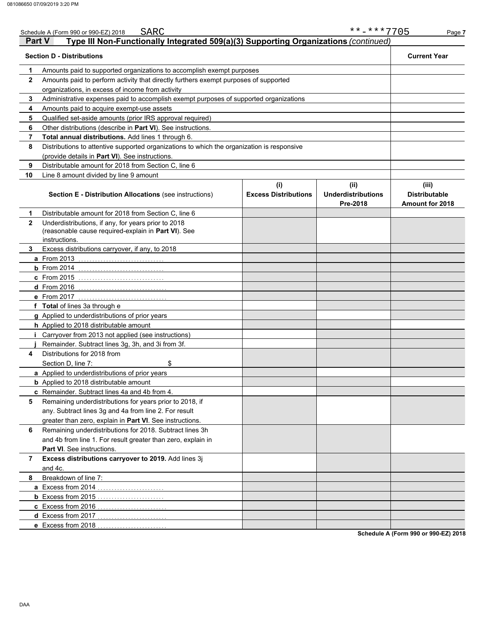|               | SARC<br>Schedule A (Form 990 or 990-EZ) 2018                                                                                |                                    | **-***7705                                    | Page 7                                                  |
|---------------|-----------------------------------------------------------------------------------------------------------------------------|------------------------------------|-----------------------------------------------|---------------------------------------------------------|
| <b>Part V</b> | Type III Non-Functionally Integrated 509(a)(3) Supporting Organizations (continued)                                         |                                    |                                               |                                                         |
|               | <b>Section D - Distributions</b>                                                                                            |                                    |                                               | <b>Current Year</b>                                     |
| 1             | Amounts paid to supported organizations to accomplish exempt purposes                                                       |                                    |                                               |                                                         |
| $\mathbf{2}$  | Amounts paid to perform activity that directly furthers exempt purposes of supported                                        |                                    |                                               |                                                         |
|               | organizations, in excess of income from activity                                                                            |                                    |                                               |                                                         |
| 3             | Administrative expenses paid to accomplish exempt purposes of supported organizations                                       |                                    |                                               |                                                         |
| 4             | Amounts paid to acquire exempt-use assets                                                                                   |                                    |                                               |                                                         |
| 5             | Qualified set-aside amounts (prior IRS approval required)                                                                   |                                    |                                               |                                                         |
| 6             | Other distributions (describe in Part VI). See instructions.                                                                |                                    |                                               |                                                         |
| 7             | Total annual distributions. Add lines 1 through 6.                                                                          |                                    |                                               |                                                         |
| 8             | Distributions to attentive supported organizations to which the organization is responsive                                  |                                    |                                               |                                                         |
|               | (provide details in Part VI). See instructions.                                                                             |                                    |                                               |                                                         |
| 9             | Distributable amount for 2018 from Section C, line 6                                                                        |                                    |                                               |                                                         |
| 10            | Line 8 amount divided by line 9 amount                                                                                      |                                    |                                               |                                                         |
|               | <b>Section E - Distribution Allocations (see instructions)</b>                                                              | (i)<br><b>Excess Distributions</b> | (ii)<br><b>Underdistributions</b><br>Pre-2018 | (iii)<br><b>Distributable</b><br><b>Amount for 2018</b> |
| 1             | Distributable amount for 2018 from Section C, line 6                                                                        |                                    |                                               |                                                         |
| $\mathbf{2}$  | Underdistributions, if any, for years prior to 2018<br>(reasonable cause required-explain in Part VI). See<br>instructions. |                                    |                                               |                                                         |
| 3             | Excess distributions carryover, if any, to 2018                                                                             |                                    |                                               |                                                         |
|               | <b>a</b> From 2013                                                                                                          |                                    |                                               |                                                         |
|               | $b$ From 2014                                                                                                               |                                    |                                               |                                                         |
|               | <b>c</b> From 2015                                                                                                          |                                    |                                               |                                                         |
|               | <b>d</b> From 2016                                                                                                          |                                    |                                               |                                                         |
|               | e From 2017                                                                                                                 |                                    |                                               |                                                         |
|               | f Total of lines 3a through e                                                                                               |                                    |                                               |                                                         |
|               | g Applied to underdistributions of prior years                                                                              |                                    |                                               |                                                         |
|               | h Applied to 2018 distributable amount                                                                                      |                                    |                                               |                                                         |
|               | Carryover from 2013 not applied (see instructions)                                                                          |                                    |                                               |                                                         |
|               | Remainder. Subtract lines 3g, 3h, and 3i from 3f.                                                                           |                                    |                                               |                                                         |
| 4             | Distributions for 2018 from                                                                                                 |                                    |                                               |                                                         |
|               | \$<br>Section D. line 7:                                                                                                    |                                    |                                               |                                                         |
|               | a Applied to underdistributions of prior years                                                                              |                                    |                                               |                                                         |
|               | <b>b</b> Applied to 2018 distributable amount                                                                               |                                    |                                               |                                                         |
|               | c Remainder. Subtract lines 4a and 4b from 4.                                                                               |                                    |                                               |                                                         |
| 5             | Remaining underdistributions for years prior to 2018, if                                                                    |                                    |                                               |                                                         |
|               | any. Subtract lines 3g and 4a from line 2. For result                                                                       |                                    |                                               |                                                         |
|               | greater than zero, explain in Part VI. See instructions.                                                                    |                                    |                                               |                                                         |
| 6             | Remaining underdistributions for 2018. Subtract lines 3h                                                                    |                                    |                                               |                                                         |
|               | and 4b from line 1. For result greater than zero, explain in                                                                |                                    |                                               |                                                         |
|               | Part VI. See instructions.                                                                                                  |                                    |                                               |                                                         |
| 7             | Excess distributions carryover to 2019. Add lines 3j                                                                        |                                    |                                               |                                                         |
|               | and 4c.                                                                                                                     |                                    |                                               |                                                         |
| 8             | Breakdown of line 7:                                                                                                        |                                    |                                               |                                                         |
|               | a Excess from 2014                                                                                                          |                                    |                                               |                                                         |
|               |                                                                                                                             |                                    |                                               |                                                         |
|               | c Excess from 2016                                                                                                          |                                    |                                               |                                                         |
|               | d Excess from 2017                                                                                                          |                                    |                                               |                                                         |
|               | e Excess from 2018                                                                                                          |                                    |                                               |                                                         |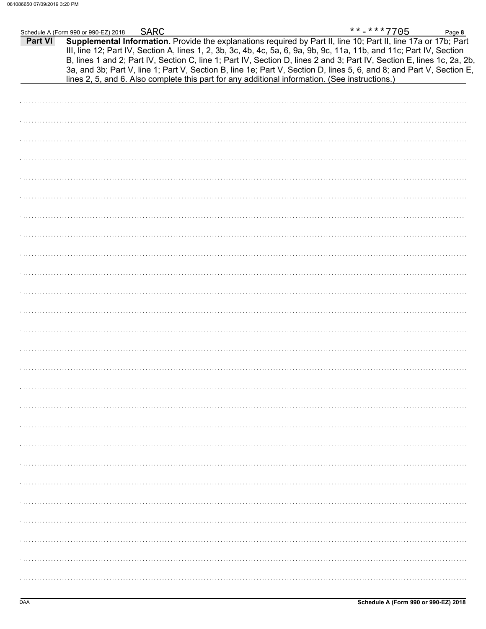|                | Schedule A (Form 990 or 990-EZ) 2018 | <b>SARC</b> |                                                                                                                                                                                                                                                                                                                                                                                                                                                                                                                                                                                             | **-***7705 | Page 8 |
|----------------|--------------------------------------|-------------|---------------------------------------------------------------------------------------------------------------------------------------------------------------------------------------------------------------------------------------------------------------------------------------------------------------------------------------------------------------------------------------------------------------------------------------------------------------------------------------------------------------------------------------------------------------------------------------------|------------|--------|
| <b>Part VI</b> |                                      |             | Supplemental Information. Provide the explanations required by Part II, line 10; Part II, line 17a or 17b; Part<br>III, line 12; Part IV, Section A, lines 1, 2, 3b, 3c, 4b, 4c, 5a, 6, 9a, 9b, 9c, 11a, 11b, and 11c; Part IV, Section<br>B, lines 1 and 2; Part IV, Section C, line 1; Part IV, Section D, lines 2 and 3; Part IV, Section E, lines 1c, 2a, 2b,<br>3a, and 3b; Part V, line 1; Part V, Section B, line 1e; Part V, Section D, lines 5, 6, and 8; and Part V, Section E,<br>lines 2, 5, and 6. Also complete this part for any additional information. (See instructions.) |            |        |
|                |                                      |             |                                                                                                                                                                                                                                                                                                                                                                                                                                                                                                                                                                                             |            |        |
|                |                                      |             |                                                                                                                                                                                                                                                                                                                                                                                                                                                                                                                                                                                             |            |        |
|                |                                      |             |                                                                                                                                                                                                                                                                                                                                                                                                                                                                                                                                                                                             |            |        |
|                |                                      |             |                                                                                                                                                                                                                                                                                                                                                                                                                                                                                                                                                                                             |            |        |
|                |                                      |             |                                                                                                                                                                                                                                                                                                                                                                                                                                                                                                                                                                                             |            |        |
|                |                                      |             |                                                                                                                                                                                                                                                                                                                                                                                                                                                                                                                                                                                             |            |        |
|                |                                      |             |                                                                                                                                                                                                                                                                                                                                                                                                                                                                                                                                                                                             |            |        |
|                |                                      |             |                                                                                                                                                                                                                                                                                                                                                                                                                                                                                                                                                                                             |            |        |
|                |                                      |             |                                                                                                                                                                                                                                                                                                                                                                                                                                                                                                                                                                                             |            |        |
|                |                                      |             |                                                                                                                                                                                                                                                                                                                                                                                                                                                                                                                                                                                             |            |        |
|                |                                      |             |                                                                                                                                                                                                                                                                                                                                                                                                                                                                                                                                                                                             |            |        |
|                |                                      |             |                                                                                                                                                                                                                                                                                                                                                                                                                                                                                                                                                                                             |            |        |
|                |                                      |             |                                                                                                                                                                                                                                                                                                                                                                                                                                                                                                                                                                                             |            |        |
|                |                                      |             |                                                                                                                                                                                                                                                                                                                                                                                                                                                                                                                                                                                             |            |        |
|                |                                      |             |                                                                                                                                                                                                                                                                                                                                                                                                                                                                                                                                                                                             |            |        |
|                |                                      |             |                                                                                                                                                                                                                                                                                                                                                                                                                                                                                                                                                                                             |            |        |
|                |                                      |             |                                                                                                                                                                                                                                                                                                                                                                                                                                                                                                                                                                                             |            |        |
|                |                                      |             |                                                                                                                                                                                                                                                                                                                                                                                                                                                                                                                                                                                             |            |        |
|                |                                      |             |                                                                                                                                                                                                                                                                                                                                                                                                                                                                                                                                                                                             |            |        |
|                |                                      |             |                                                                                                                                                                                                                                                                                                                                                                                                                                                                                                                                                                                             |            |        |
|                |                                      |             |                                                                                                                                                                                                                                                                                                                                                                                                                                                                                                                                                                                             |            |        |
|                |                                      |             |                                                                                                                                                                                                                                                                                                                                                                                                                                                                                                                                                                                             |            |        |
|                |                                      |             |                                                                                                                                                                                                                                                                                                                                                                                                                                                                                                                                                                                             |            |        |
|                |                                      |             |                                                                                                                                                                                                                                                                                                                                                                                                                                                                                                                                                                                             |            |        |
|                |                                      |             |                                                                                                                                                                                                                                                                                                                                                                                                                                                                                                                                                                                             |            |        |
|                |                                      |             |                                                                                                                                                                                                                                                                                                                                                                                                                                                                                                                                                                                             |            |        |
|                |                                      |             |                                                                                                                                                                                                                                                                                                                                                                                                                                                                                                                                                                                             |            |        |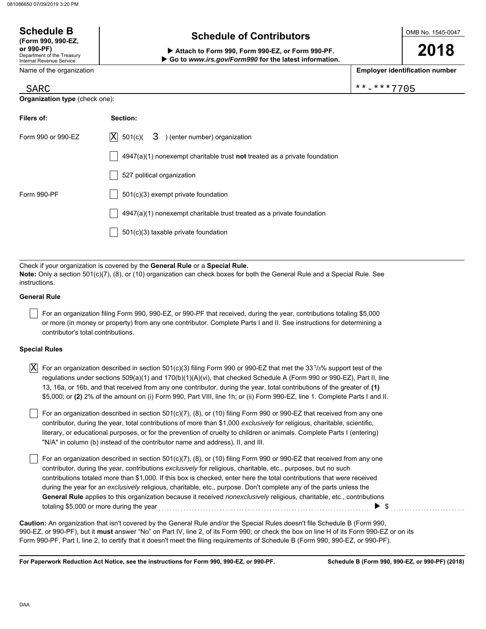Department of the Treasury Internal Revenue Service Name of the organization

**Schedule B (Form 990, 990-EZ,**

**or 990-PF) Attach to Form 990, Form 990-EZ, or Form 990-PF. Go to** *www.irs.gov/Form990* **for the latest information.** OMB No. 1545-0047

**2018**

**Employer identification number**

|  |  |  | **-***77( |  |
|--|--|--|-----------|--|
|  |  |  |           |  |

| <b>SARC</b> | * * * 7 7 0 5<br>$***-$<br>. ^ ^ ^<br>. . |
|-------------|-------------------------------------------|
|             |                                           |

**Organization type** (check one):

| Filers of:         | Section:                                                                           |
|--------------------|------------------------------------------------------------------------------------|
| Form 990 or 990-EZ | $ X $ 501(c)(<br>$3$ ) (enter number) organization                                 |
|                    | $4947(a)(1)$ nonexempt charitable trust <b>not</b> treated as a private foundation |
|                    | 527 political organization                                                         |
| Form 990-PF        | $501(c)(3)$ exempt private foundation                                              |
|                    | $4947(a)(1)$ nonexempt charitable trust treated as a private foundation            |
|                    | 501(c)(3) taxable private foundation                                               |

Check if your organization is covered by the **General Rule** or a **Special Rule. Note:** Only a section 501(c)(7), (8), or (10) organization can check boxes for both the General Rule and a Special Rule. See instructions.

## **General Rule**

For an organization filing Form 990, 990-EZ, or 990-PF that received, during the year, contributions totaling \$5,000 or more (in money or property) from any one contributor. Complete Parts I and II. See instructions for determining a contributor's total contributions.

## **Special Rules**

 $\lceil$ 

| $X$ For an organization described in section 501(c)(3) filing Form 990 or 990-EZ that met the 331/3% support test of the    |
|-----------------------------------------------------------------------------------------------------------------------------|
| regulations under sections 509(a)(1) and 170(b)(1)(A)(vi), that checked Schedule A (Form 990 or 990-EZ), Part II, line      |
| 13, 16a, or 16b, and that received from any one contributor, during the year, total contributions of the greater of (1)     |
| \$5,000; or (2) 2% of the amount on (i) Form 990, Part VIII, line 1h; or (ii) Form 990-EZ, line 1. Complete Parts I and II. |

literary, or educational purposes, or for the prevention of cruelty to children or animals. Complete Parts I (entering)  $|$  For an organization described in section 501(c)(7), (8), or (10) filing Form 990 or 990-EZ that received from any one contributor, during the year, total contributions of more than \$1,000 *exclusively* for religious, charitable, scientific, "N/A" in column (b) instead of the contributor name and address), II, and III.

For an organization described in section 501(c)(7), (8), or (10) filing Form 990 or 990-EZ that received from any one contributor, during the year, contributions *exclusively* for religious, charitable, etc., purposes, but no such contributions totaled more than \$1,000. If this box is checked, enter here the total contributions that were received during the year for an *exclusively* religious, charitable, etc., purpose. Don't complete any of the parts unless the **General Rule** applies to this organization because it received *nonexclusively* religious, charitable, etc., contributions totaling \$5,000 or more during the year  $\ldots$   $\ldots$   $\ldots$   $\ldots$   $\ldots$   $\ldots$   $\ldots$   $\ldots$   $\ldots$   $\ldots$   $\ldots$ 

990-EZ, or 990-PF), but it **must** answer "No" on Part IV, line 2, of its Form 990; or check the box on line H of its Form 990-EZ or on its Form 990-PF, Part I, line 2, to certify that it doesn't meet the filing requirements of Schedule B (Form 990, 990-EZ, or 990-PF). **Caution:** An organization that isn't covered by the General Rule and/or the Special Rules doesn't file Schedule B (Form 990,

**For Paperwork Reduction Act Notice, see the instructions for Form 990, 990-EZ, or 990-PF.**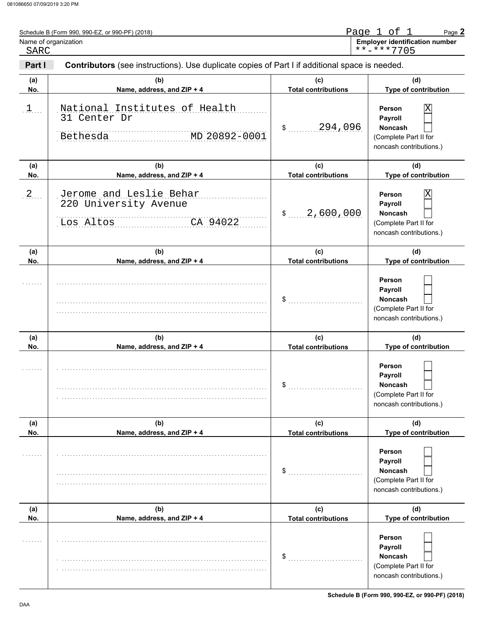| SARC       | Name of organization                                                                           |                                   | <b>Employer identification number</b><br>**-***7705                                            |
|------------|------------------------------------------------------------------------------------------------|-----------------------------------|------------------------------------------------------------------------------------------------|
| Part I     | Contributors (see instructions). Use duplicate copies of Part I if additional space is needed. |                                   |                                                                                                |
| (a)<br>No. | (b)<br>Name, address, and ZIP + 4                                                              | (c)<br><b>Total contributions</b> | (d)<br>Type of contribution                                                                    |
| $1$        | National Institutes of Health<br>31 Center Dr<br>Bethesda<br>MD 20892-0001                     | 294,096<br>$\mathsf{\$}$          | Х<br>Person<br>Payroll<br><b>Noncash</b><br>(Complete Part II for<br>noncash contributions.)   |
| (a)<br>No. | (b)<br>Name, address, and ZIP + 4                                                              | (c)<br><b>Total contributions</b> | (d)<br>Type of contribution                                                                    |
| $2$ .      | Jerome and Leslie Behar<br>220 University Avenue<br>Los Altos<br>CA 94022                      | 2,600,000<br>$\mathsf{\$}$        | Х<br>Person<br>Payroll<br>Noncash<br>(Complete Part II for<br>noncash contributions.)          |
| (a)<br>No. | (b)<br>Name, address, and ZIP + 4                                                              | (c)<br><b>Total contributions</b> | (d)<br>Type of contribution                                                                    |
|            |                                                                                                | \$                                | Person<br>Payroll<br>Noncash<br>(Complete Part II for<br>noncash contributions.)               |
| (a)<br>No. | (b)<br>Name, address, and ZIP + 4                                                              | (c)<br><b>Total contributions</b> | (d)<br>Type of contribution                                                                    |
| .          |                                                                                                | \$                                | Person<br><b>Payroll</b><br><b>Noncash</b><br>(Complete Part II for<br>noncash contributions.) |
| (a)<br>No. | (b)<br>Name, address, and ZIP + 4                                                              | (c)<br><b>Total contributions</b> | (d)<br>Type of contribution                                                                    |
|            |                                                                                                | \$                                | Person<br>Payroll<br><b>Noncash</b><br>(Complete Part II for<br>noncash contributions.)        |
| (a)<br>No. | (b)<br>Name, address, and ZIP + 4                                                              | (c)<br><b>Total contributions</b> | (d)<br>Type of contribution                                                                    |
|            |                                                                                                | \$                                | Person<br>Payroll<br><b>Noncash</b><br>(Complete Part II for<br>noncash contributions.)        |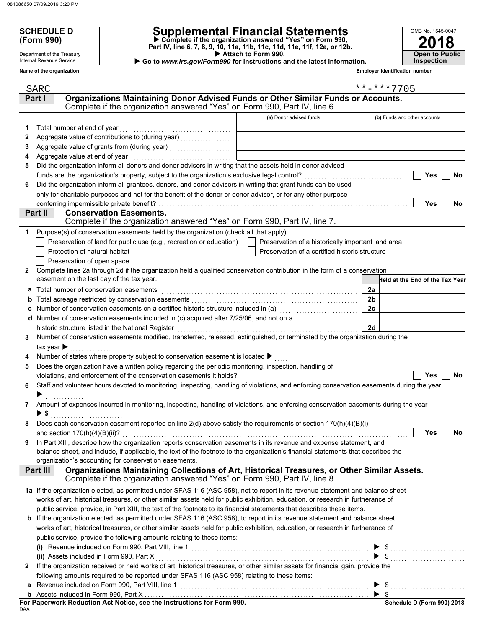Department of the Treasury Internal Revenue Service **Name of the organization**

## **SCHEDULE D Supplemental Financial Statements**

 **Attach to Form 990. (Form 990) Part IV, line 6, 7, 8, 9, 10, 11a, 11b, 11c, 11d, 11e, 11f, 12a, or 12b. Complete if the organization answered "Yes" on Form 990,**

▶ Go to *www.irs.gov/Form990* for instructions and the latest information.

**2018** OMB No. 1545-0047 **Open to Public Inspection**

**Employer identification number**

|              | SARC                                                                                                                                                 |                                                    |                | **-***7705                      |
|--------------|------------------------------------------------------------------------------------------------------------------------------------------------------|----------------------------------------------------|----------------|---------------------------------|
|              | Organizations Maintaining Donor Advised Funds or Other Similar Funds or Accounts.<br>Part I                                                          |                                                    |                |                                 |
|              | Complete if the organization answered "Yes" on Form 990, Part IV, line 6.                                                                            |                                                    |                |                                 |
|              |                                                                                                                                                      | (a) Donor advised funds                            |                | (b) Funds and other accounts    |
| 1            | Total number at end of year                                                                                                                          |                                                    |                |                                 |
| 2            |                                                                                                                                                      |                                                    |                |                                 |
| 3            |                                                                                                                                                      |                                                    |                |                                 |
| 4            | Aggregate value at end of year                                                                                                                       |                                                    |                |                                 |
| 5            | Did the organization inform all donors and donor advisors in writing that the assets held in donor advised                                           |                                                    |                |                                 |
|              |                                                                                                                                                      |                                                    |                | Yes<br>No                       |
| 6            | Did the organization inform all grantees, donors, and donor advisors in writing that grant funds can be used                                         |                                                    |                |                                 |
|              | only for charitable purposes and not for the benefit of the donor or donor advisor, or for any other purpose                                         |                                                    |                |                                 |
|              | conferring impermissible private benefit?                                                                                                            |                                                    |                | Yes<br><b>No</b>                |
|              | Part II<br><b>Conservation Easements.</b>                                                                                                            |                                                    |                |                                 |
|              | Complete if the organization answered "Yes" on Form 990, Part IV, line 7.                                                                            |                                                    |                |                                 |
| 1            | Purpose(s) of conservation easements held by the organization (check all that apply).                                                                |                                                    |                |                                 |
|              | Preservation of land for public use (e.g., recreation or education)                                                                                  | Preservation of a historically important land area |                |                                 |
|              | Protection of natural habitat                                                                                                                        | Preservation of a certified historic structure     |                |                                 |
|              | Preservation of open space                                                                                                                           |                                                    |                |                                 |
| $\mathbf{2}$ | Complete lines 2a through 2d if the organization held a qualified conservation contribution in the form of a conservation                            |                                                    |                |                                 |
|              | easement on the last day of the tax year.                                                                                                            |                                                    |                | Held at the End of the Tax Year |
|              | a Total number of conservation easements                                                                                                             |                                                    | 2a             |                                 |
| b            |                                                                                                                                                      |                                                    | 2 <sub>b</sub> |                                 |
|              | c Number of conservation easements on a certified historic structure included in (a) [111] Number of conservation                                    |                                                    | 2c             |                                 |
|              | d Number of conservation easements included in (c) acquired after 7/25/06, and not on a                                                              |                                                    |                |                                 |
|              | historic structure listed in the National Register                                                                                                   |                                                    | 2d             |                                 |
| 3            | Number of conservation easements modified, transferred, released, extinguished, or terminated by the organization during the                         |                                                    |                |                                 |
|              | tax year $\blacktriangleright$                                                                                                                       |                                                    |                |                                 |
| 4            | Number of states where property subject to conservation easement is located ▶                                                                        |                                                    |                |                                 |
| 5            | Does the organization have a written policy regarding the periodic monitoring, inspection, handling of                                               |                                                    |                |                                 |
|              | violations, and enforcement of the conservation easements it holds?                                                                                  |                                                    |                | No<br>Yes                       |
| 6            | Staff and volunteer hours devoted to monitoring, inspecting, handling of violations, and enforcing conservation easements during the year            |                                                    |                |                                 |
|              |                                                                                                                                                      |                                                    |                |                                 |
| 7            | Amount of expenses incurred in monitoring, inspecting, handling of violations, and enforcing conservation easements during the year                  |                                                    |                |                                 |
|              | $\blacktriangleright$ s                                                                                                                              |                                                    |                |                                 |
|              | Does each conservation easement reported on line $2(d)$ above satisfy the requirements of section $170(h)(4)(B)(i)$<br>and section 170(h)(4)(B)(ii)? |                                                    |                | Yes<br>No                       |
| 9            | In Part XIII, describe how the organization reports conservation easements in its revenue and expense statement, and                                 |                                                    |                |                                 |
|              | balance sheet, and include, if applicable, the text of the footnote to the organization's financial statements that describes the                    |                                                    |                |                                 |
|              | organization's accounting for conservation easements.                                                                                                |                                                    |                |                                 |
|              | Organizations Maintaining Collections of Art, Historical Treasures, or Other Similar Assets.<br>Part III                                             |                                                    |                |                                 |
|              | Complete if the organization answered "Yes" on Form 990, Part IV, line 8.                                                                            |                                                    |                |                                 |
|              | 1a If the organization elected, as permitted under SFAS 116 (ASC 958), not to report in its revenue statement and balance sheet                      |                                                    |                |                                 |
|              | works of art, historical treasures, or other similar assets held for public exhibition, education, or research in furtherance of                     |                                                    |                |                                 |
|              | public service, provide, in Part XIII, the text of the footnote to its financial statements that describes these items.                              |                                                    |                |                                 |
|              | <b>b</b> If the organization elected, as permitted under SFAS 116 (ASC 958), to report in its revenue statement and balance sheet                    |                                                    |                |                                 |
|              | works of art, historical treasures, or other similar assets held for public exhibition, education, or research in furtherance of                     |                                                    |                |                                 |
|              | public service, provide the following amounts relating to these items:                                                                               |                                                    |                |                                 |
|              |                                                                                                                                                      |                                                    |                |                                 |
|              | (ii) Assets included in Form 990, Part X                                                                                                             |                                                    |                | $\blacktriangleright$ \$        |
| 2            | If the organization received or held works of art, historical treasures, or other similar assets for financial gain, provide the                     |                                                    |                |                                 |
|              | following amounts required to be reported under SFAS 116 (ASC 958) relating to these items:                                                          |                                                    |                |                                 |
|              |                                                                                                                                                      |                                                    |                | $\blacktriangleright$ \$        |
|              |                                                                                                                                                      |                                                    |                | $\blacktriangleright$ s         |
| DAA          | For Paperwork Reduction Act Notice, see the Instructions for Form 990.                                                                               |                                                    |                | Schedule D (Form 990) 2018      |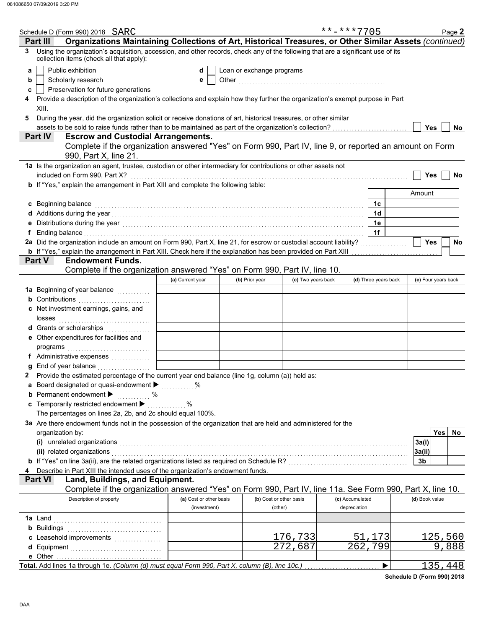|   | Schedule D (Form 990) 2018 SARC                                                                                                                                                                                                |                         |                           |                         | **-***7705 |                      | Page 2              |           |
|---|--------------------------------------------------------------------------------------------------------------------------------------------------------------------------------------------------------------------------------|-------------------------|---------------------------|-------------------------|------------|----------------------|---------------------|-----------|
|   | Organizations Maintaining Collections of Art, Historical Treasures, or Other Similar Assets (continued)<br>Part III                                                                                                            |                         |                           |                         |            |                      |                     |           |
| 3 | Using the organization's acquisition, accession, and other records, check any of the following that are a significant use of its<br>collection items (check all that apply):                                                   |                         |                           |                         |            |                      |                     |           |
| a | Public exhibition                                                                                                                                                                                                              | d                       | Loan or exchange programs |                         |            |                      |                     |           |
| b | Scholarly research                                                                                                                                                                                                             | е                       |                           |                         |            |                      |                     |           |
| c | Preservation for future generations                                                                                                                                                                                            |                         |                           |                         |            |                      |                     |           |
| 4 | Provide a description of the organization's collections and explain how they further the organization's exempt purpose in Part                                                                                                 |                         |                           |                         |            |                      |                     |           |
|   | XIII.                                                                                                                                                                                                                          |                         |                           |                         |            |                      |                     |           |
| 5 | During the year, did the organization solicit or receive donations of art, historical treasures, or other similar                                                                                                              |                         |                           |                         |            |                      |                     |           |
|   | assets to be sold to raise funds rather than to be maintained as part of the organization's collection?<br>Part IV                                                                                                             |                         |                           |                         |            |                      | Yes                 | <b>No</b> |
|   | <b>Escrow and Custodial Arrangements.</b><br>Complete if the organization answered "Yes" on Form 990, Part IV, line 9, or reported an amount on Form                                                                           |                         |                           |                         |            |                      |                     |           |
|   | 990, Part X, line 21.                                                                                                                                                                                                          |                         |                           |                         |            |                      |                     |           |
|   | 1a Is the organization an agent, trustee, custodian or other intermediary for contributions or other assets not                                                                                                                |                         |                           |                         |            |                      |                     |           |
|   | included on Form 990, Part X?                                                                                                                                                                                                  |                         |                           |                         |            |                      | Yes                 | No        |
|   | b If "Yes," explain the arrangement in Part XIII and complete the following table:                                                                                                                                             |                         |                           |                         |            |                      | Amount              |           |
|   | c Beginning balance                                                                                                                                                                                                            |                         |                           |                         |            | 1c                   |                     |           |
|   |                                                                                                                                                                                                                                |                         |                           |                         |            | 1d                   |                     |           |
|   |                                                                                                                                                                                                                                |                         |                           |                         |            | 1e                   |                     |           |
|   | Ending balance with a continuum and continuum and continuum and continuum and continuum and continuum and continuum and continuum and continuum and continuum and continuum and continuum and continuum and continuum and cont |                         |                           |                         |            | 1f                   |                     |           |
|   | 2a Did the organization include an amount on Form 990, Part X, line 21, for escrow or custodial account liability?                                                                                                             |                         |                           |                         |            |                      | <b>Yes</b>          | No        |
|   | b If "Yes," explain the arrangement in Part XIII. Check here if the explanation has been provided on Part XIII                                                                                                                 |                         |                           |                         |            |                      |                     |           |
|   | <b>Endowment Funds.</b><br>Part V                                                                                                                                                                                              |                         |                           |                         |            |                      |                     |           |
|   | Complete if the organization answered "Yes" on Form 990, Part IV, line 10.                                                                                                                                                     |                         |                           |                         |            |                      |                     |           |
|   |                                                                                                                                                                                                                                | (a) Current year        | (b) Prior year            | (c) Two years back      |            | (d) Three years back | (e) Four years back |           |
|   | 1a Beginning of year balance <i>minimizing</i>                                                                                                                                                                                 |                         |                           |                         |            |                      |                     |           |
|   | <b>b</b> Contributions <b>contributions</b>                                                                                                                                                                                    |                         |                           |                         |            |                      |                     |           |
|   | c Net investment earnings, gains, and                                                                                                                                                                                          |                         |                           |                         |            |                      |                     |           |
|   |                                                                                                                                                                                                                                |                         |                           |                         |            |                      |                     |           |
|   | <b>d</b> Grants or scholarships<br>.                                                                                                                                                                                           |                         |                           |                         |            |                      |                     |           |
|   | e Other expenditures for facilities and                                                                                                                                                                                        |                         |                           |                         |            |                      |                     |           |
|   |                                                                                                                                                                                                                                |                         |                           |                         |            |                      |                     |           |
|   |                                                                                                                                                                                                                                |                         |                           |                         |            |                      |                     |           |
|   | 2 Provide the estimated percentage of the current year end balance (line 1g, column (a)) held as:                                                                                                                              |                         |                           |                         |            |                      |                     |           |
|   | a Board designated or quasi-endowment >                                                                                                                                                                                        | $\%$                    |                           |                         |            |                      |                     |           |
|   | <b>b</b> Permanent endowment >                                                                                                                                                                                                 |                         |                           |                         |            |                      |                     |           |
|   | c Temporarily restricted endowment >                                                                                                                                                                                           | $\%$                    |                           |                         |            |                      |                     |           |
|   | The percentages on lines 2a, 2b, and 2c should equal 100%.                                                                                                                                                                     |                         |                           |                         |            |                      |                     |           |
|   | 3a Are there endowment funds not in the possession of the organization that are held and administered for the                                                                                                                  |                         |                           |                         |            |                      |                     |           |
|   | organization by:                                                                                                                                                                                                               |                         |                           |                         |            |                      | <b>Yes</b>          | No.       |
|   | (i) unrelated organizations entertainment and all the contract of the contract of the contract or contract or contract or contract or contract or contract or contract or contract or contract or contract or contract or cont |                         |                           |                         |            |                      | 3a(i)               |           |
|   | (ii) related organizations                                                                                                                                                                                                     |                         |                           |                         |            |                      | 3a(ii)              |           |
|   | b If "Yes" on line 3a(ii), are the related organizations listed as required on Schedule R? [[[[[[[[[[[[[[[[[[[                                                                                                                 |                         |                           |                         |            |                      | 3b                  |           |
|   | Describe in Part XIII the intended uses of the organization's endowment funds.                                                                                                                                                 |                         |                           |                         |            |                      |                     |           |
|   | Land, Buildings, and Equipment.<br>Part VI                                                                                                                                                                                     |                         |                           |                         |            |                      |                     |           |
|   | Complete if the organization answered "Yes" on Form 990, Part IV, line 11a. See Form 990, Part X, line 10.<br>Description of property                                                                                          | (a) Cost or other basis |                           | (b) Cost or other basis |            | (c) Accumulated      | (d) Book value      |           |
|   |                                                                                                                                                                                                                                | (investment)            |                           | (other)                 |            | depreciation         |                     |           |
|   |                                                                                                                                                                                                                                |                         |                           |                         |            |                      |                     |           |
|   |                                                                                                                                                                                                                                |                         |                           |                         |            |                      |                     |           |
|   |                                                                                                                                                                                                                                |                         |                           | $\overline{1}$ 76,733   |            | 51<br>173            | 125,560             |           |
|   |                                                                                                                                                                                                                                |                         |                           | $\overline{272,687}$    |            | $\overline{262,799}$ | 9,888               |           |
|   |                                                                                                                                                                                                                                |                         |                           |                         |            |                      |                     |           |
|   | Total. Add lines 1a through 1e. (Column (d) must equal Form 990, Part X, column (B), line 10c.)                                                                                                                                |                         |                           |                         |            | ▶                    | 135,448             |           |

**Schedule D (Form 990) 2018**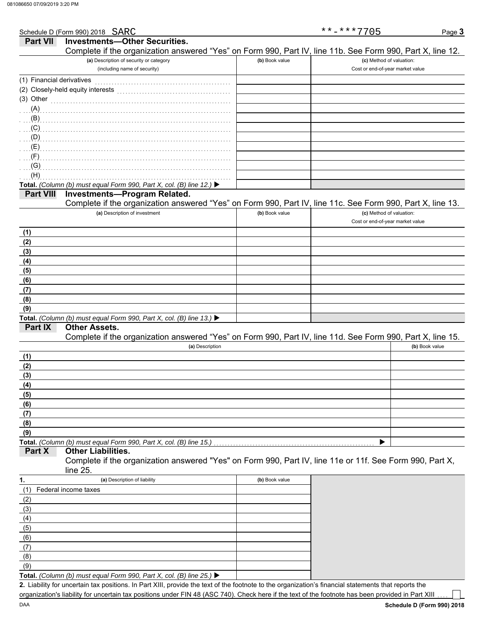| Schedule D (Form 990) 2018 SARC                                                                            |                | $***$ -***7705                   | Page 3 |
|------------------------------------------------------------------------------------------------------------|----------------|----------------------------------|--------|
| <b>Investments-Other Securities.</b><br><b>Part VII</b>                                                    |                |                                  |        |
| Complete if the organization answered "Yes" on Form 990, Part IV, line 11b. See Form 990, Part X, line 12. |                |                                  |        |
| (a) Description of security or category                                                                    | (b) Book value | (c) Method of valuation:         |        |
| (including name of security)                                                                               |                | Cost or end-of-year market value |        |
| (1) Financial derivatives                                                                                  |                |                                  |        |
| (2) Closely-held equity interests                                                                          |                |                                  |        |
| (3) Other                                                                                                  |                |                                  |        |
| $\ldots$ (A)                                                                                               |                |                                  |        |
|                                                                                                            |                |                                  |        |
|                                                                                                            |                |                                  |        |
| $\ldots$ (D)                                                                                               |                |                                  |        |
| $\ldots$ (E)                                                                                               |                |                                  |        |
| (F)                                                                                                        |                |                                  |        |
| $\ldots$ (G)                                                                                               |                |                                  |        |
| (H)                                                                                                        |                |                                  |        |
| Total. (Column (b) must equal Form 990, Part X, col. (B) line 12.) ▶                                       |                |                                  |        |
| <b>Investments-Program Related.</b><br><b>Part VIII</b>                                                    |                |                                  |        |
| Complete if the organization answered "Yes" on Form 990, Part IV, line 11c. See Form 990, Part X, line 13. |                |                                  |        |
| (a) Description of investment                                                                              | (b) Book value | (c) Method of valuation:         |        |
|                                                                                                            |                | Cost or end-of-year market value |        |
| (1)                                                                                                        |                |                                  |        |
| (2)                                                                                                        |                |                                  |        |
| (3)                                                                                                        |                |                                  |        |
| (4)                                                                                                        |                |                                  |        |
| (5)                                                                                                        |                |                                  |        |
| (6)                                                                                                        |                |                                  |        |

| (9) |  |                                                                                                 |  |  |
|-----|--|-------------------------------------------------------------------------------------------------|--|--|
|     |  | <b>Total.</b> (Column (b) must equal Form 990, Part X, col. (B) line 13.) $\blacktriangleright$ |  |  |

## **Other Assets.**

**Part IX**

**(8) (7) (6) (5) (4) (3) (2) (1)**

Complete if the organization answered "Yes" on Form 990, Part IV, line 11d. See Form 990, Part X, line 15.

|     | (a) Description | (b) Book value |
|-----|-----------------|----------------|
| (1) |                 |                |
| (2) |                 |                |
| (3) |                 |                |
| (4) |                 |                |
| (5) |                 |                |
| (6) |                 |                |
| (7) |                 |                |
| (8) |                 |                |
| (9) |                 |                |
|     |                 |                |

### **Part X Other Liabilities.**

Complete if the organization answered "Yes" on Form 990, Part IV, line 11e or 11f. See Form 990, Part X, line 25.

| 1.  | (a) Description of liability                                                                    | (b) Book value |
|-----|-------------------------------------------------------------------------------------------------|----------------|
| (1) | Federal income taxes                                                                            |                |
| (2) |                                                                                                 |                |
| (3) |                                                                                                 |                |
| (4) |                                                                                                 |                |
| (5) |                                                                                                 |                |
| (6) |                                                                                                 |                |
| (7) |                                                                                                 |                |
| (8) |                                                                                                 |                |
| (9) |                                                                                                 |                |
|     | <b>Total.</b> (Column (b) must equal Form 990, Part X, col. (B) line 25.) $\blacktriangleright$ |                |

Liability for uncertain tax positions. In Part XIII, provide the text of the footnote to the organization's financial statements that reports the **2.** organization's liability for uncertain tax positions under FIN 48 (ASC 740). Check here if the text of the footnote has been provided in Part XIII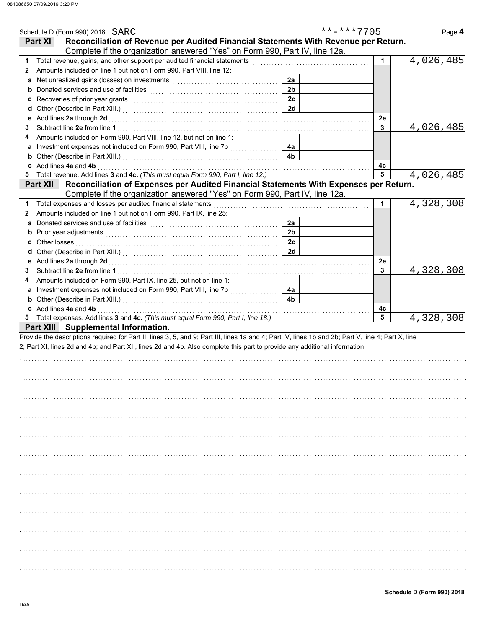| Schedule D (Form 990) 2018 SARC                                                                                                                    |                | **-***7705 | Page 4    |
|----------------------------------------------------------------------------------------------------------------------------------------------------|----------------|------------|-----------|
| Reconciliation of Revenue per Audited Financial Statements With Revenue per Return.<br><b>Part XI</b>                                              |                |            |           |
| Complete if the organization answered "Yes" on Form 990, Part IV, line 12a.                                                                        |                |            |           |
| 1                                                                                                                                                  |                | 1          | 4,026,485 |
| Amounts included on line 1 but not on Form 990, Part VIII, line 12:<br>2                                                                           |                |            |           |
| Net unrealized gains (losses) on investments [11] with the uncontracted value of the uncontracted value of the<br>а                                | 2a             |            |           |
| b                                                                                                                                                  | 2 <sub>b</sub> |            |           |
|                                                                                                                                                    | 2c             |            |           |
| d                                                                                                                                                  | 2d             |            |           |
| Add lines 2a through 2d [[[[[[[[[[[[[[[[[[[[[[[[]]]]]]]]]]] Add lines 2a through 2d<br>е                                                           |                | 2e         |           |
| 3                                                                                                                                                  |                | 3          | 4,026,485 |
| Amounts included on Form 990, Part VIII, line 12, but not on line 1:                                                                               |                |            |           |
|                                                                                                                                                    | 4a             |            |           |
| <b>b</b> Other (Describe in Part XIII.) <b>CONSERVING (2014)</b>                                                                                   | 4 <sub>b</sub> |            |           |
| c Add lines 4a and 4b                                                                                                                              |                | 4с         |           |
| Total revenue. Add lines 3 and 4c. (This must equal Form 990, Part I, line 12.)<br>5                                                               |                | 5          | 4,026,485 |
| Reconciliation of Expenses per Audited Financial Statements With Expenses per Return.<br><b>Part XII</b>                                           |                |            |           |
| Complete if the organization answered "Yes" on Form 990, Part IV, line 12a.                                                                        |                |            |           |
| Total expenses and losses per audited financial statements                                                                                         |                | 1.         | 4,328,308 |
| Amounts included on line 1 but not on Form 990, Part IX, line 25:<br>2                                                                             |                |            |           |
| а                                                                                                                                                  | 2a             |            |           |
| b Prior year adjustments <b>contained</b> and the contained and the contained and contained and prior of Prior (1990)                              | 2 <sub>b</sub> |            |           |
|                                                                                                                                                    | 2c             |            |           |
|                                                                                                                                                    | 2d             |            |           |
| е                                                                                                                                                  |                | 2e         |           |
| 3                                                                                                                                                  |                | 3          | 4,328,308 |
| Amounts included on Form 990, Part IX, line 25, but not on line 1:                                                                                 |                |            |           |
|                                                                                                                                                    | 4a             |            |           |
| <b>b</b> Other (Describe in Part XIII.) <b>CONSIDENT DESCRIPTION DESCRIPTION DESCRIPTION</b>                                                       | 4 <sub>b</sub> |            |           |
| c Add lines 4a and 4b                                                                                                                              |                | 4c         |           |
|                                                                                                                                                    |                | 5          | 4,328,308 |
| Part XIII Supplemental Information.                                                                                                                |                |            |           |
| Provide the descriptions required for Part II, lines 3, 5, and 9; Part III, lines 1a and 4; Part IV, lines 1b and 2b; Part V, line 4; Part X, line |                |            |           |
| 2; Part XI, lines 2d and 4b; and Part XII, lines 2d and 4b. Also complete this part to provide any additional information.                         |                |            |           |
|                                                                                                                                                    |                |            |           |
|                                                                                                                                                    |                |            |           |
|                                                                                                                                                    |                |            |           |
|                                                                                                                                                    |                |            |           |
|                                                                                                                                                    |                |            |           |
|                                                                                                                                                    |                |            |           |
|                                                                                                                                                    |                |            |           |
|                                                                                                                                                    |                |            |           |
|                                                                                                                                                    |                |            |           |
|                                                                                                                                                    |                |            |           |
|                                                                                                                                                    |                |            |           |
|                                                                                                                                                    |                |            |           |
|                                                                                                                                                    |                |            |           |
|                                                                                                                                                    |                |            |           |
|                                                                                                                                                    |                |            |           |
|                                                                                                                                                    |                |            |           |
|                                                                                                                                                    |                |            |           |
|                                                                                                                                                    |                |            |           |
|                                                                                                                                                    |                |            |           |
|                                                                                                                                                    |                |            |           |
|                                                                                                                                                    |                |            |           |
|                                                                                                                                                    |                |            |           |
|                                                                                                                                                    |                |            |           |
|                                                                                                                                                    |                |            |           |
|                                                                                                                                                    |                |            |           |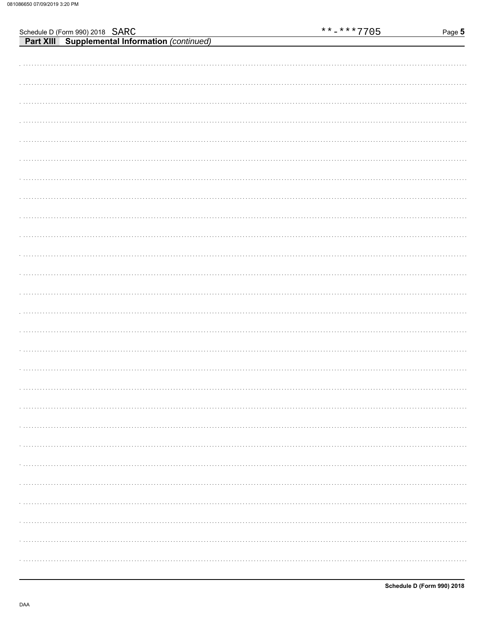| Schedule D (Form 990) 2018 SARC                       | $******7705$ | Page 5 |
|-------------------------------------------------------|--------------|--------|
| <b>Part XIII</b> Supplemental Information (continued) |              |        |
|                                                       |              |        |
|                                                       |              |        |
|                                                       |              |        |
|                                                       |              |        |
|                                                       |              |        |
|                                                       |              |        |
|                                                       |              |        |
|                                                       |              |        |
|                                                       |              |        |
|                                                       |              |        |
|                                                       |              |        |
|                                                       |              |        |
|                                                       |              |        |
|                                                       |              |        |
|                                                       |              |        |
|                                                       |              |        |
|                                                       |              |        |
|                                                       |              |        |
|                                                       |              |        |
|                                                       |              |        |
|                                                       |              |        |
|                                                       |              |        |
|                                                       |              |        |
|                                                       |              |        |
|                                                       |              |        |
|                                                       |              |        |
|                                                       |              |        |
|                                                       |              |        |
|                                                       |              |        |
|                                                       |              |        |
|                                                       |              |        |
|                                                       |              |        |
|                                                       |              |        |
|                                                       |              |        |
|                                                       |              |        |
|                                                       |              |        |
|                                                       |              |        |
|                                                       |              |        |
|                                                       |              |        |
|                                                       |              |        |
|                                                       |              |        |
|                                                       |              |        |
|                                                       |              |        |
|                                                       |              |        |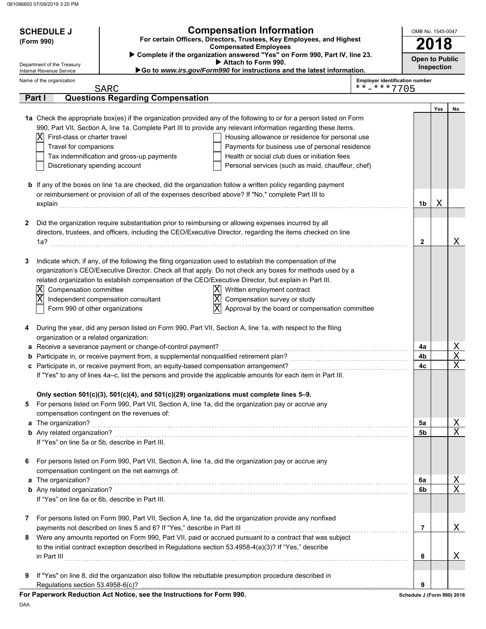| <b>SCHEDULE J</b><br>(Form 990)                          | <b>Compensation Information</b><br>For certain Officers, Directors, Trustees, Key Employees, and Highest<br><b>Compensated Employees</b> |                                                                                                                                                                                                                       |                                       | OMB No. 1545-0047          |     |             |
|----------------------------------------------------------|------------------------------------------------------------------------------------------------------------------------------------------|-----------------------------------------------------------------------------------------------------------------------------------------------------------------------------------------------------------------------|---------------------------------------|----------------------------|-----|-------------|
| Department of the Treasury                               |                                                                                                                                          | Complete if the organization answered "Yes" on Form 990, Part IV, line 23.<br>Attach to Form 990.                                                                                                                     |                                       | <b>Open to Public</b>      |     |             |
| Internal Revenue Service<br>Name of the organization     |                                                                                                                                          | Go to www.irs.gov/Form990 for instructions and the latest information.                                                                                                                                                | <b>Employer identification number</b> | <b>Inspection</b>          |     |             |
|                                                          | SARC                                                                                                                                     |                                                                                                                                                                                                                       | **-***7705                            |                            |     |             |
| Part I                                                   | <b>Questions Regarding Compensation</b>                                                                                                  |                                                                                                                                                                                                                       |                                       |                            |     |             |
|                                                          |                                                                                                                                          | 1a Check the appropriate box(es) if the organization provided any of the following to or for a person listed on Form                                                                                                  |                                       |                            | Yes | No          |
|                                                          |                                                                                                                                          | 990, Part VII, Section A, line 1a. Complete Part III to provide any relevant information regarding these items.                                                                                                       |                                       |                            |     |             |
| First-class or charter travel<br>ΙXΙ                     |                                                                                                                                          | Housing allowance or residence for personal use                                                                                                                                                                       |                                       |                            |     |             |
| Travel for companions                                    |                                                                                                                                          | Payments for business use of personal residence                                                                                                                                                                       |                                       |                            |     |             |
|                                                          | Tax indemnification and gross-up payments                                                                                                | Health or social club dues or initiation fees                                                                                                                                                                         |                                       |                            |     |             |
| Discretionary spending account                           |                                                                                                                                          | Personal services (such as maid, chauffeur, chef)                                                                                                                                                                     |                                       |                            |     |             |
|                                                          |                                                                                                                                          | <b>b</b> If any of the boxes on line 1a are checked, did the organization follow a written policy regarding payment                                                                                                   |                                       |                            |     |             |
|                                                          |                                                                                                                                          | or reimbursement or provision of all of the expenses described above? If "No," complete Part III to                                                                                                                   |                                       |                            |     |             |
| explain                                                  |                                                                                                                                          |                                                                                                                                                                                                                       |                                       | 1b                         | Χ   |             |
|                                                          |                                                                                                                                          |                                                                                                                                                                                                                       |                                       |                            |     |             |
| 2                                                        |                                                                                                                                          | Did the organization require substantiation prior to reimbursing or allowing expenses incurred by all<br>directors, trustees, and officers, including the CEO/Executive Director, regarding the items checked on line |                                       |                            |     |             |
| 1a?                                                      |                                                                                                                                          |                                                                                                                                                                                                                       |                                       | 2                          |     | Χ           |
|                                                          |                                                                                                                                          |                                                                                                                                                                                                                       |                                       |                            |     |             |
| 3                                                        |                                                                                                                                          | Indicate which, if any, of the following the filing organization used to establish the compensation of the                                                                                                            |                                       |                            |     |             |
|                                                          |                                                                                                                                          | organization's CEO/Executive Director. Check all that apply. Do not check any boxes for methods used by a                                                                                                             |                                       |                            |     |             |
|                                                          |                                                                                                                                          | related organization to establish compensation of the CEO/Executive Director, but explain in Part III.                                                                                                                |                                       |                            |     |             |
| Compensation committee<br>X                              |                                                                                                                                          | Written employment contract<br>$ \mathrm{X} $                                                                                                                                                                         |                                       |                            |     |             |
| $\overline{\text{X}}$<br>Form 990 of other organizations | Independent compensation consultant                                                                                                      | $\overline{\text{X}}$<br>Compensation survey or study<br>$\overline{\textnormal{x}}$<br>Approval by the board or compensation committee                                                                               |                                       |                            |     |             |
|                                                          |                                                                                                                                          |                                                                                                                                                                                                                       |                                       |                            |     |             |
| 4<br>organization or a related organization:             |                                                                                                                                          | During the year, did any person listed on Form 990, Part VII, Section A, line 1a, with respect to the filing                                                                                                          |                                       |                            |     |             |
|                                                          | a Receive a severance payment or change-of-control payment?                                                                              |                                                                                                                                                                                                                       |                                       | 4a                         |     | <u>X</u>    |
|                                                          | b Participate in, or receive payment from, a supplemental nonqualified retirement plan?                                                  |                                                                                                                                                                                                                       |                                       | 4b                         |     | X           |
|                                                          | c Participate in, or receive payment from, an equity-based compensation arrangement?                                                     | If "Yes" to any of lines 4a-c, list the persons and provide the applicable amounts for each item in Part III.                                                                                                         |                                       | 4c                         |     | X           |
|                                                          | Only section 501(c)(3), 501(c)(4), and 501(c)(29) organizations must complete lines 5-9.                                                 |                                                                                                                                                                                                                       |                                       |                            |     |             |
| 5                                                        |                                                                                                                                          | For persons listed on Form 990, Part VII, Section A, line 1a, did the organization pay or accrue any                                                                                                                  |                                       |                            |     |             |
|                                                          | compensation contingent on the revenues of:                                                                                              |                                                                                                                                                                                                                       |                                       |                            |     |             |
| a The organization?                                      |                                                                                                                                          |                                                                                                                                                                                                                       |                                       | 5a                         |     | <u>X</u>    |
|                                                          |                                                                                                                                          |                                                                                                                                                                                                                       |                                       | 5b                         |     | X           |
|                                                          | If "Yes" on line 5a or 5b, describe in Part III.                                                                                         |                                                                                                                                                                                                                       |                                       |                            |     |             |
| 6                                                        |                                                                                                                                          | For persons listed on Form 990, Part VII, Section A, line 1a, did the organization pay or accrue any                                                                                                                  |                                       |                            |     |             |
|                                                          | compensation contingent on the net earnings of:                                                                                          |                                                                                                                                                                                                                       |                                       |                            |     |             |
| a The organization?                                      |                                                                                                                                          |                                                                                                                                                                                                                       |                                       | 6a                         |     | <u>X</u>    |
|                                                          |                                                                                                                                          |                                                                                                                                                                                                                       |                                       | 6b                         |     | $\mathbf X$ |
|                                                          | If "Yes" on line 6a or 6b, describe in Part III.                                                                                         |                                                                                                                                                                                                                       |                                       |                            |     |             |
| 7                                                        |                                                                                                                                          | For persons listed on Form 990, Part VII, Section A, line 1a, did the organization provide any nonfixed                                                                                                               |                                       |                            |     |             |
|                                                          | payments not described on lines 5 and 6? If "Yes," describe in Part III                                                                  |                                                                                                                                                                                                                       |                                       | 7                          |     | Χ           |
| 8                                                        |                                                                                                                                          | Were any amounts reported on Form 990, Part VII, paid or accrued pursuant to a contract that was subject                                                                                                              |                                       |                            |     |             |
|                                                          |                                                                                                                                          | to the initial contract exception described in Regulations section 53.4958-4(a)(3)? If "Yes," describe                                                                                                                |                                       |                            |     |             |
|                                                          |                                                                                                                                          |                                                                                                                                                                                                                       |                                       | 8                          |     | Χ           |
| 9                                                        |                                                                                                                                          | If "Yes" on line 8, did the organization also follow the rebuttable presumption procedure described in                                                                                                                |                                       |                            |     |             |
| Regulations section 53.4958-6(c)?                        |                                                                                                                                          |                                                                                                                                                                                                                       |                                       | 9                          |     |             |
|                                                          | For Paperwork Reduction Act Notice, see the Instructions for Form 990.                                                                   |                                                                                                                                                                                                                       |                                       | Schedule J (Form 990) 2018 |     |             |

DAA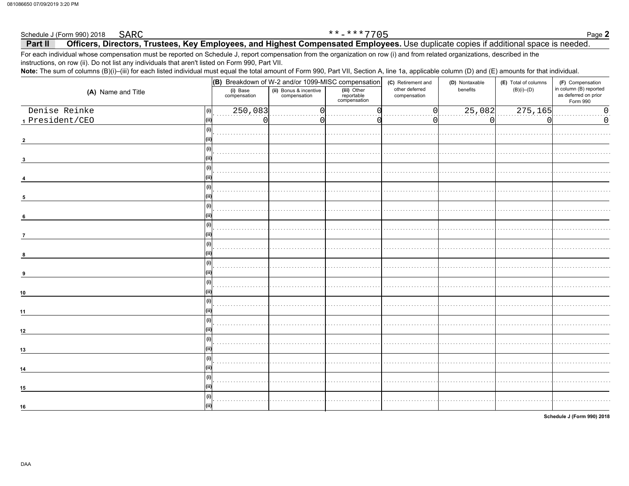#### Schedule J (Form 990) 2018 **SARC**

### Officers, Directors, Trustees, Key Employees, and Highest Compensated Employees. Use duplicate copies if additional space is needed. Part II

\*\*-\*\*\*7705

For each individual whose compensation must be reported on Schedule J, report compensation from the organization on row (i) and from related organizations, described in the instructions, on row (ii). Do not list any individuals that aren't listed on Form 990, Part VII.

Note: The sum of columns (B)(i)-(iii) for each listed individual must equal the total amount of Form 990, Part VII, Section A, line 1a, applicable column (D) and (E) amounts for that individual.

| (ii) Bonus & incentive<br>compensation<br>(A) Name and Title<br>as deferred on prior<br>compensation<br>Form 990<br>Denise Reinke<br>250,083<br>25,082<br>275,165<br>$\mathbf 0$<br>(i)<br>1 President/CEO<br>0<br>C<br>U<br>(i)<br>(i)<br>3<br>(i)<br>(i)<br>5<br>(i)<br>$6\phantom{.0}$<br>(i)<br>$\overline{7}$<br>(i)<br>8<br>(i)<br>9<br>(i)<br>(i)<br>(i)<br>(i)<br>(i)<br>(i) |    |                          | (B) Breakdown of W-2 and/or 1099-MISC compensation |                                           |                | (D) Nontaxable | (E) Total of columns | (F) Compensation       |  |
|--------------------------------------------------------------------------------------------------------------------------------------------------------------------------------------------------------------------------------------------------------------------------------------------------------------------------------------------------------------------------------------|----|--------------------------|----------------------------------------------------|-------------------------------------------|----------------|----------------|----------------------|------------------------|--|
|                                                                                                                                                                                                                                                                                                                                                                                      |    | (i) Base<br>compensation |                                                    | (iii) Other<br>reportable<br>compensation | other deferred | benefits       | $(B)(i)$ – $(D)$     | in column (B) reported |  |
|                                                                                                                                                                                                                                                                                                                                                                                      |    |                          |                                                    |                                           |                |                |                      |                        |  |
|                                                                                                                                                                                                                                                                                                                                                                                      |    |                          |                                                    |                                           |                |                |                      |                        |  |
|                                                                                                                                                                                                                                                                                                                                                                                      |    |                          |                                                    |                                           |                |                |                      |                        |  |
|                                                                                                                                                                                                                                                                                                                                                                                      |    |                          |                                                    |                                           |                |                |                      |                        |  |
|                                                                                                                                                                                                                                                                                                                                                                                      |    |                          |                                                    |                                           |                |                |                      |                        |  |
|                                                                                                                                                                                                                                                                                                                                                                                      |    |                          |                                                    |                                           |                |                |                      |                        |  |
|                                                                                                                                                                                                                                                                                                                                                                                      |    |                          |                                                    |                                           |                |                |                      |                        |  |
|                                                                                                                                                                                                                                                                                                                                                                                      |    |                          |                                                    |                                           |                |                |                      |                        |  |
|                                                                                                                                                                                                                                                                                                                                                                                      |    |                          |                                                    |                                           |                |                |                      |                        |  |
|                                                                                                                                                                                                                                                                                                                                                                                      |    |                          |                                                    |                                           |                |                |                      |                        |  |
|                                                                                                                                                                                                                                                                                                                                                                                      |    |                          |                                                    |                                           |                |                |                      |                        |  |
|                                                                                                                                                                                                                                                                                                                                                                                      |    |                          |                                                    |                                           |                |                |                      |                        |  |
|                                                                                                                                                                                                                                                                                                                                                                                      |    |                          |                                                    |                                           |                |                |                      |                        |  |
|                                                                                                                                                                                                                                                                                                                                                                                      |    |                          |                                                    |                                           |                |                |                      |                        |  |
|                                                                                                                                                                                                                                                                                                                                                                                      |    |                          |                                                    |                                           |                |                |                      |                        |  |
|                                                                                                                                                                                                                                                                                                                                                                                      |    |                          |                                                    |                                           |                |                |                      |                        |  |
|                                                                                                                                                                                                                                                                                                                                                                                      |    |                          |                                                    |                                           |                |                |                      |                        |  |
|                                                                                                                                                                                                                                                                                                                                                                                      |    |                          |                                                    |                                           |                |                |                      |                        |  |
|                                                                                                                                                                                                                                                                                                                                                                                      | 10 |                          |                                                    |                                           |                |                |                      |                        |  |
|                                                                                                                                                                                                                                                                                                                                                                                      |    |                          |                                                    |                                           |                |                |                      |                        |  |
|                                                                                                                                                                                                                                                                                                                                                                                      | 11 |                          |                                                    |                                           |                |                |                      |                        |  |
|                                                                                                                                                                                                                                                                                                                                                                                      |    |                          |                                                    |                                           |                |                |                      |                        |  |
|                                                                                                                                                                                                                                                                                                                                                                                      | 12 |                          |                                                    |                                           |                |                |                      |                        |  |
|                                                                                                                                                                                                                                                                                                                                                                                      |    |                          |                                                    |                                           |                |                |                      |                        |  |
|                                                                                                                                                                                                                                                                                                                                                                                      | 13 |                          |                                                    |                                           |                |                |                      |                        |  |
|                                                                                                                                                                                                                                                                                                                                                                                      |    |                          |                                                    |                                           |                |                |                      |                        |  |
|                                                                                                                                                                                                                                                                                                                                                                                      | 14 |                          |                                                    |                                           |                |                |                      |                        |  |
|                                                                                                                                                                                                                                                                                                                                                                                      |    |                          |                                                    |                                           |                |                |                      |                        |  |
|                                                                                                                                                                                                                                                                                                                                                                                      | 15 |                          |                                                    |                                           |                |                |                      |                        |  |
|                                                                                                                                                                                                                                                                                                                                                                                      |    |                          |                                                    |                                           |                |                |                      |                        |  |
|                                                                                                                                                                                                                                                                                                                                                                                      | 16 |                          |                                                    |                                           |                |                |                      |                        |  |

Schedule J (Form 990) 2018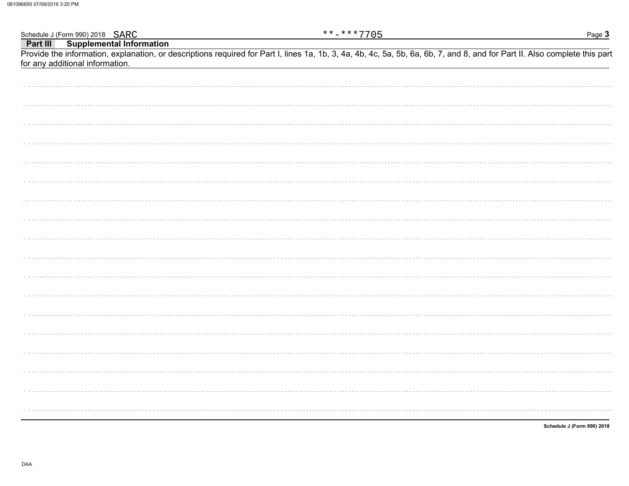Schedule J (Form 990) 2018 SARC Part III **Supplemental Information** 

Provide the information, explanation, or descriptions required for Part I, lines 1a, 1b, 3, 4a, 4b, 4c, 5a, 5b, 6a, 6b, 7, and 8, and for Part II. Also complete this part for any additional information.

 $***$  -\*\*\* 7705

Schedule J (Form 990) 2018